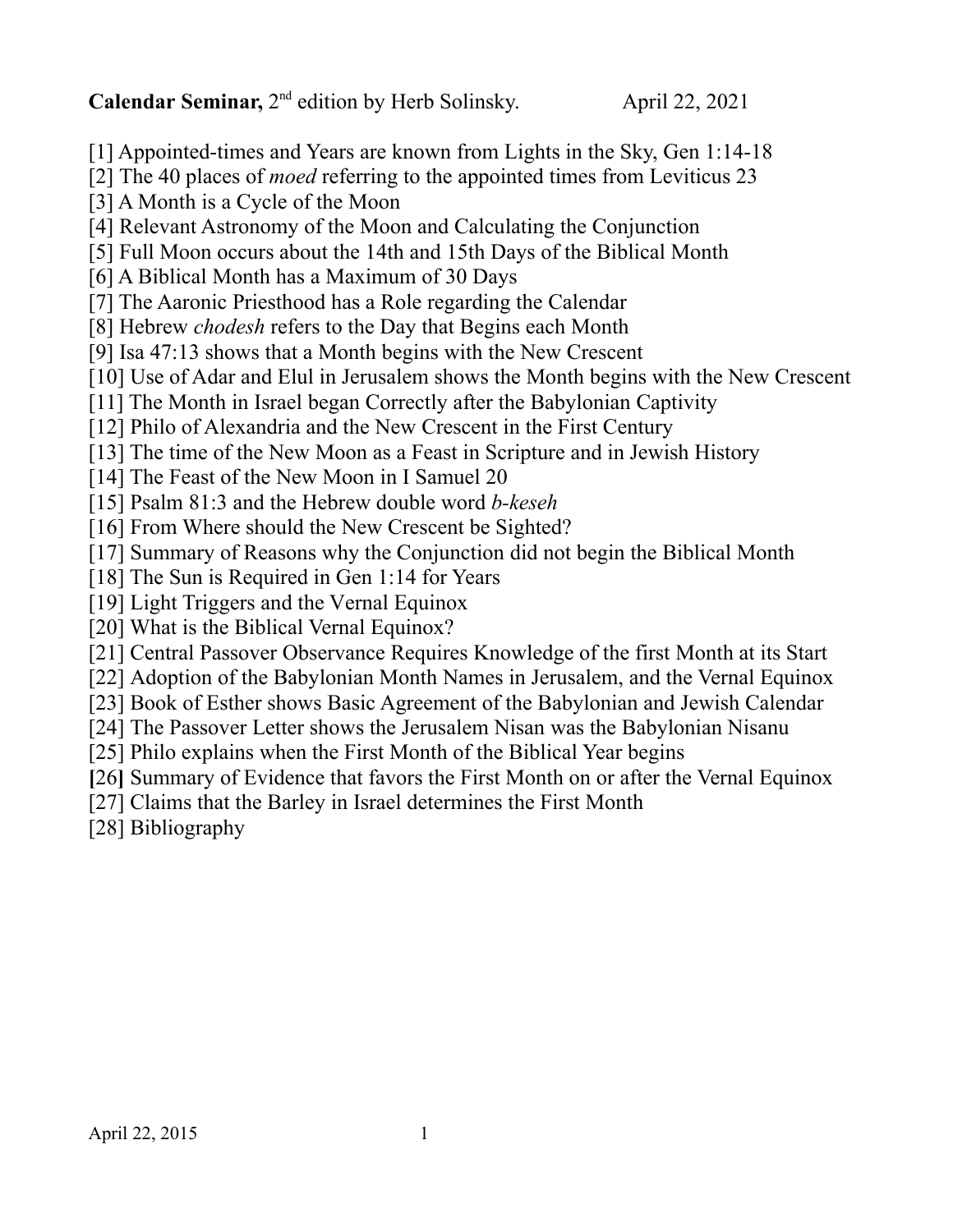**Calendar Seminar,** 2<sup>nd</sup> edition by Herb Solinsky. April 22, 2021

[1] Appointed-times and Years are known from Lights in the Sky, Gen 1:14-18

[2] The 40 places of *moed* referring to the appointed times from Leviticus 23

[3] A Month is a Cycle of the Moon

[4] Relevant Astronomy of the Moon and Calculating the Conjunction

[5] Full Moon occurs about the 14th and 15th Days of the Biblical Month

[6] A Biblical Month has a Maximum of 30 Days

[7] The Aaronic Priesthood has a Role regarding the Calendar

[8] Hebrew *chodesh* refers to the Day that Begins each Month

[9] Isa 47:13 shows that a Month begins with the New Crescent

[10] Use of Adar and Elul in Jerusalem shows the Month begins with the New Crescent

[11] The Month in Israel began Correctly after the Babylonian Captivity

[12] Philo of Alexandria and the New Crescent in the First Century

[13] The time of the New Moon as a Feast in Scripture and in Jewish History

[14] The Feast of the New Moon in I Samuel 20

[15] Psalm 81:3 and the Hebrew double word *b-keseh*

[16] From Where should the New Crescent be Sighted?

[17] Summary of Reasons why the Conjunction did not begin the Biblical Month

[18] The Sun is Required in Gen 1:14 for Years

[19] Light Triggers and the Vernal Equinox

[20] What is the Biblical Vernal Equinox?

[21] Central Passover Observance Requires Knowledge of the first Month at its Start

[22] Adoption of the Babylonian Month Names in Jerusalem, and the Vernal Equinox

[23] Book of Esther shows Basic Agreement of the Babylonian and Jewish Calendar

[24] The Passover Letter shows the Jerusalem Nisan was the Babylonian Nisanu

[25] Philo explains when the First Month of the Biblical Year begins

**[**26**]** Summary of Evidence that favors the First Month on or after the Vernal Equinox

[27] Claims that the Barley in Israel determines the First Month

[28] Bibliography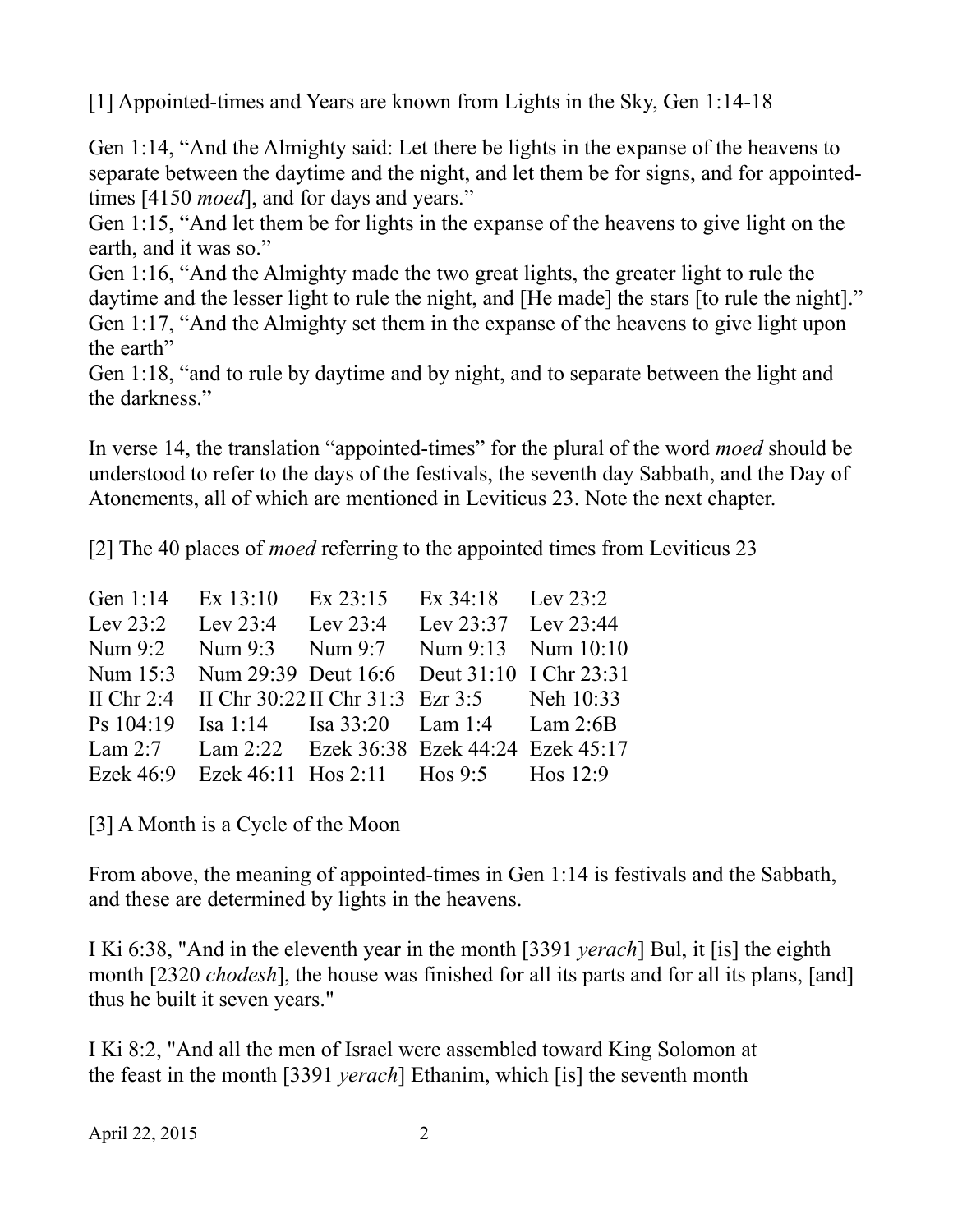[1] Appointed-times and Years are known from Lights in the Sky, Gen 1:14-18

Gen 1:14, "And the Almighty said: Let there be lights in the expanse of the heavens to separate between the daytime and the night, and let them be for signs, and for appointedtimes [4150 *moed*], and for days and years."

Gen 1:15, "And let them be for lights in the expanse of the heavens to give light on the earth, and it was so."

Gen 1:16, "And the Almighty made the two great lights, the greater light to rule the daytime and the lesser light to rule the night, and [He made] the stars [to rule the night]." Gen 1:17, "And the Almighty set them in the expanse of the heavens to give light upon the earth"

Gen 1:18, "and to rule by daytime and by night, and to separate between the light and the darkness."

In verse 14, the translation "appointed-times" for the plural of the word *moed* should be understood to refer to the days of the festivals, the seventh day Sabbath, and the Day of Atonements, all of which are mentioned in Leviticus 23. Note the next chapter.

[2] The 40 places of *moed* referring to the appointed times from Leviticus 23

| Gen 1:14 Ex 13:10 |             |                                                                                                                                                                                                                                                                                                                                                                                       |
|-------------------|-------------|---------------------------------------------------------------------------------------------------------------------------------------------------------------------------------------------------------------------------------------------------------------------------------------------------------------------------------------------------------------------------------------|
|                   |             |                                                                                                                                                                                                                                                                                                                                                                                       |
|                   |             |                                                                                                                                                                                                                                                                                                                                                                                       |
|                   |             |                                                                                                                                                                                                                                                                                                                                                                                       |
|                   |             |                                                                                                                                                                                                                                                                                                                                                                                       |
|                   |             |                                                                                                                                                                                                                                                                                                                                                                                       |
|                   |             |                                                                                                                                                                                                                                                                                                                                                                                       |
|                   |             |                                                                                                                                                                                                                                                                                                                                                                                       |
|                   | $Ex\,23:15$ | Ex $34:18$ Lev $23:2$<br>Lev 23:2 Lev 23:4 Lev 23:4 Lev 23:37 Lev 23:44<br>Num 9:3 Num 9:7 Num 9:13 Num 10:10<br>Num 15:3 Num 29:39 Deut 16:6 Deut 31:10 I Chr 23:31<br>II Chr 2:4 II Chr 30:22 II Chr 31:3 Ezr 3:5 Neh 10:33<br>Ps 104:19 Isa 1:14 Isa 33:20 Lam 1:4 Lam 2:6B<br>Lam 2:7 Lam 2:22 Ezek 36:38 Ezek 44:24 Ezek 45:17<br>Ezek 46:9 Ezek 46:11 Hos 2:11 Hos 9:5 Hos 12:9 |

[3] A Month is a Cycle of the Moon

From above, the meaning of appointed-times in Gen 1:14 is festivals and the Sabbath, and these are determined by lights in the heavens.

I Ki 6:38, "And in the eleventh year in the month [3391 *yerach*] Bul, it [is] the eighth month [2320 *chodesh*], the house was finished for all its parts and for all its plans, [and] thus he built it seven years."

I Ki 8:2, "And all the men of Israel were assembled toward King Solomon at the feast in the month [3391 *yerach*] Ethanim, which [is] the seventh month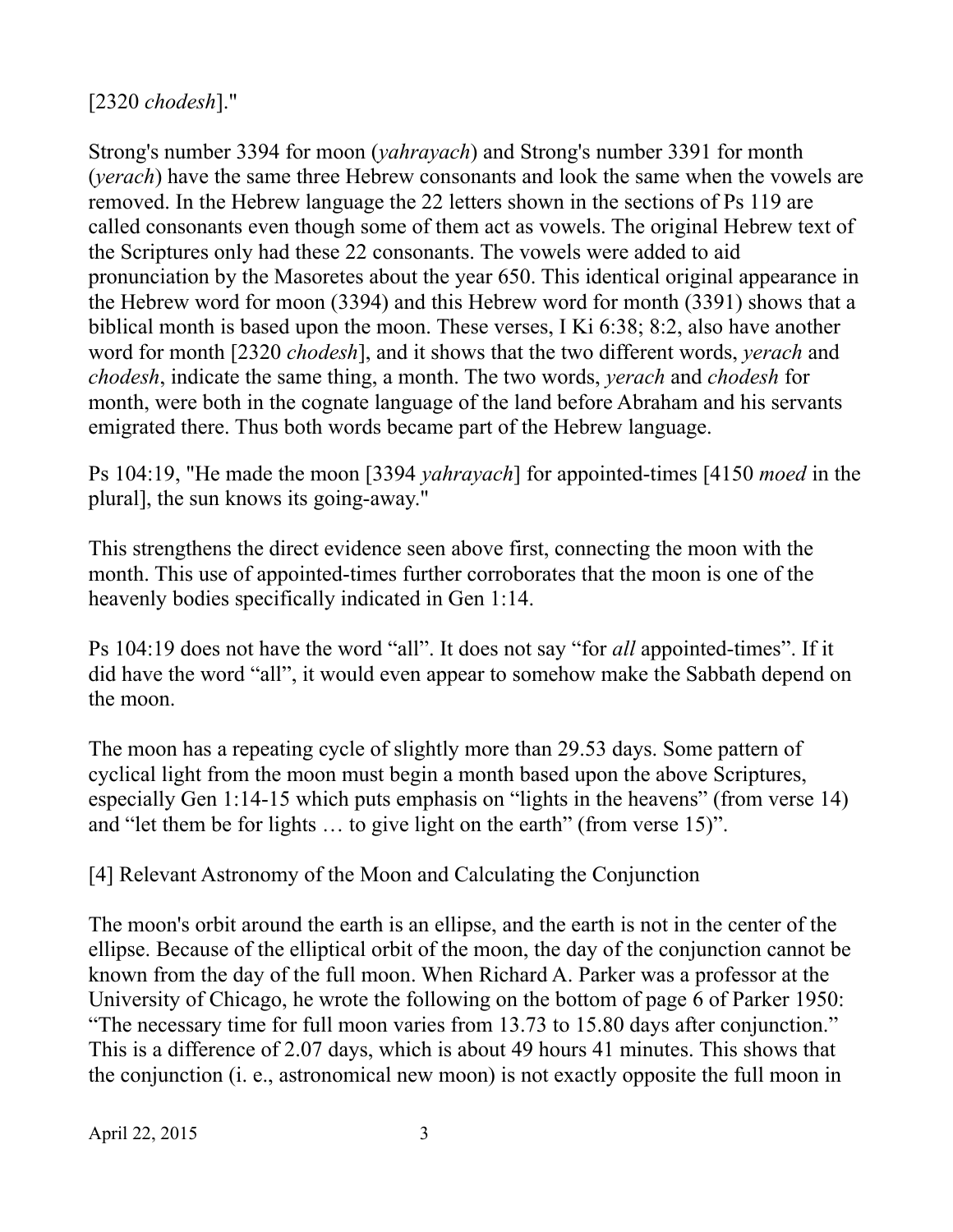[2320 *chodesh*]."

Strong's number 3394 for moon (*yahrayach*) and Strong's number 3391 for month (*yerach*) have the same three Hebrew consonants and look the same when the vowels are removed. In the Hebrew language the 22 letters shown in the sections of Ps 119 are called consonants even though some of them act as vowels. The original Hebrew text of the Scriptures only had these 22 consonants. The vowels were added to aid pronunciation by the Masoretes about the year 650. This identical original appearance in the Hebrew word for moon (3394) and this Hebrew word for month (3391) shows that a biblical month is based upon the moon. These verses, I Ki 6:38; 8:2, also have another word for month [2320 *chodesh*], and it shows that the two different words, *yerach* and *chodesh*, indicate the same thing, a month. The two words, *yerach* and *chodesh* for month, were both in the cognate language of the land before Abraham and his servants emigrated there. Thus both words became part of the Hebrew language.

Ps 104:19, "He made the moon [3394 *yahrayach*] for appointed-times [4150 *moed* in the plural], the sun knows its going-away."

This strengthens the direct evidence seen above first, connecting the moon with the month. This use of appointed-times further corroborates that the moon is one of the heavenly bodies specifically indicated in Gen 1:14.

Ps 104:19 does not have the word "all". It does not say "for *all* appointed-times". If it did have the word "all", it would even appear to somehow make the Sabbath depend on the moon.

The moon has a repeating cycle of slightly more than 29.53 days. Some pattern of cyclical light from the moon must begin a month based upon the above Scriptures, especially Gen 1:14-15 which puts emphasis on "lights in the heavens" (from verse 14) and "let them be for lights … to give light on the earth" (from verse 15)".

[4] Relevant Astronomy of the Moon and Calculating the Conjunction

The moon's orbit around the earth is an ellipse, and the earth is not in the center of the ellipse. Because of the elliptical orbit of the moon, the day of the conjunction cannot be known from the day of the full moon. When Richard A. Parker was a professor at the University of Chicago, he wrote the following on the bottom of page 6 of Parker 1950: "The necessary time for full moon varies from 13.73 to 15.80 days after conjunction." This is a difference of 2.07 days, which is about 49 hours 41 minutes. This shows that the conjunction (i. e., astronomical new moon) is not exactly opposite the full moon in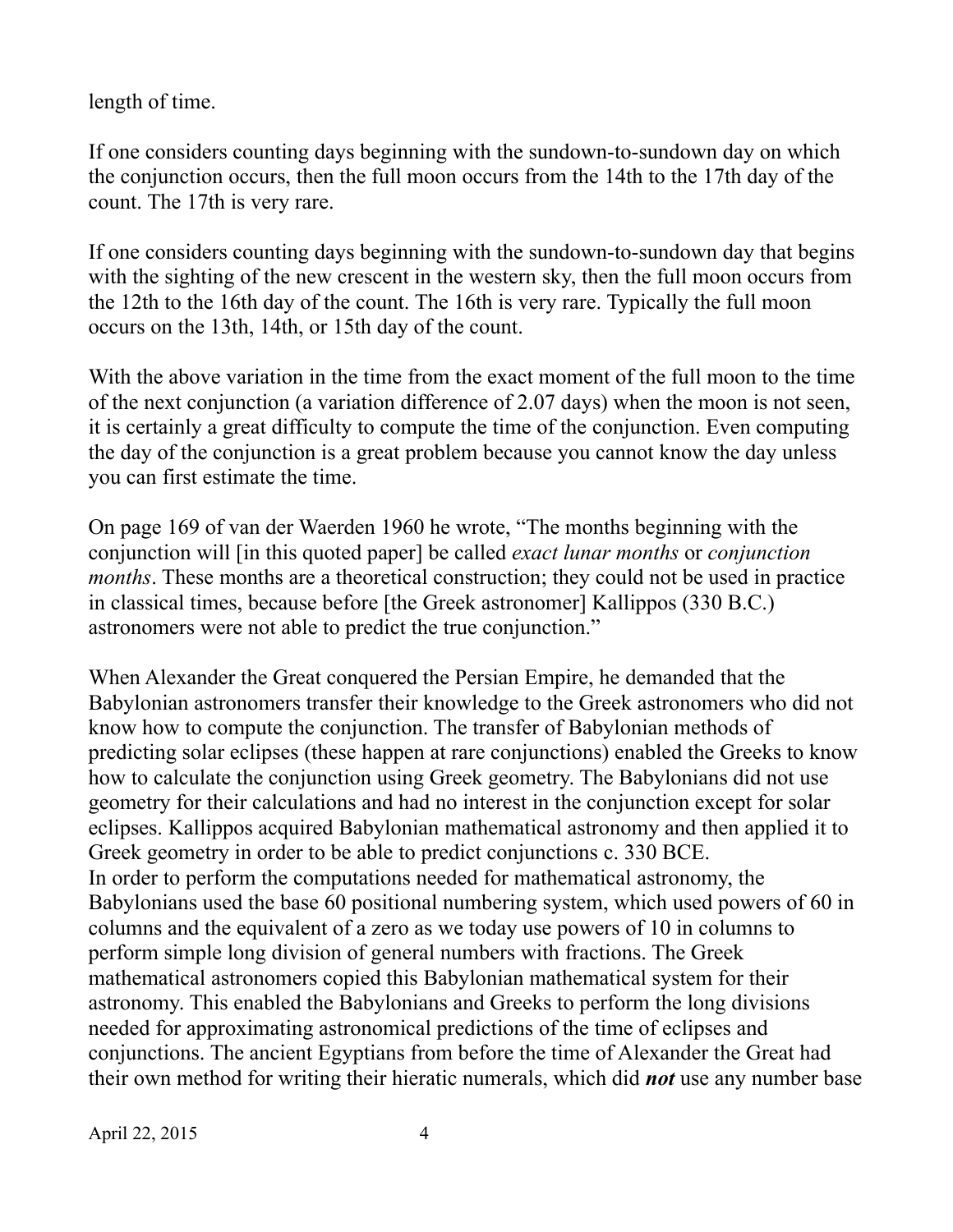length of time.

If one considers counting days beginning with the sundown-to-sundown day on which the conjunction occurs, then the full moon occurs from the 14th to the 17th day of the count. The 17th is very rare.

If one considers counting days beginning with the sundown-to-sundown day that begins with the sighting of the new crescent in the western sky, then the full moon occurs from the 12th to the 16th day of the count. The 16th is very rare. Typically the full moon occurs on the 13th, 14th, or 15th day of the count.

With the above variation in the time from the exact moment of the full moon to the time of the next conjunction (a variation difference of 2.07 days) when the moon is not seen, it is certainly a great difficulty to compute the time of the conjunction. Even computing the day of the conjunction is a great problem because you cannot know the day unless you can first estimate the time.

On page 169 of van der Waerden 1960 he wrote, "The months beginning with the conjunction will [in this quoted paper] be called *exact lunar months* or *conjunction months*. These months are a theoretical construction; they could not be used in practice in classical times, because before [the Greek astronomer] Kallippos (330 B.C.) astronomers were not able to predict the true conjunction."

When Alexander the Great conquered the Persian Empire, he demanded that the Babylonian astronomers transfer their knowledge to the Greek astronomers who did not know how to compute the conjunction. The transfer of Babylonian methods of predicting solar eclipses (these happen at rare conjunctions) enabled the Greeks to know how to calculate the conjunction using Greek geometry. The Babylonians did not use geometry for their calculations and had no interest in the conjunction except for solar eclipses. Kallippos acquired Babylonian mathematical astronomy and then applied it to Greek geometry in order to be able to predict conjunctions c. 330 BCE. In order to perform the computations needed for mathematical astronomy, the Babylonians used the base 60 positional numbering system, which used powers of 60 in columns and the equivalent of a zero as we today use powers of 10 in columns to perform simple long division of general numbers with fractions. The Greek mathematical astronomers copied this Babylonian mathematical system for their astronomy. This enabled the Babylonians and Greeks to perform the long divisions needed for approximating astronomical predictions of the time of eclipses and conjunctions. The ancient Egyptians from before the time of Alexander the Great had their own method for writing their hieratic numerals, which did *not* use any number base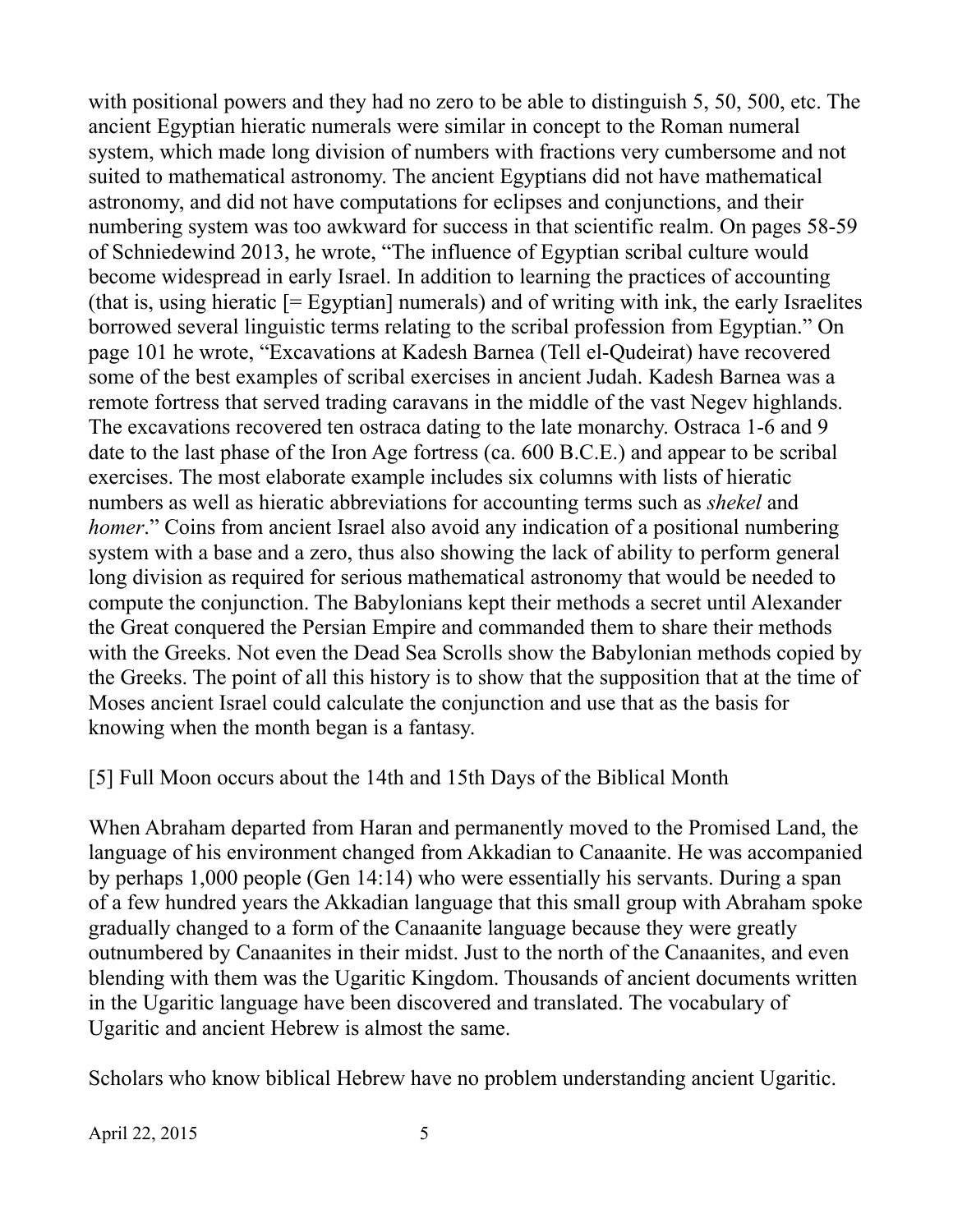with positional powers and they had no zero to be able to distinguish 5, 50, 500, etc. The ancient Egyptian hieratic numerals were similar in concept to the Roman numeral system, which made long division of numbers with fractions very cumbersome and not suited to mathematical astronomy. The ancient Egyptians did not have mathematical astronomy, and did not have computations for eclipses and conjunctions, and their numbering system was too awkward for success in that scientific realm. On pages 58-59 of Schniedewind 2013, he wrote, "The influence of Egyptian scribal culture would become widespread in early Israel. In addition to learning the practices of accounting (that is, using hieratic  $F = \text{Exptian}$ ) numerals) and of writing with ink, the early Israelites borrowed several linguistic terms relating to the scribal profession from Egyptian." On page 101 he wrote, "Excavations at Kadesh Barnea (Tell el-Qudeirat) have recovered some of the best examples of scribal exercises in ancient Judah. Kadesh Barnea was a remote fortress that served trading caravans in the middle of the vast Negev highlands. The excavations recovered ten ostraca dating to the late monarchy. Ostraca 1-6 and 9 date to the last phase of the Iron Age fortress (ca. 600 B.C.E.) and appear to be scribal exercises. The most elaborate example includes six columns with lists of hieratic numbers as well as hieratic abbreviations for accounting terms such as *shekel* and *homer*." Coins from ancient Israel also avoid any indication of a positional numbering system with a base and a zero, thus also showing the lack of ability to perform general long division as required for serious mathematical astronomy that would be needed to compute the conjunction. The Babylonians kept their methods a secret until Alexander the Great conquered the Persian Empire and commanded them to share their methods with the Greeks. Not even the Dead Sea Scrolls show the Babylonian methods copied by the Greeks. The point of all this history is to show that the supposition that at the time of Moses ancient Israel could calculate the conjunction and use that as the basis for knowing when the month began is a fantasy.

[5] Full Moon occurs about the 14th and 15th Days of the Biblical Month

When Abraham departed from Haran and permanently moved to the Promised Land, the language of his environment changed from Akkadian to Canaanite. He was accompanied by perhaps 1,000 people (Gen 14:14) who were essentially his servants. During a span of a few hundred years the Akkadian language that this small group with Abraham spoke gradually changed to a form of the Canaanite language because they were greatly outnumbered by Canaanites in their midst. Just to the north of the Canaanites, and even blending with them was the Ugaritic Kingdom. Thousands of ancient documents written in the Ugaritic language have been discovered and translated. The vocabulary of Ugaritic and ancient Hebrew is almost the same.

Scholars who know biblical Hebrew have no problem understanding ancient Ugaritic.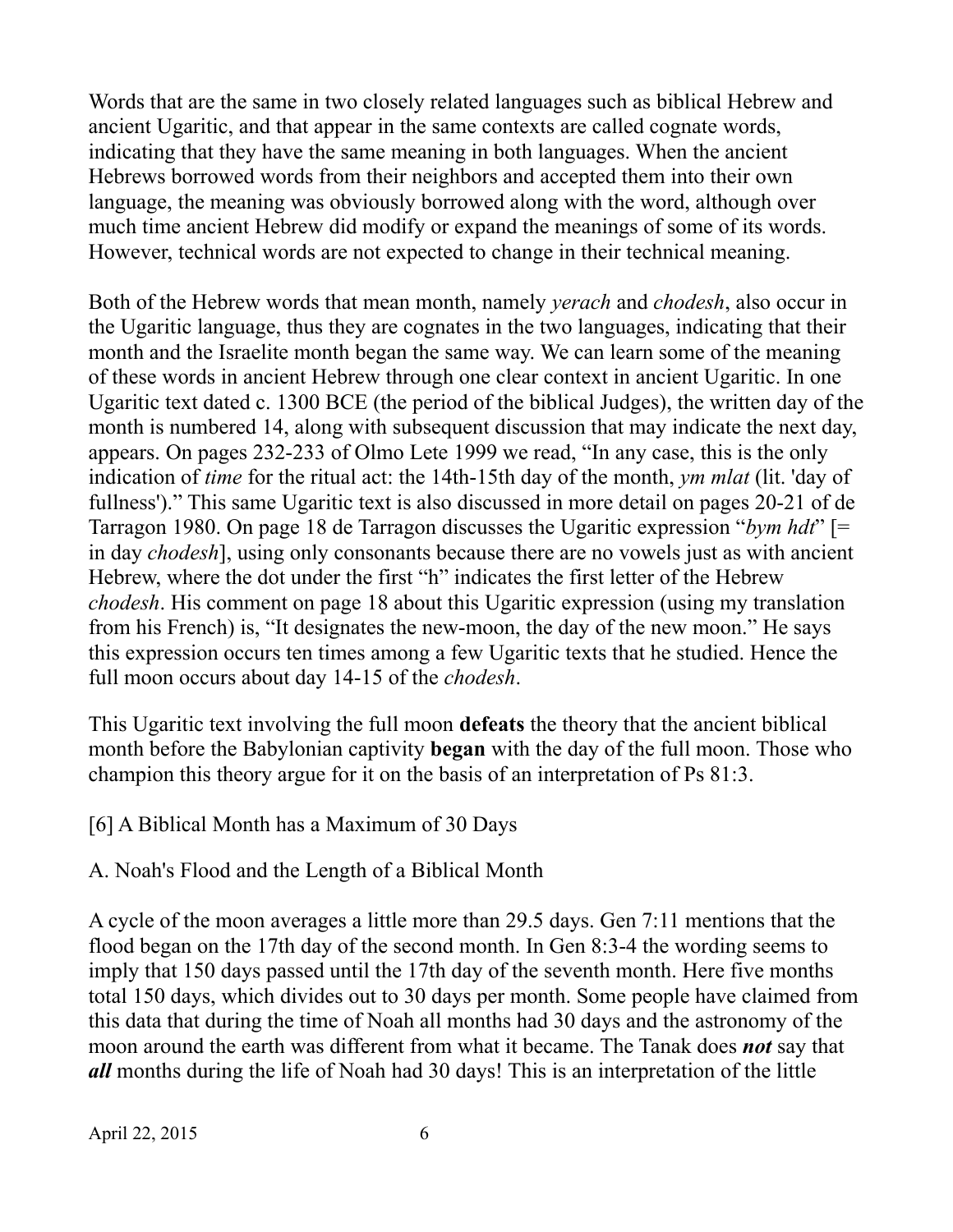Words that are the same in two closely related languages such as biblical Hebrew and ancient Ugaritic, and that appear in the same contexts are called cognate words, indicating that they have the same meaning in both languages. When the ancient Hebrews borrowed words from their neighbors and accepted them into their own language, the meaning was obviously borrowed along with the word, although over much time ancient Hebrew did modify or expand the meanings of some of its words. However, technical words are not expected to change in their technical meaning.

Both of the Hebrew words that mean month, namely *yerach* and *chodesh*, also occur in the Ugaritic language, thus they are cognates in the two languages, indicating that their month and the Israelite month began the same way. We can learn some of the meaning of these words in ancient Hebrew through one clear context in ancient Ugaritic. In one Ugaritic text dated c. 1300 BCE (the period of the biblical Judges), the written day of the month is numbered 14, along with subsequent discussion that may indicate the next day, appears. On pages 232-233 of Olmo Lete 1999 we read, "In any case, this is the only indication of *time* for the ritual act: the 14th-15th day of the month, *ym mlat* (lit. 'day of fullness')." This same Ugaritic text is also discussed in more detail on pages 20-21 of de Tarragon 1980. On page 18 de Tarragon discusses the Ugaritic expression "*bym hdt*" [= in day *chodesh*], using only consonants because there are no vowels just as with ancient Hebrew, where the dot under the first "h" indicates the first letter of the Hebrew *chodesh*. His comment on page 18 about this Ugaritic expression (using my translation from his French) is, "It designates the new-moon, the day of the new moon." He says this expression occurs ten times among a few Ugaritic texts that he studied. Hence the full moon occurs about day 14-15 of the *chodesh*.

This Ugaritic text involving the full moon **defeats** the theory that the ancient biblical month before the Babylonian captivity **began** with the day of the full moon. Those who champion this theory argue for it on the basis of an interpretation of Ps 81:3.

# [6] A Biblical Month has a Maximum of 30 Days

# A. Noah's Flood and the Length of a Biblical Month

A cycle of the moon averages a little more than 29.5 days. Gen 7:11 mentions that the flood began on the 17th day of the second month. In Gen 8:3-4 the wording seems to imply that 150 days passed until the 17th day of the seventh month. Here five months total 150 days, which divides out to 30 days per month. Some people have claimed from this data that during the time of Noah all months had 30 days and the astronomy of the moon around the earth was different from what it became. The Tanak does *not* say that *all* months during the life of Noah had 30 days! This is an interpretation of the little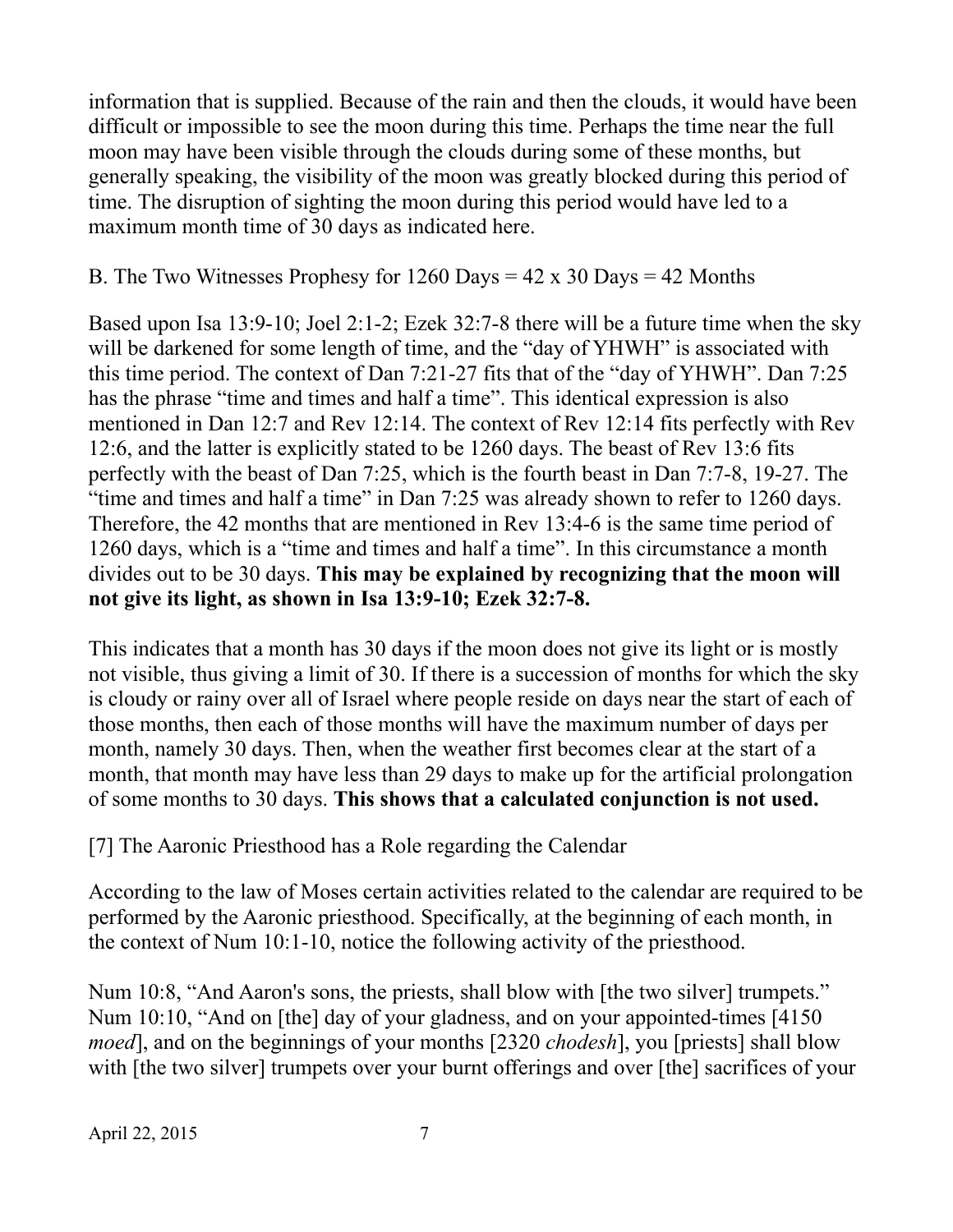information that is supplied. Because of the rain and then the clouds, it would have been difficult or impossible to see the moon during this time. Perhaps the time near the full moon may have been visible through the clouds during some of these months, but generally speaking, the visibility of the moon was greatly blocked during this period of time. The disruption of sighting the moon during this period would have led to a maximum month time of 30 days as indicated here.

### B. The Two Witnesses Prophesy for  $1260$  Days =  $42 \times 30$  Days =  $42$  Months

Based upon Isa 13:9-10; Joel 2:1-2; Ezek 32:7-8 there will be a future time when the sky will be darkened for some length of time, and the "day of YHWH" is associated with this time period. The context of Dan 7:21-27 fits that of the "day of YHWH". Dan 7:25 has the phrase "time and times and half a time". This identical expression is also mentioned in Dan 12:7 and Rev 12:14. The context of Rev 12:14 fits perfectly with Rev 12:6, and the latter is explicitly stated to be 1260 days. The beast of Rev 13:6 fits perfectly with the beast of Dan 7:25, which is the fourth beast in Dan 7:7-8, 19-27. The "time and times and half a time" in Dan 7:25 was already shown to refer to 1260 days. Therefore, the 42 months that are mentioned in Rev 13:4-6 is the same time period of 1260 days, which is a "time and times and half a time". In this circumstance a month divides out to be 30 days. **This may be explained by recognizing that the moon will not give its light, as shown in Isa 13:9-10; Ezek 32:7-8.**

This indicates that a month has 30 days if the moon does not give its light or is mostly not visible, thus giving a limit of 30. If there is a succession of months for which the sky is cloudy or rainy over all of Israel where people reside on days near the start of each of those months, then each of those months will have the maximum number of days per month, namely 30 days. Then, when the weather first becomes clear at the start of a month, that month may have less than 29 days to make up for the artificial prolongation of some months to 30 days. **This shows that a calculated conjunction is not used.**

[7] The Aaronic Priesthood has a Role regarding the Calendar

According to the law of Moses certain activities related to the calendar are required to be performed by the Aaronic priesthood. Specifically, at the beginning of each month, in the context of Num 10:1-10, notice the following activity of the priesthood.

Num 10:8, "And Aaron's sons, the priests, shall blow with [the two silver] trumpets." Num 10:10, "And on [the] day of your gladness, and on your appointed-times [4150 *moed*], and on the beginnings of your months [2320 *chodesh*], you [priests] shall blow with [the two silver] trumpets over your burnt offerings and over [the] sacrifices of your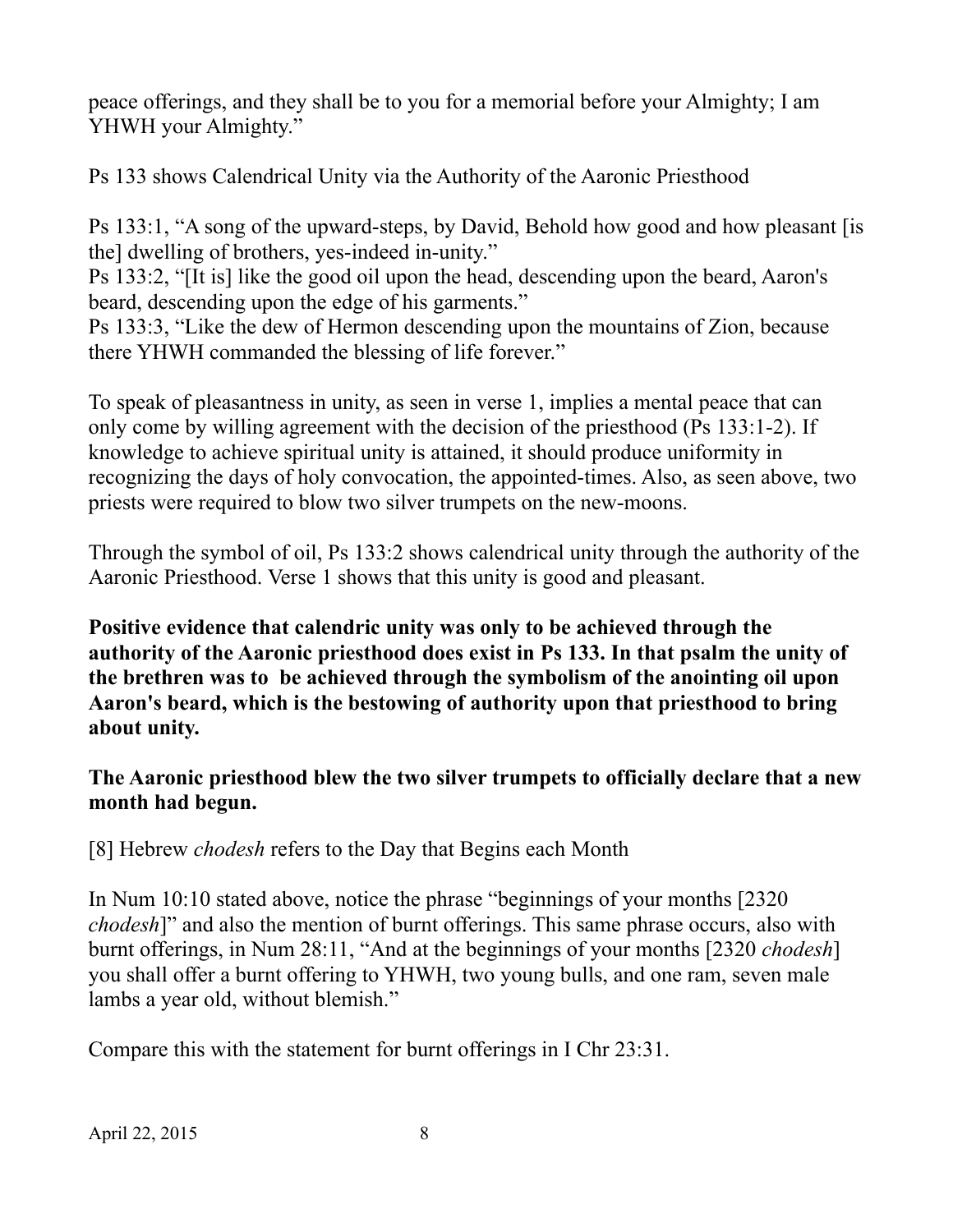peace offerings, and they shall be to you for a memorial before your Almighty; I am YHWH your Almighty."

Ps 133 shows Calendrical Unity via the Authority of the Aaronic Priesthood

Ps 133:1, "A song of the upward-steps, by David, Behold how good and how pleasant [is the] dwelling of brothers, yes-indeed in-unity."

Ps 133:2, "[It is] like the good oil upon the head, descending upon the beard, Aaron's beard, descending upon the edge of his garments."

Ps 133:3, "Like the dew of Hermon descending upon the mountains of Zion, because there YHWH commanded the blessing of life forever."

To speak of pleasantness in unity, as seen in verse 1, implies a mental peace that can only come by willing agreement with the decision of the priesthood (Ps 133:1-2). If knowledge to achieve spiritual unity is attained, it should produce uniformity in recognizing the days of holy convocation, the appointed-times. Also, as seen above, two priests were required to blow two silver trumpets on the new-moons.

Through the symbol of oil, Ps 133:2 shows calendrical unity through the authority of the Aaronic Priesthood. Verse 1 shows that this unity is good and pleasant.

**Positive evidence that calendric unity was only to be achieved through the authority of the Aaronic priesthood does exist in Ps 133. In that psalm the unity of the brethren was to be achieved through the symbolism of the anointing oil upon Aaron's beard, which is the bestowing of authority upon that priesthood to bring about unity.**

### **The Aaronic priesthood blew the two silver trumpets to officially declare that a new month had begun.**

[8] Hebrew *chodesh* refers to the Day that Begins each Month

In Num 10:10 stated above, notice the phrase "beginnings of your months [2320 *chodesh*]" and also the mention of burnt offerings. This same phrase occurs, also with burnt offerings, in Num 28:11, "And at the beginnings of your months [2320 *chodesh*] you shall offer a burnt offering to YHWH, two young bulls, and one ram, seven male lambs a year old, without blemish."

Compare this with the statement for burnt offerings in I Chr 23:31.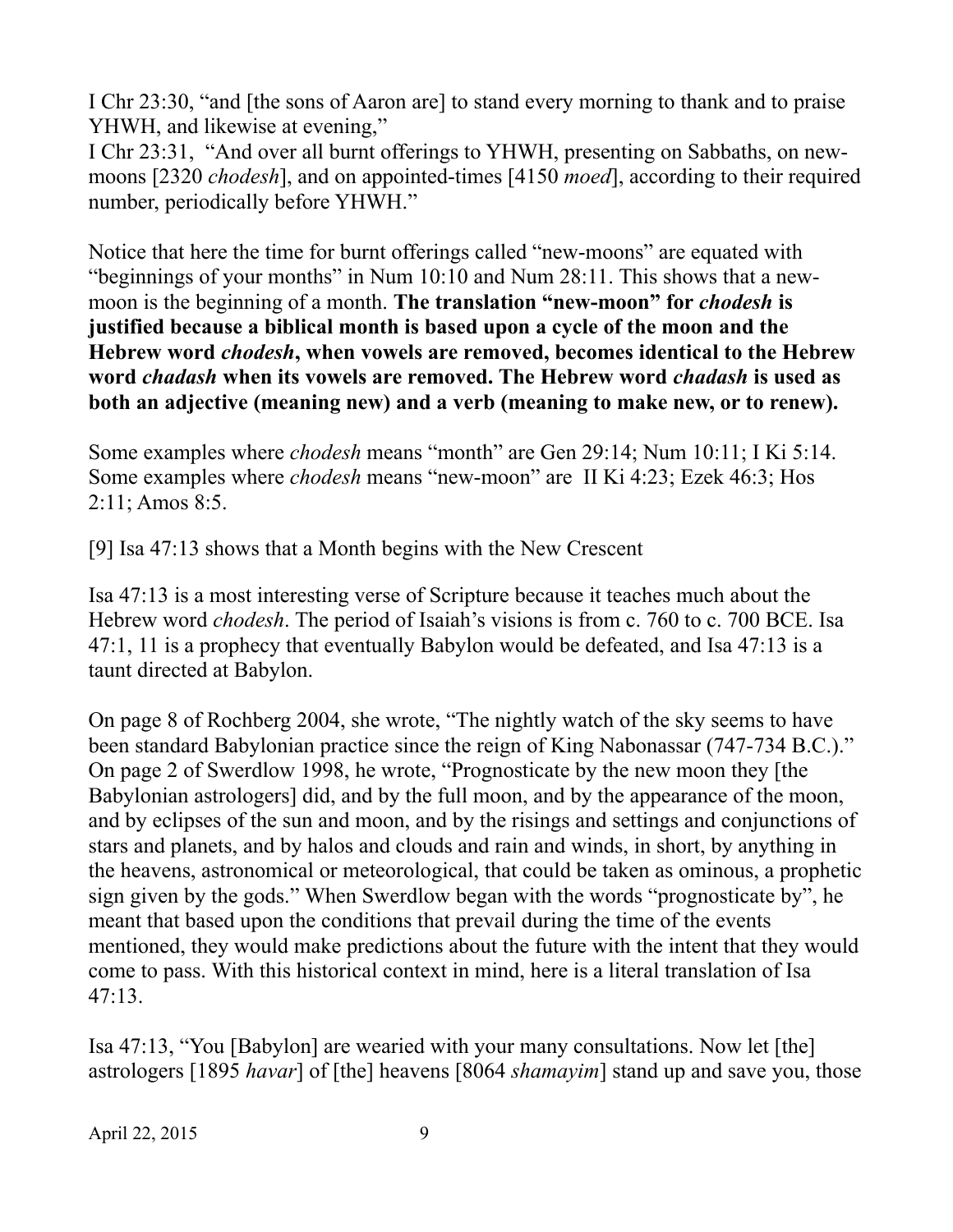I Chr 23:30, "and [the sons of Aaron are] to stand every morning to thank and to praise YHWH, and likewise at evening,"

I Chr 23:31, "And over all burnt offerings to YHWH, presenting on Sabbaths, on newmoons [2320 *chodesh*], and on appointed-times [4150 *moed*], according to their required number, periodically before YHWH."

Notice that here the time for burnt offerings called "new-moons" are equated with "beginnings of your months" in Num 10:10 and Num 28:11. This shows that a newmoon is the beginning of a month. The translation "new-moon" for *chodesh* is **justified because a biblical month is based upon a cycle of the moon and the Hebrew word** *chodesh***, when vowels are removed, becomes identical to the Hebrew word** *chadash* **when its vowels are removed. The Hebrew word** *chadash* **is used as both an adjective (meaning new) and a verb (meaning to make new, or to renew).**

Some examples where *chodesh* means "month" are Gen 29:14; Num 10:11; I Ki 5:14. Some examples where *chodesh* means "new-moon" are II Ki 4:23; Ezek 46:3; Hos 2:11; Amos 8:5.

[9] Isa 47:13 shows that a Month begins with the New Crescent

Isa 47:13 is a most interesting verse of Scripture because it teaches much about the Hebrew word *chodesh*. The period of Isaiah's visions is from c. 760 to c. 700 BCE. Isa 47:1, 11 is a prophecy that eventually Babylon would be defeated, and Isa 47:13 is a taunt directed at Babylon.

On page 8 of Rochberg 2004, she wrote, "The nightly watch of the sky seems to have been standard Babylonian practice since the reign of King Nabonassar (747-734 B.C.)." On page 2 of Swerdlow 1998, he wrote, "Prognosticate by the new moon they [the Babylonian astrologers] did, and by the full moon, and by the appearance of the moon, and by eclipses of the sun and moon, and by the risings and settings and conjunctions of stars and planets, and by halos and clouds and rain and winds, in short, by anything in the heavens, astronomical or meteorological, that could be taken as ominous, a prophetic sign given by the gods." When Swerdlow began with the words "prognosticate by", he meant that based upon the conditions that prevail during the time of the events mentioned, they would make predictions about the future with the intent that they would come to pass. With this historical context in mind, here is a literal translation of Isa 47:13.

Isa 47:13, "You [Babylon] are wearied with your many consultations. Now let [the] astrologers [1895 *havar*] of [the] heavens [8064 *shamayim*] stand up and save you, those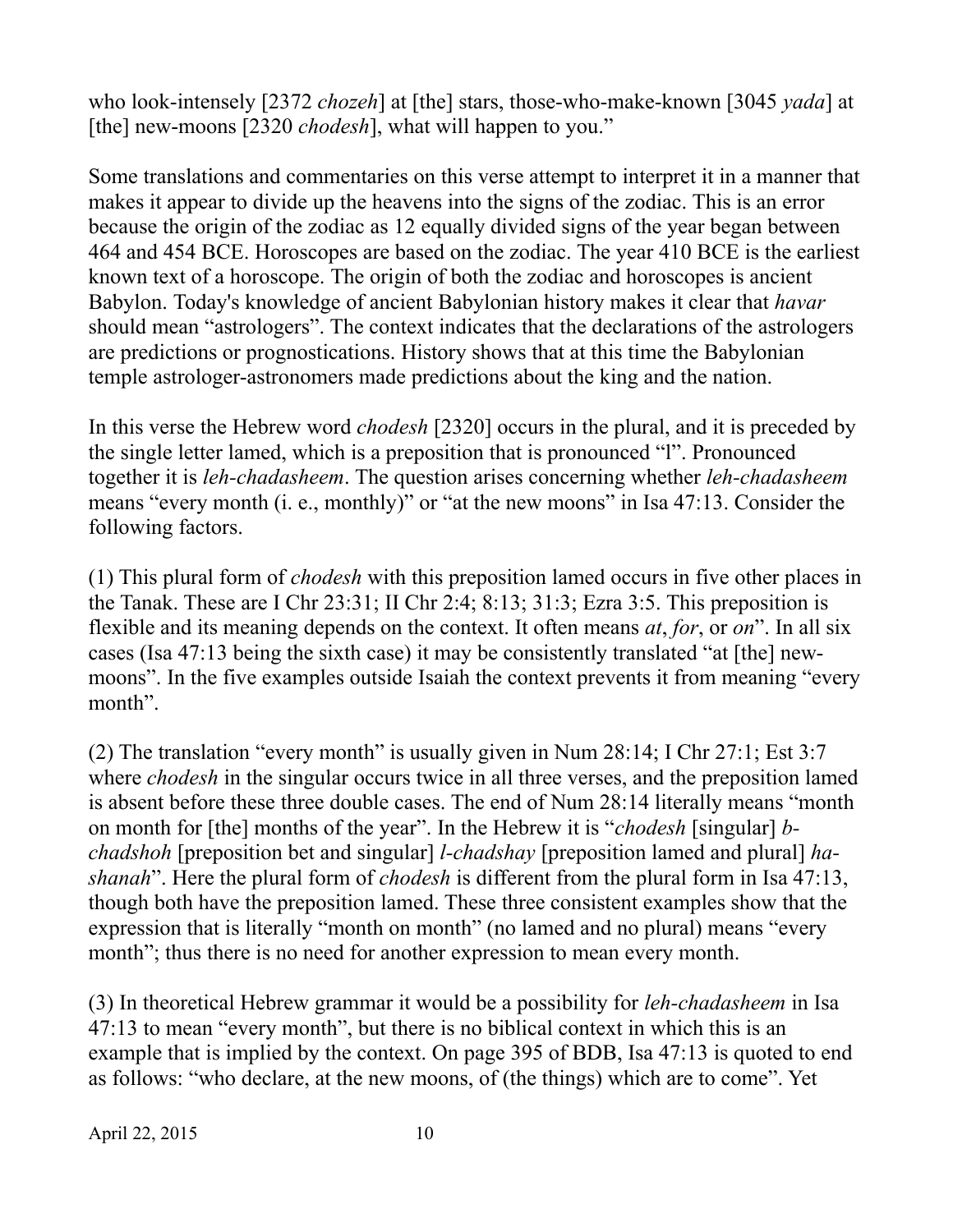who look-intensely [2372 *chozeh*] at [the] stars, those-who-make-known [3045 *yada*] at [the] new-moons [2320 *chodesh*], what will happen to you."

Some translations and commentaries on this verse attempt to interpret it in a manner that makes it appear to divide up the heavens into the signs of the zodiac. This is an error because the origin of the zodiac as 12 equally divided signs of the year began between 464 and 454 BCE. Horoscopes are based on the zodiac. The year 410 BCE is the earliest known text of a horoscope. The origin of both the zodiac and horoscopes is ancient Babylon. Today's knowledge of ancient Babylonian history makes it clear that *havar* should mean "astrologers". The context indicates that the declarations of the astrologers are predictions or prognostications. History shows that at this time the Babylonian temple astrologer-astronomers made predictions about the king and the nation.

In this verse the Hebrew word *chodesh* [2320] occurs in the plural, and it is preceded by the single letter lamed, which is a preposition that is pronounced "l". Pronounced together it is *leh-chadasheem*. The question arises concerning whether *leh-chadasheem* means "every month (i. e., monthly)" or "at the new moons" in Isa 47:13. Consider the following factors.

(1) This plural form of *chodesh* with this preposition lamed occurs in five other places in the Tanak. These are I Chr 23:31; II Chr 2:4; 8:13; 31:3; Ezra 3:5. This preposition is flexible and its meaning depends on the context. It often means *at*, *for*, or *on*". In all six cases (Isa 47:13 being the sixth case) it may be consistently translated "at [the] newmoons". In the five examples outside Isaiah the context prevents it from meaning "every month".

(2) The translation "every month" is usually given in Num 28:14; I Chr 27:1; Est 3:7 where *chodesh* in the singular occurs twice in all three verses, and the preposition lamed is absent before these three double cases. The end of Num 28:14 literally means "month on month for [the] months of the year". In the Hebrew it is "*chodesh* [singular] *bchadshoh* [preposition bet and singular] *l-chadshay* [preposition lamed and plural] *hashanah*". Here the plural form of *chodesh* is different from the plural form in Isa 47:13, though both have the preposition lamed. These three consistent examples show that the expression that is literally "month on month" (no lamed and no plural) means "every month"; thus there is no need for another expression to mean every month.

(3) In theoretical Hebrew grammar it would be a possibility for *leh-chadasheem* in Isa 47:13 to mean "every month", but there is no biblical context in which this is an example that is implied by the context. On page 395 of BDB, Isa 47:13 is quoted to end as follows: "who declare, at the new moons, of (the things) which are to come". Yet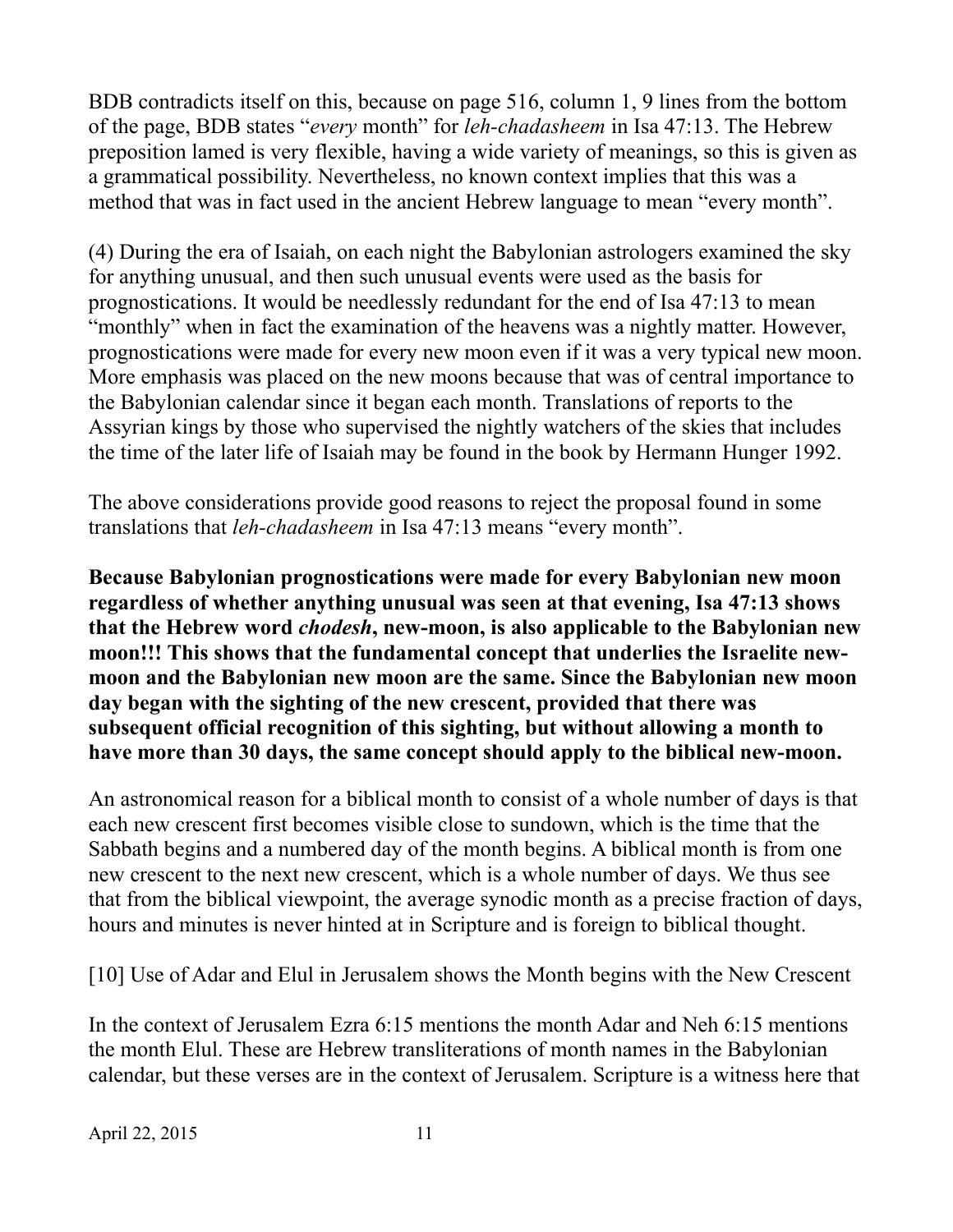BDB contradicts itself on this, because on page 516, column 1, 9 lines from the bottom of the page, BDB states "*every* month" for *leh-chadasheem* in Isa 47:13. The Hebrew preposition lamed is very flexible, having a wide variety of meanings, so this is given as a grammatical possibility. Nevertheless, no known context implies that this was a method that was in fact used in the ancient Hebrew language to mean "every month".

(4) During the era of Isaiah, on each night the Babylonian astrologers examined the sky for anything unusual, and then such unusual events were used as the basis for prognostications. It would be needlessly redundant for the end of Isa 47:13 to mean "monthly" when in fact the examination of the heavens was a nightly matter. However, prognostications were made for every new moon even if it was a very typical new moon. More emphasis was placed on the new moons because that was of central importance to the Babylonian calendar since it began each month. Translations of reports to the Assyrian kings by those who supervised the nightly watchers of the skies that includes the time of the later life of Isaiah may be found in the book by Hermann Hunger 1992.

The above considerations provide good reasons to reject the proposal found in some translations that *leh-chadasheem* in Isa 47:13 means "every month".

**Because Babylonian prognostications were made for every Babylonian new moon regardless of whether anything unusual was seen at that evening, Isa 47:13 shows that the Hebrew word** *chodesh***, new-moon, is also applicable to the Babylonian new moon!!! This shows that the fundamental concept that underlies the Israelite newmoon and the Babylonian new moon are the same. Since the Babylonian new moon day began with the sighting of the new crescent, provided that there was subsequent official recognition of this sighting, but without allowing a month to have more than 30 days, the same concept should apply to the biblical new-moon.**

An astronomical reason for a biblical month to consist of a whole number of days is that each new crescent first becomes visible close to sundown, which is the time that the Sabbath begins and a numbered day of the month begins. A biblical month is from one new crescent to the next new crescent, which is a whole number of days. We thus see that from the biblical viewpoint, the average synodic month as a precise fraction of days, hours and minutes is never hinted at in Scripture and is foreign to biblical thought.

[10] Use of Adar and Elul in Jerusalem shows the Month begins with the New Crescent

In the context of Jerusalem Ezra 6:15 mentions the month Adar and Neh 6:15 mentions the month Elul. These are Hebrew transliterations of month names in the Babylonian calendar, but these verses are in the context of Jerusalem. Scripture is a witness here that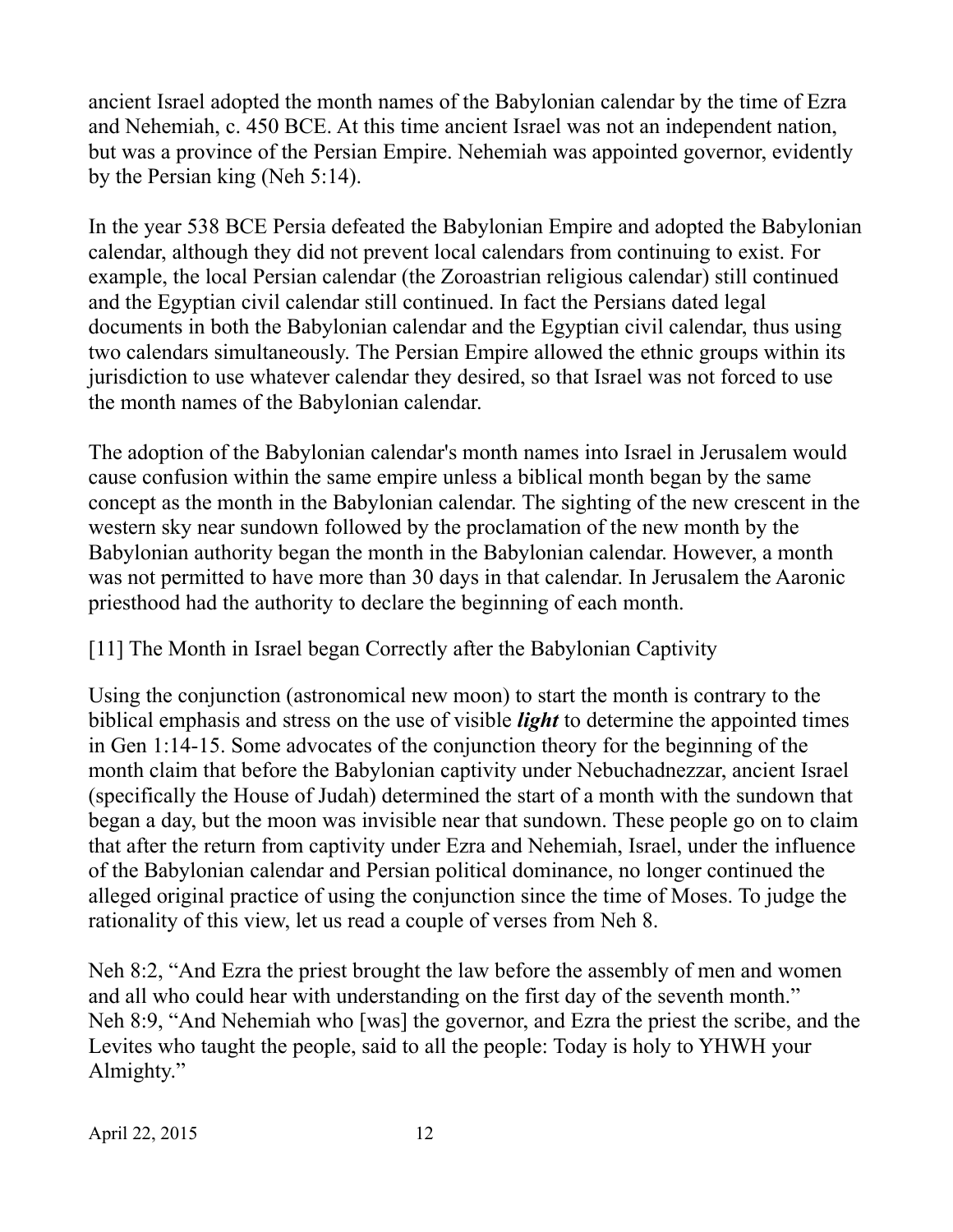ancient Israel adopted the month names of the Babylonian calendar by the time of Ezra and Nehemiah, c. 450 BCE. At this time ancient Israel was not an independent nation, but was a province of the Persian Empire. Nehemiah was appointed governor, evidently by the Persian king (Neh 5:14).

In the year 538 BCE Persia defeated the Babylonian Empire and adopted the Babylonian calendar, although they did not prevent local calendars from continuing to exist. For example, the local Persian calendar (the Zoroastrian religious calendar) still continued and the Egyptian civil calendar still continued. In fact the Persians dated legal documents in both the Babylonian calendar and the Egyptian civil calendar, thus using two calendars simultaneously. The Persian Empire allowed the ethnic groups within its jurisdiction to use whatever calendar they desired, so that Israel was not forced to use the month names of the Babylonian calendar.

The adoption of the Babylonian calendar's month names into Israel in Jerusalem would cause confusion within the same empire unless a biblical month began by the same concept as the month in the Babylonian calendar. The sighting of the new crescent in the western sky near sundown followed by the proclamation of the new month by the Babylonian authority began the month in the Babylonian calendar. However, a month was not permitted to have more than 30 days in that calendar. In Jerusalem the Aaronic priesthood had the authority to declare the beginning of each month.

# [11] The Month in Israel began Correctly after the Babylonian Captivity

Using the conjunction (astronomical new moon) to start the month is contrary to the biblical emphasis and stress on the use of visible *light* to determine the appointed times in Gen 1:14-15. Some advocates of the conjunction theory for the beginning of the month claim that before the Babylonian captivity under Nebuchadnezzar, ancient Israel (specifically the House of Judah) determined the start of a month with the sundown that began a day, but the moon was invisible near that sundown. These people go on to claim that after the return from captivity under Ezra and Nehemiah, Israel, under the influence of the Babylonian calendar and Persian political dominance, no longer continued the alleged original practice of using the conjunction since the time of Moses. To judge the rationality of this view, let us read a couple of verses from Neh 8.

Neh 8:2, "And Ezra the priest brought the law before the assembly of men and women and all who could hear with understanding on the first day of the seventh month." Neh 8:9, "And Nehemiah who [was] the governor, and Ezra the priest the scribe, and the Levites who taught the people, said to all the people: Today is holy to YHWH your Almighty."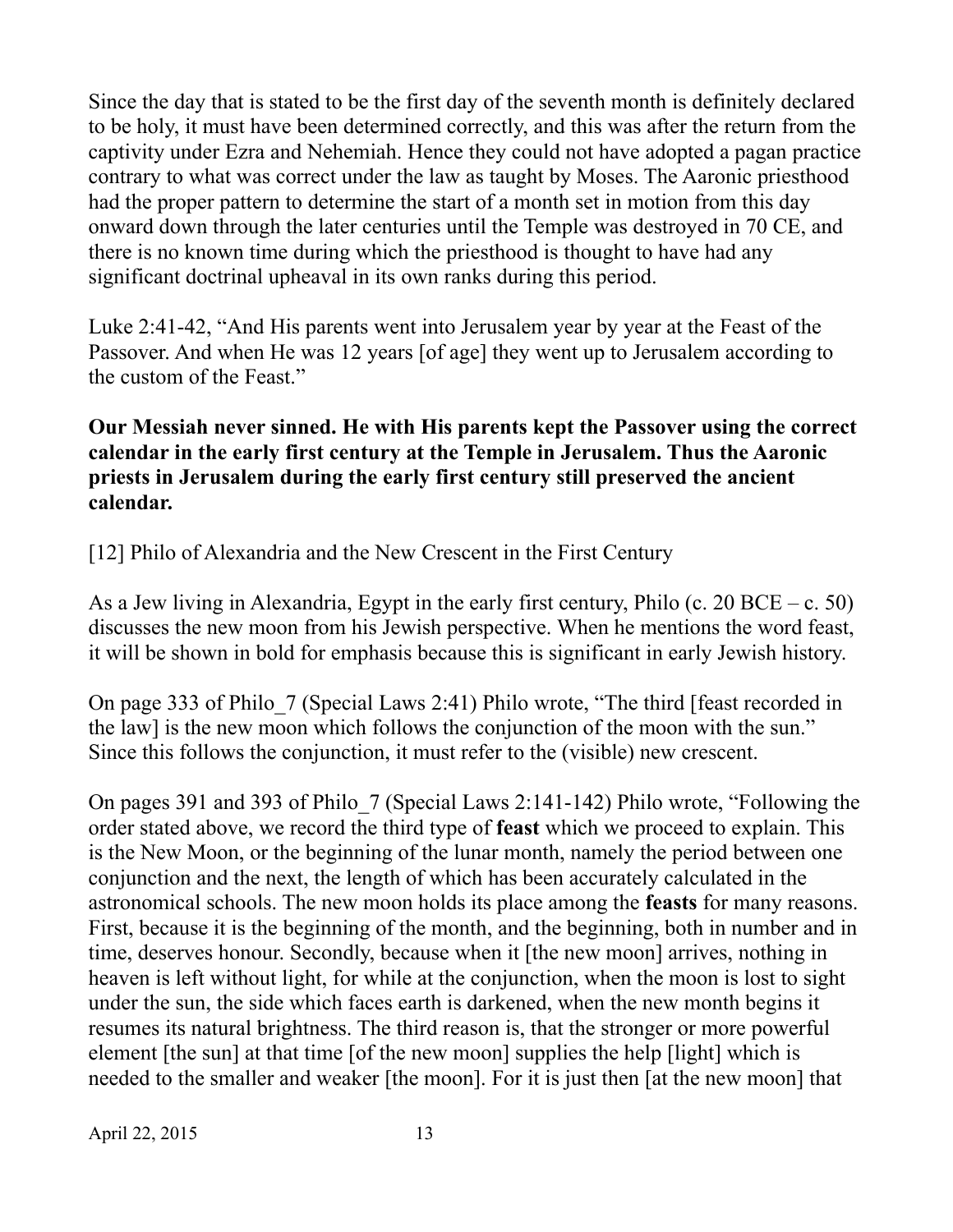Since the day that is stated to be the first day of the seventh month is definitely declared to be holy, it must have been determined correctly, and this was after the return from the captivity under Ezra and Nehemiah. Hence they could not have adopted a pagan practice contrary to what was correct under the law as taught by Moses. The Aaronic priesthood had the proper pattern to determine the start of a month set in motion from this day onward down through the later centuries until the Temple was destroyed in 70 CE, and there is no known time during which the priesthood is thought to have had any significant doctrinal upheaval in its own ranks during this period.

Luke 2:41-42, "And His parents went into Jerusalem year by year at the Feast of the Passover. And when He was 12 years [of age] they went up to Jerusalem according to the custom of the Feast."

### **Our Messiah never sinned. He with His parents kept the Passover using the correct calendar in the early first century at the Temple in Jerusalem. Thus the Aaronic priests in Jerusalem during the early first century still preserved the ancient calendar.**

[12] Philo of Alexandria and the New Crescent in the First Century

As a Jew living in Alexandria, Egypt in the early first century, Philo (c. 20 BCE – c. 50) discusses the new moon from his Jewish perspective. When he mentions the word feast, it will be shown in bold for emphasis because this is significant in early Jewish history.

On page 333 of Philo\_7 (Special Laws 2:41) Philo wrote, "The third [feast recorded in the law] is the new moon which follows the conjunction of the moon with the sun." Since this follows the conjunction, it must refer to the (visible) new crescent.

On pages 391 and 393 of Philo\_7 (Special Laws 2:141-142) Philo wrote, "Following the order stated above, we record the third type of **feast** which we proceed to explain. This is the New Moon, or the beginning of the lunar month, namely the period between one conjunction and the next, the length of which has been accurately calculated in the astronomical schools. The new moon holds its place among the **feasts** for many reasons. First, because it is the beginning of the month, and the beginning, both in number and in time, deserves honour. Secondly, because when it [the new moon] arrives, nothing in heaven is left without light, for while at the conjunction, when the moon is lost to sight under the sun, the side which faces earth is darkened, when the new month begins it resumes its natural brightness. The third reason is, that the stronger or more powerful element [the sun] at that time [of the new moon] supplies the help [light] which is needed to the smaller and weaker [the moon]. For it is just then [at the new moon] that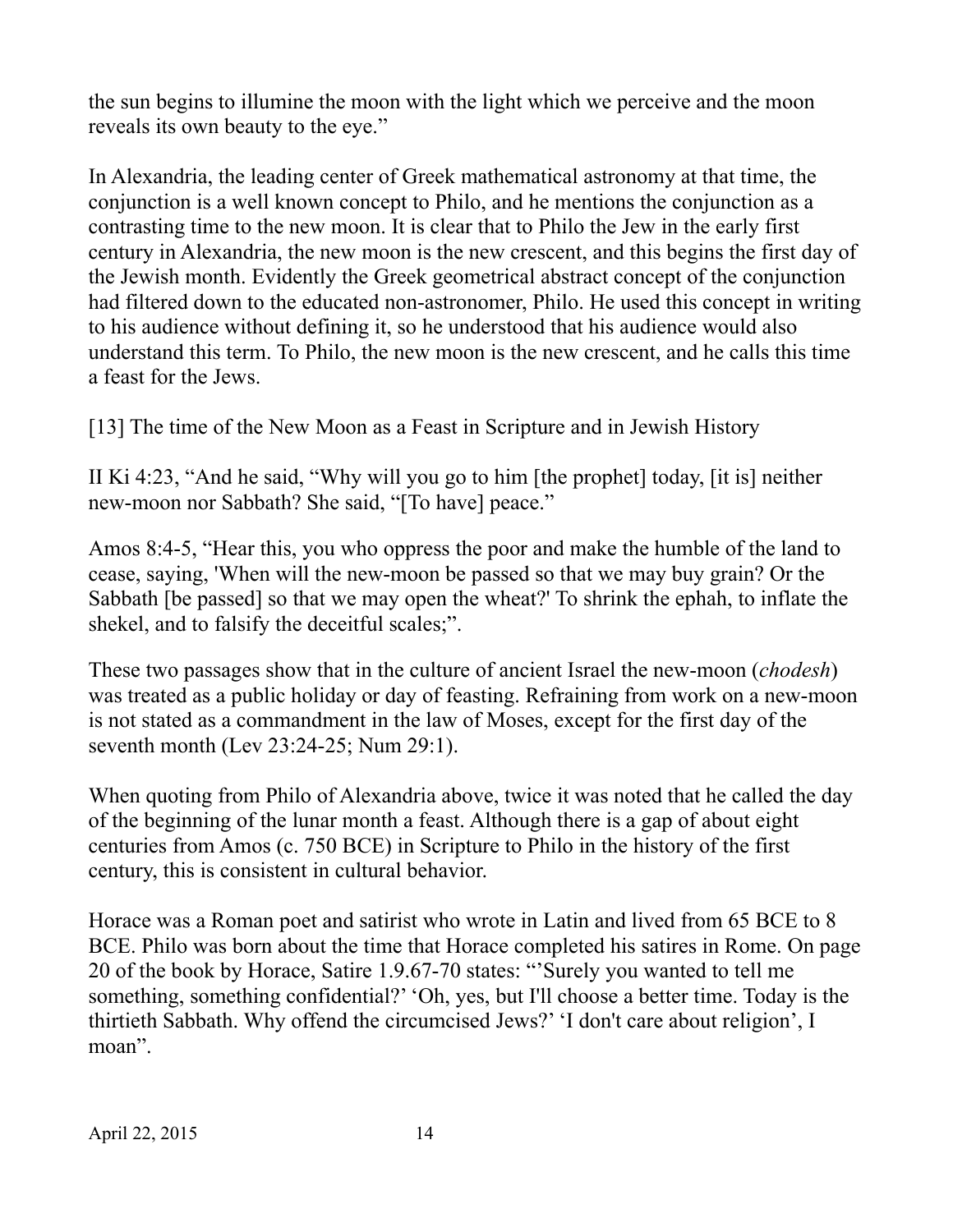the sun begins to illumine the moon with the light which we perceive and the moon reveals its own beauty to the eye."

In Alexandria, the leading center of Greek mathematical astronomy at that time, the conjunction is a well known concept to Philo, and he mentions the conjunction as a contrasting time to the new moon. It is clear that to Philo the Jew in the early first century in Alexandria, the new moon is the new crescent, and this begins the first day of the Jewish month. Evidently the Greek geometrical abstract concept of the conjunction had filtered down to the educated non-astronomer, Philo. He used this concept in writing to his audience without defining it, so he understood that his audience would also understand this term. To Philo, the new moon is the new crescent, and he calls this time a feast for the Jews.

[13] The time of the New Moon as a Feast in Scripture and in Jewish History

II Ki 4:23, "And he said, "Why will you go to him [the prophet] today, [it is] neither new-moon nor Sabbath? She said, "[To have] peace."

Amos 8:4-5, "Hear this, you who oppress the poor and make the humble of the land to cease, saying, 'When will the new-moon be passed so that we may buy grain? Or the Sabbath [be passed] so that we may open the wheat?' To shrink the ephah, to inflate the shekel, and to falsify the deceitful scales;".

These two passages show that in the culture of ancient Israel the new-moon (*chodesh*) was treated as a public holiday or day of feasting. Refraining from work on a new-moon is not stated as a commandment in the law of Moses, except for the first day of the seventh month (Lev 23:24-25; Num 29:1).

When quoting from Philo of Alexandria above, twice it was noted that he called the day of the beginning of the lunar month a feast. Although there is a gap of about eight centuries from Amos (c. 750 BCE) in Scripture to Philo in the history of the first century, this is consistent in cultural behavior.

Horace was a Roman poet and satirist who wrote in Latin and lived from 65 BCE to 8 BCE. Philo was born about the time that Horace completed his satires in Rome. On page 20 of the book by Horace, Satire 1.9.67-70 states: "'Surely you wanted to tell me something, something confidential?' 'Oh, yes, but I'll choose a better time. Today is the thirtieth Sabbath. Why offend the circumcised Jews?' 'I don't care about religion', I moan".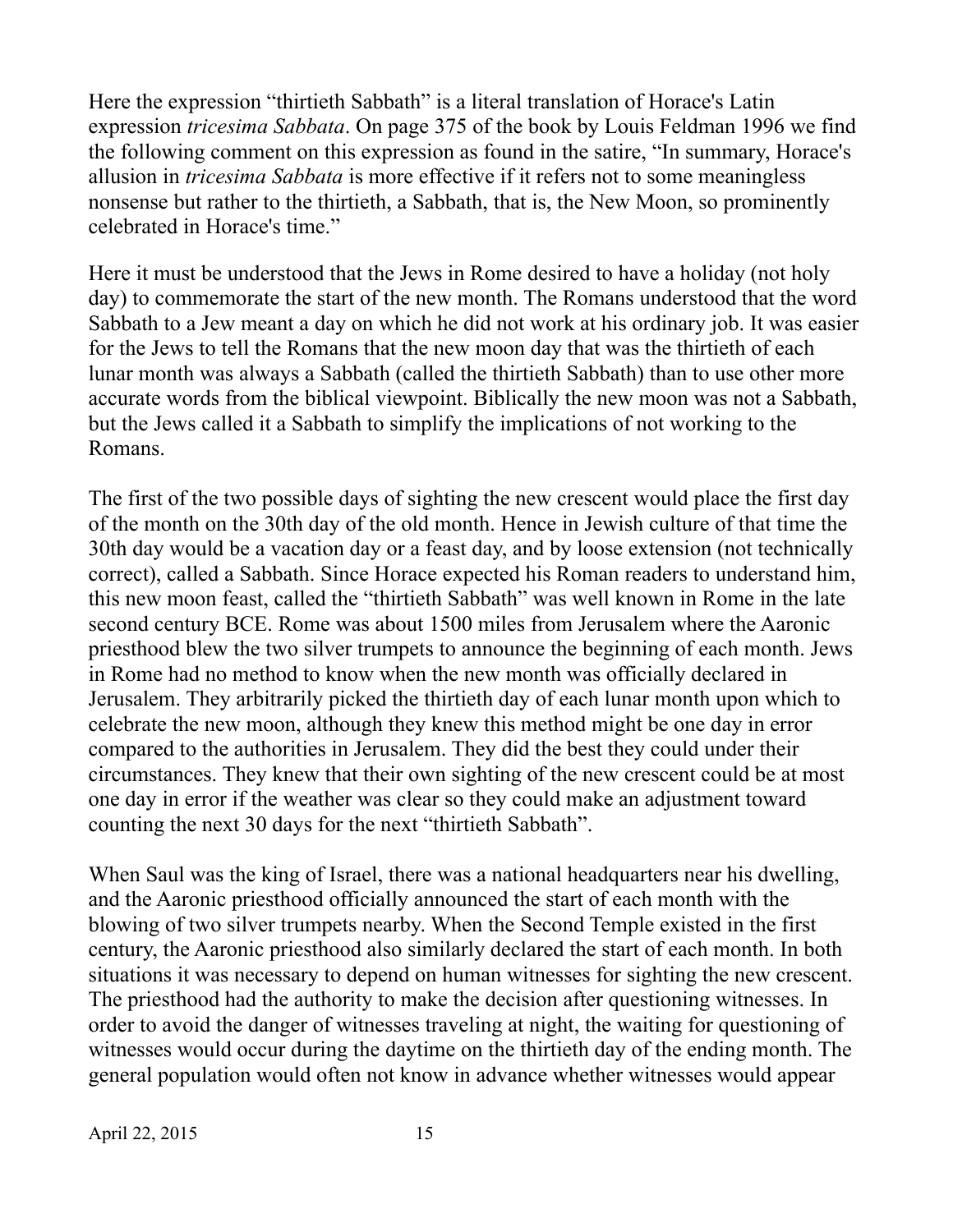Here the expression "thirtieth Sabbath" is a literal translation of Horace's Latin expression *tricesima Sabbata*. On page 375 of the book by Louis Feldman 1996 we find the following comment on this expression as found in the satire, "In summary, Horace's allusion in *tricesima Sabbata* is more effective if it refers not to some meaningless nonsense but rather to the thirtieth, a Sabbath, that is, the New Moon, so prominently celebrated in Horace's time."

Here it must be understood that the Jews in Rome desired to have a holiday (not holy day) to commemorate the start of the new month. The Romans understood that the word Sabbath to a Jew meant a day on which he did not work at his ordinary job. It was easier for the Jews to tell the Romans that the new moon day that was the thirtieth of each lunar month was always a Sabbath (called the thirtieth Sabbath) than to use other more accurate words from the biblical viewpoint. Biblically the new moon was not a Sabbath, but the Jews called it a Sabbath to simplify the implications of not working to the Romans.

The first of the two possible days of sighting the new crescent would place the first day of the month on the 30th day of the old month. Hence in Jewish culture of that time the 30th day would be a vacation day or a feast day, and by loose extension (not technically correct), called a Sabbath. Since Horace expected his Roman readers to understand him, this new moon feast, called the "thirtieth Sabbath" was well known in Rome in the late second century BCE. Rome was about 1500 miles from Jerusalem where the Aaronic priesthood blew the two silver trumpets to announce the beginning of each month. Jews in Rome had no method to know when the new month was officially declared in Jerusalem. They arbitrarily picked the thirtieth day of each lunar month upon which to celebrate the new moon, although they knew this method might be one day in error compared to the authorities in Jerusalem. They did the best they could under their circumstances. They knew that their own sighting of the new crescent could be at most one day in error if the weather was clear so they could make an adjustment toward counting the next 30 days for the next "thirtieth Sabbath".

When Saul was the king of Israel, there was a national headquarters near his dwelling, and the Aaronic priesthood officially announced the start of each month with the blowing of two silver trumpets nearby. When the Second Temple existed in the first century, the Aaronic priesthood also similarly declared the start of each month. In both situations it was necessary to depend on human witnesses for sighting the new crescent. The priesthood had the authority to make the decision after questioning witnesses. In order to avoid the danger of witnesses traveling at night, the waiting for questioning of witnesses would occur during the daytime on the thirtieth day of the ending month. The general population would often not know in advance whether witnesses would appear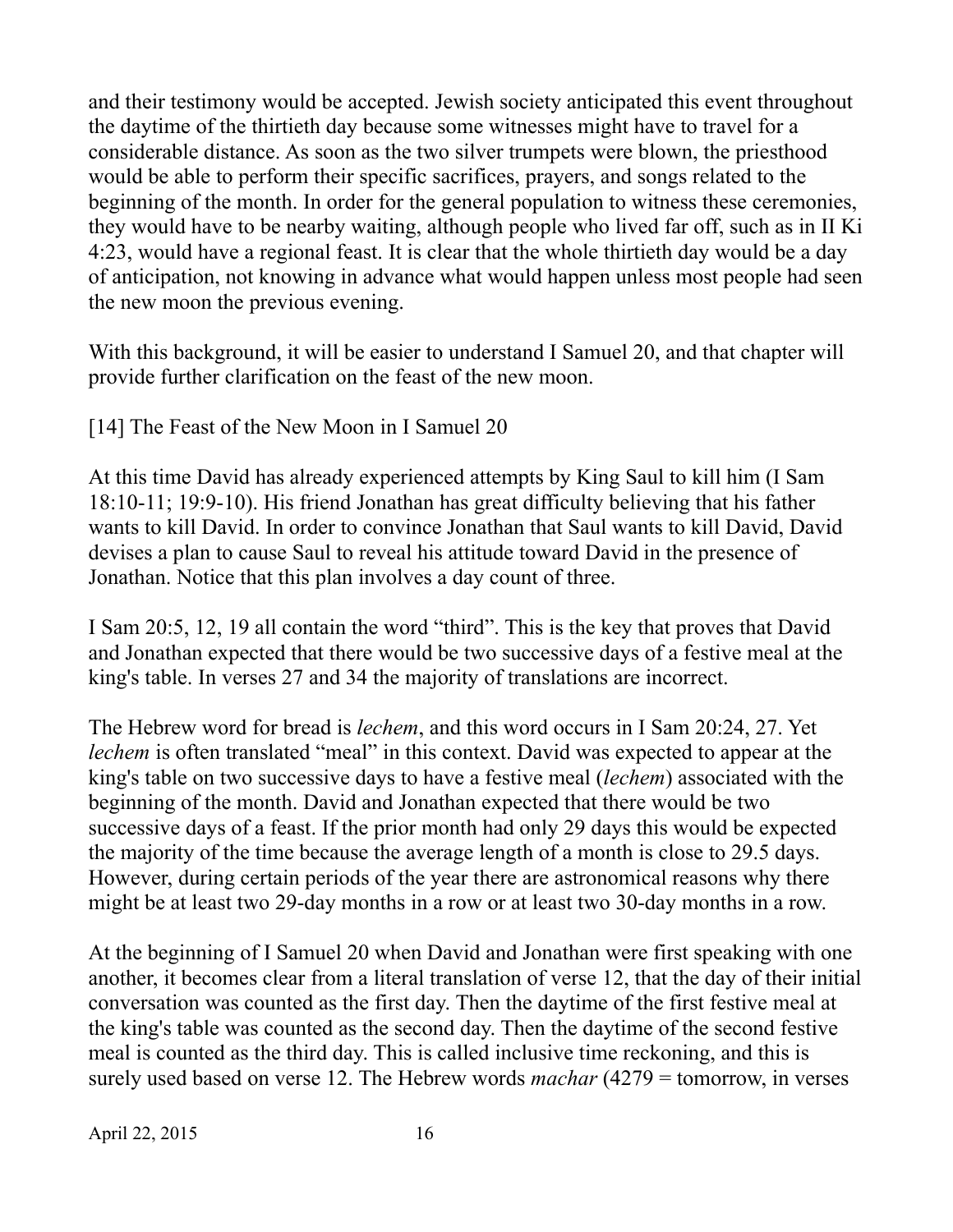and their testimony would be accepted. Jewish society anticipated this event throughout the daytime of the thirtieth day because some witnesses might have to travel for a considerable distance. As soon as the two silver trumpets were blown, the priesthood would be able to perform their specific sacrifices, prayers, and songs related to the beginning of the month. In order for the general population to witness these ceremonies, they would have to be nearby waiting, although people who lived far off, such as in II Ki 4:23, would have a regional feast. It is clear that the whole thirtieth day would be a day of anticipation, not knowing in advance what would happen unless most people had seen the new moon the previous evening.

With this background, it will be easier to understand I Samuel 20, and that chapter will provide further clarification on the feast of the new moon.

[14] The Feast of the New Moon in I Samuel 20

At this time David has already experienced attempts by King Saul to kill him (I Sam 18:10-11; 19:9-10). His friend Jonathan has great difficulty believing that his father wants to kill David. In order to convince Jonathan that Saul wants to kill David, David devises a plan to cause Saul to reveal his attitude toward David in the presence of Jonathan. Notice that this plan involves a day count of three.

I Sam 20:5, 12, 19 all contain the word "third". This is the key that proves that David and Jonathan expected that there would be two successive days of a festive meal at the king's table. In verses 27 and 34 the majority of translations are incorrect.

The Hebrew word for bread is *lechem*, and this word occurs in I Sam 20:24, 27. Yet *lechem* is often translated "meal" in this context. David was expected to appear at the king's table on two successive days to have a festive meal (*lechem*) associated with the beginning of the month. David and Jonathan expected that there would be two successive days of a feast. If the prior month had only 29 days this would be expected the majority of the time because the average length of a month is close to 29.5 days. However, during certain periods of the year there are astronomical reasons why there might be at least two 29-day months in a row or at least two 30-day months in a row.

At the beginning of I Samuel 20 when David and Jonathan were first speaking with one another, it becomes clear from a literal translation of verse 12, that the day of their initial conversation was counted as the first day. Then the daytime of the first festive meal at the king's table was counted as the second day. Then the daytime of the second festive meal is counted as the third day. This is called inclusive time reckoning, and this is surely used based on verse 12. The Hebrew words *machar* (4279 = tomorrow, in verses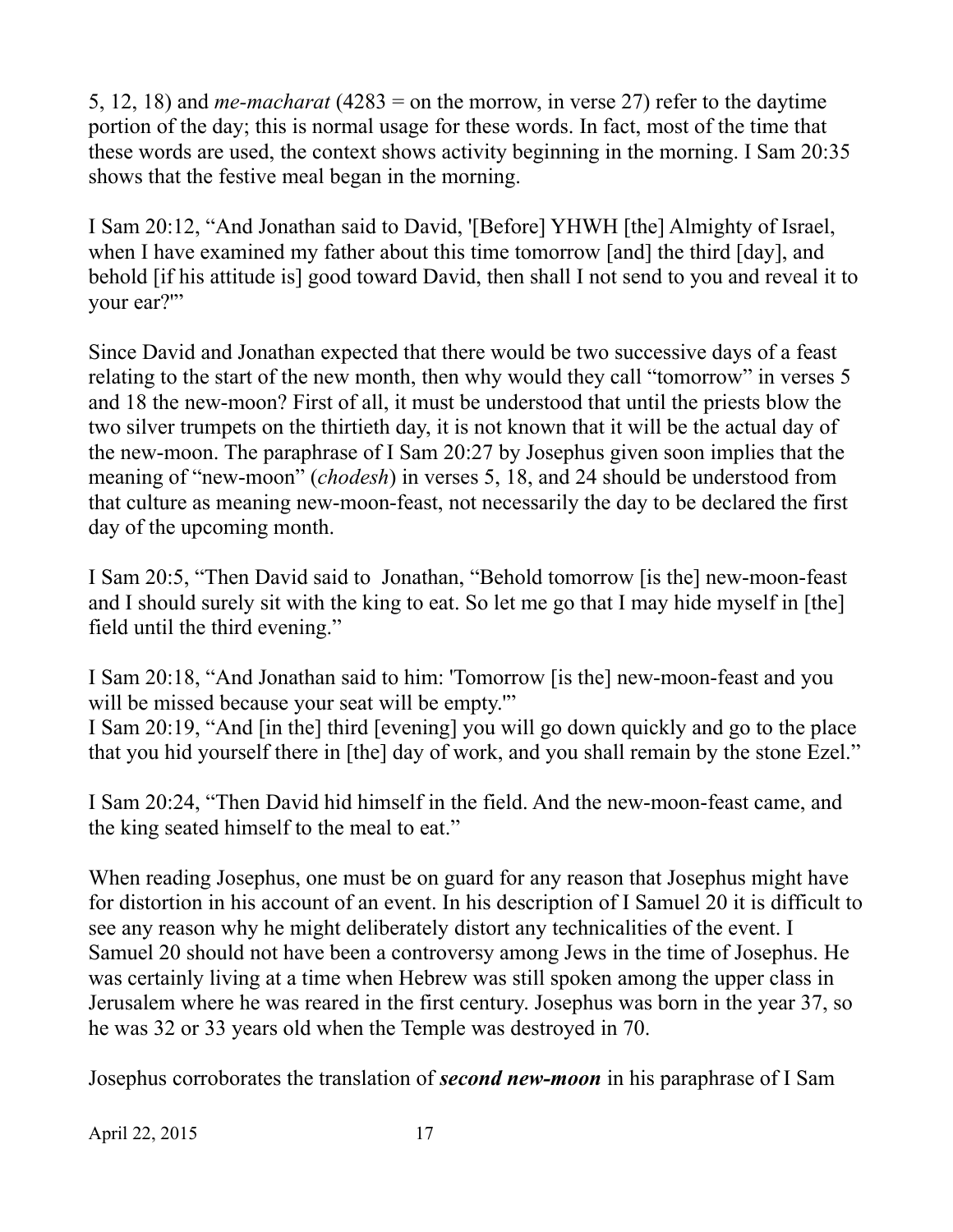5, 12, 18) and *me-macharat* (4283 = on the morrow, in verse 27) refer to the daytime portion of the day; this is normal usage for these words. In fact, most of the time that these words are used, the context shows activity beginning in the morning. I Sam 20:35 shows that the festive meal began in the morning.

I Sam 20:12, "And Jonathan said to David, '[Before] YHWH [the] Almighty of Israel, when I have examined my father about this time tomorrow [and] the third [day], and behold [if his attitude is] good toward David, then shall I not send to you and reveal it to your ear?"

Since David and Jonathan expected that there would be two successive days of a feast relating to the start of the new month, then why would they call "tomorrow" in verses 5 and 18 the new-moon? First of all, it must be understood that until the priests blow the two silver trumpets on the thirtieth day, it is not known that it will be the actual day of the new-moon. The paraphrase of I Sam 20:27 by Josephus given soon implies that the meaning of "new-moon" (*chodesh*) in verses 5, 18, and 24 should be understood from that culture as meaning new-moon-feast, not necessarily the day to be declared the first day of the upcoming month.

I Sam 20:5, "Then David said to Jonathan, "Behold tomorrow [is the] new-moon-feast and I should surely sit with the king to eat. So let me go that I may hide myself in [the] field until the third evening."

I Sam 20:18, "And Jonathan said to him: 'Tomorrow [is the] new-moon-feast and you will be missed because your seat will be empty."

I Sam 20:19, "And [in the] third [evening] you will go down quickly and go to the place that you hid yourself there in [the] day of work, and you shall remain by the stone Ezel."

I Sam 20:24, "Then David hid himself in the field. And the new-moon-feast came, and the king seated himself to the meal to eat."

When reading Josephus, one must be on guard for any reason that Josephus might have for distortion in his account of an event. In his description of I Samuel 20 it is difficult to see any reason why he might deliberately distort any technicalities of the event. I Samuel 20 should not have been a controversy among Jews in the time of Josephus. He was certainly living at a time when Hebrew was still spoken among the upper class in Jerusalem where he was reared in the first century. Josephus was born in the year 37, so he was 32 or 33 years old when the Temple was destroyed in 70.

Josephus corroborates the translation of *second new-moon* in his paraphrase of I Sam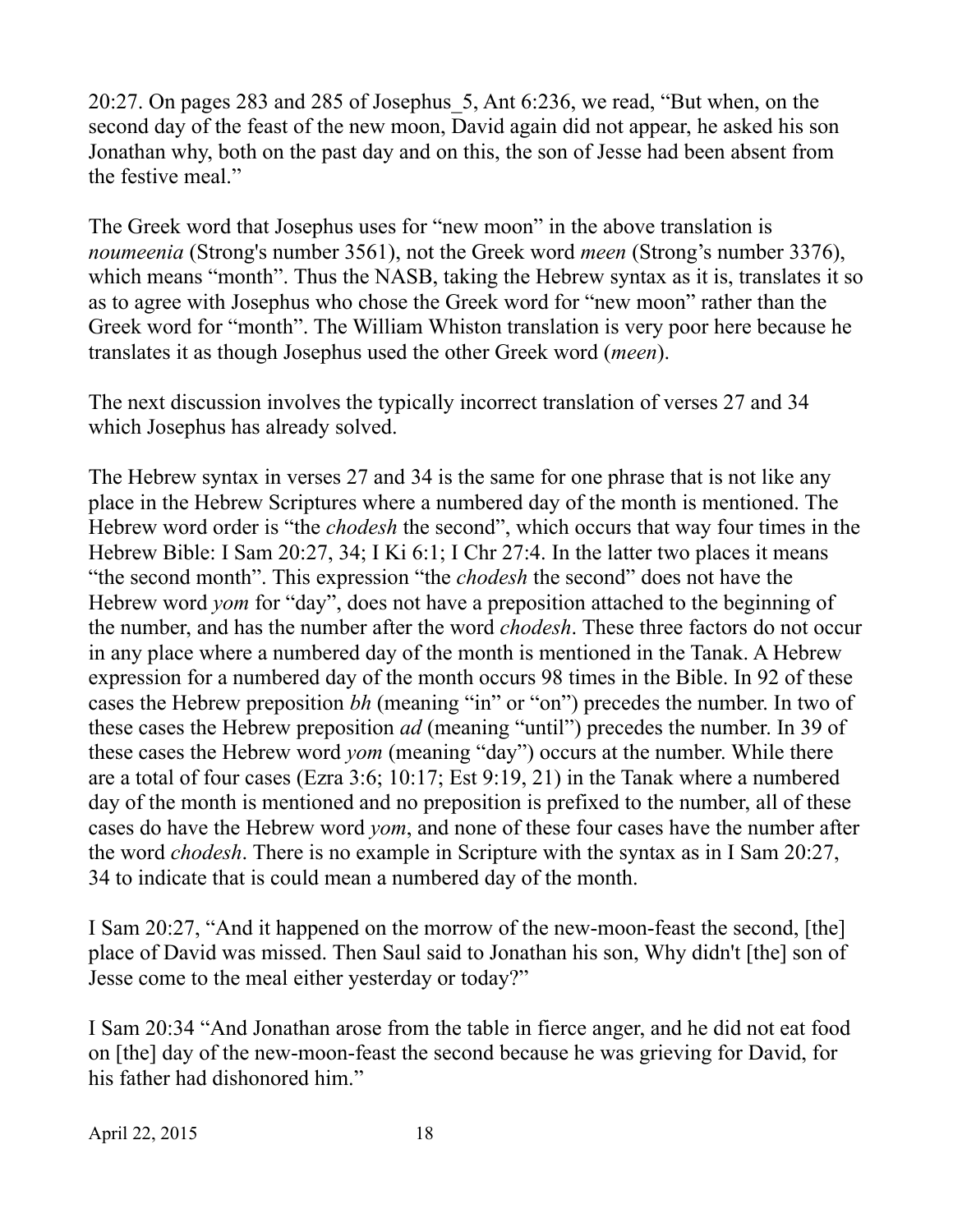20:27. On pages 283 and 285 of Josephus\_5, Ant 6:236, we read, "But when, on the second day of the feast of the new moon, David again did not appear, he asked his son Jonathan why, both on the past day and on this, the son of Jesse had been absent from the festive meal."

The Greek word that Josephus uses for "new moon" in the above translation is *noumeenia* (Strong's number 3561), not the Greek word *meen* (Strong's number 3376), which means "month". Thus the NASB, taking the Hebrew syntax as it is, translates it so as to agree with Josephus who chose the Greek word for "new moon" rather than the Greek word for "month". The William Whiston translation is very poor here because he translates it as though Josephus used the other Greek word (*meen*).

The next discussion involves the typically incorrect translation of verses 27 and 34 which Josephus has already solved.

The Hebrew syntax in verses 27 and 34 is the same for one phrase that is not like any place in the Hebrew Scriptures where a numbered day of the month is mentioned. The Hebrew word order is "the *chodesh* the second", which occurs that way four times in the Hebrew Bible: I Sam 20:27, 34; I Ki 6:1; I Chr 27:4. In the latter two places it means "the second month". This expression "the *chodesh* the second" does not have the Hebrew word *yom* for "day", does not have a preposition attached to the beginning of the number, and has the number after the word *chodesh*. These three factors do not occur in any place where a numbered day of the month is mentioned in the Tanak. A Hebrew expression for a numbered day of the month occurs 98 times in the Bible. In 92 of these cases the Hebrew preposition *bh* (meaning "in" or "on") precedes the number. In two of these cases the Hebrew preposition *ad* (meaning "until") precedes the number. In 39 of these cases the Hebrew word *yom* (meaning "day") occurs at the number. While there are a total of four cases (Ezra 3:6; 10:17; Est 9:19, 21) in the Tanak where a numbered day of the month is mentioned and no preposition is prefixed to the number, all of these cases do have the Hebrew word *yom*, and none of these four cases have the number after the word *chodesh*. There is no example in Scripture with the syntax as in I Sam 20:27, 34 to indicate that is could mean a numbered day of the month.

I Sam 20:27, "And it happened on the morrow of the new-moon-feast the second, [the] place of David was missed. Then Saul said to Jonathan his son, Why didn't [the] son of Jesse come to the meal either yesterday or today?"

I Sam 20:34 "And Jonathan arose from the table in fierce anger, and he did not eat food on [the] day of the new-moon-feast the second because he was grieving for David, for his father had dishonored him."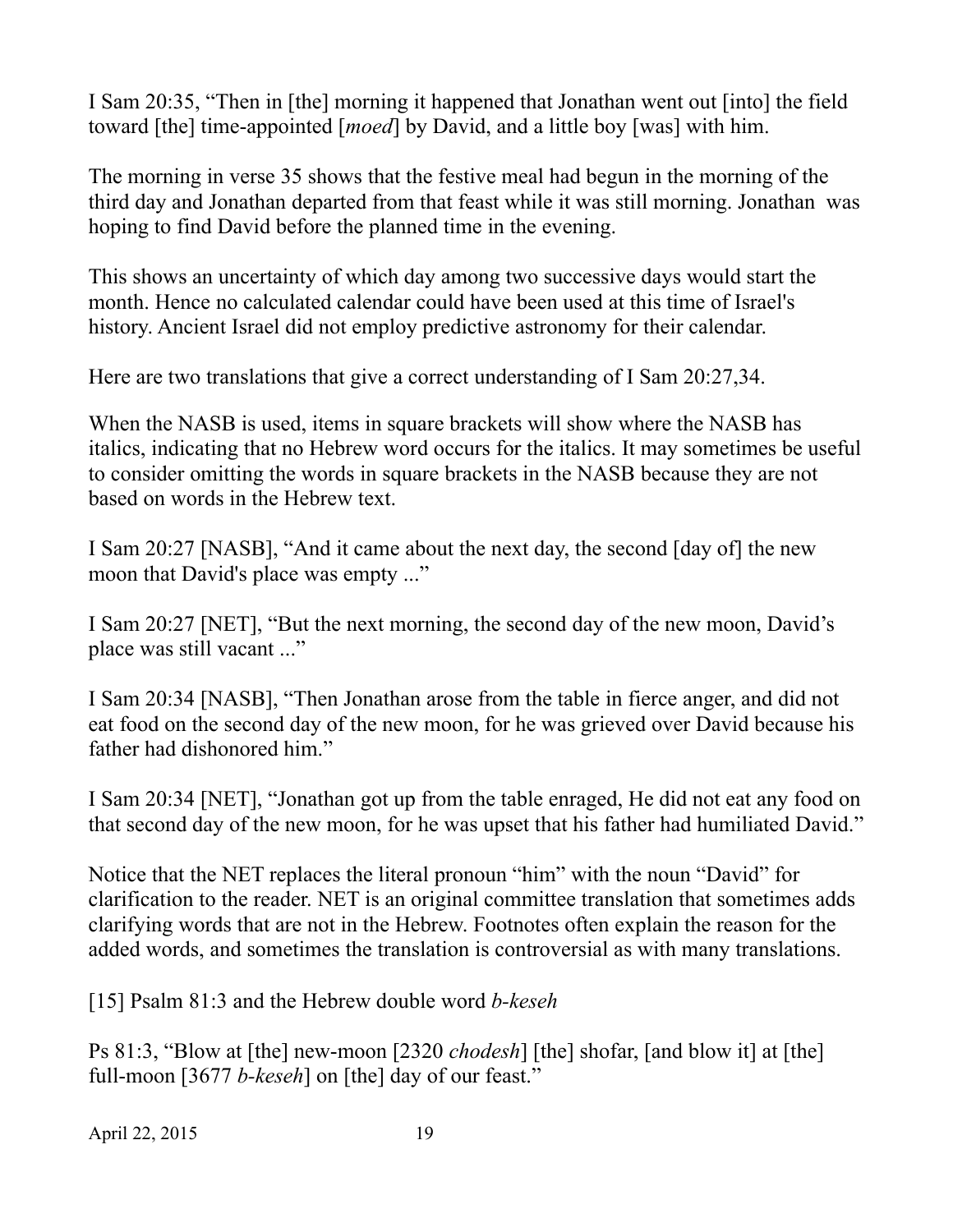I Sam 20:35, "Then in [the] morning it happened that Jonathan went out [into] the field toward [the] time-appointed [*moed*] by David, and a little boy [was] with him.

The morning in verse 35 shows that the festive meal had begun in the morning of the third day and Jonathan departed from that feast while it was still morning. Jonathan was hoping to find David before the planned time in the evening.

This shows an uncertainty of which day among two successive days would start the month. Hence no calculated calendar could have been used at this time of Israel's history. Ancient Israel did not employ predictive astronomy for their calendar.

Here are two translations that give a correct understanding of I Sam 20:27,34.

When the NASB is used, items in square brackets will show where the NASB has italics, indicating that no Hebrew word occurs for the italics. It may sometimes be useful to consider omitting the words in square brackets in the NASB because they are not based on words in the Hebrew text.

I Sam 20:27 [NASB], "And it came about the next day, the second [day of] the new moon that David's place was empty ..."

I Sam 20:27 [NET], "But the next morning, the second day of the new moon, David's place was still vacant ..."

I Sam 20:34 [NASB], "Then Jonathan arose from the table in fierce anger, and did not eat food on the second day of the new moon, for he was grieved over David because his father had dishonored him."

I Sam 20:34 [NET], "Jonathan got up from the table enraged, He did not eat any food on that second day of the new moon, for he was upset that his father had humiliated David."

Notice that the NET replaces the literal pronoun "him" with the noun "David" for clarification to the reader. NET is an original committee translation that sometimes adds clarifying words that are not in the Hebrew. Footnotes often explain the reason for the added words, and sometimes the translation is controversial as with many translations.

[15] Psalm 81:3 and the Hebrew double word *b-keseh*

Ps 81:3, "Blow at [the] new-moon [2320 *chodesh*] [the] shofar, [and blow it] at [the] full-moon [3677 *b-keseh*] on [the] day of our feast."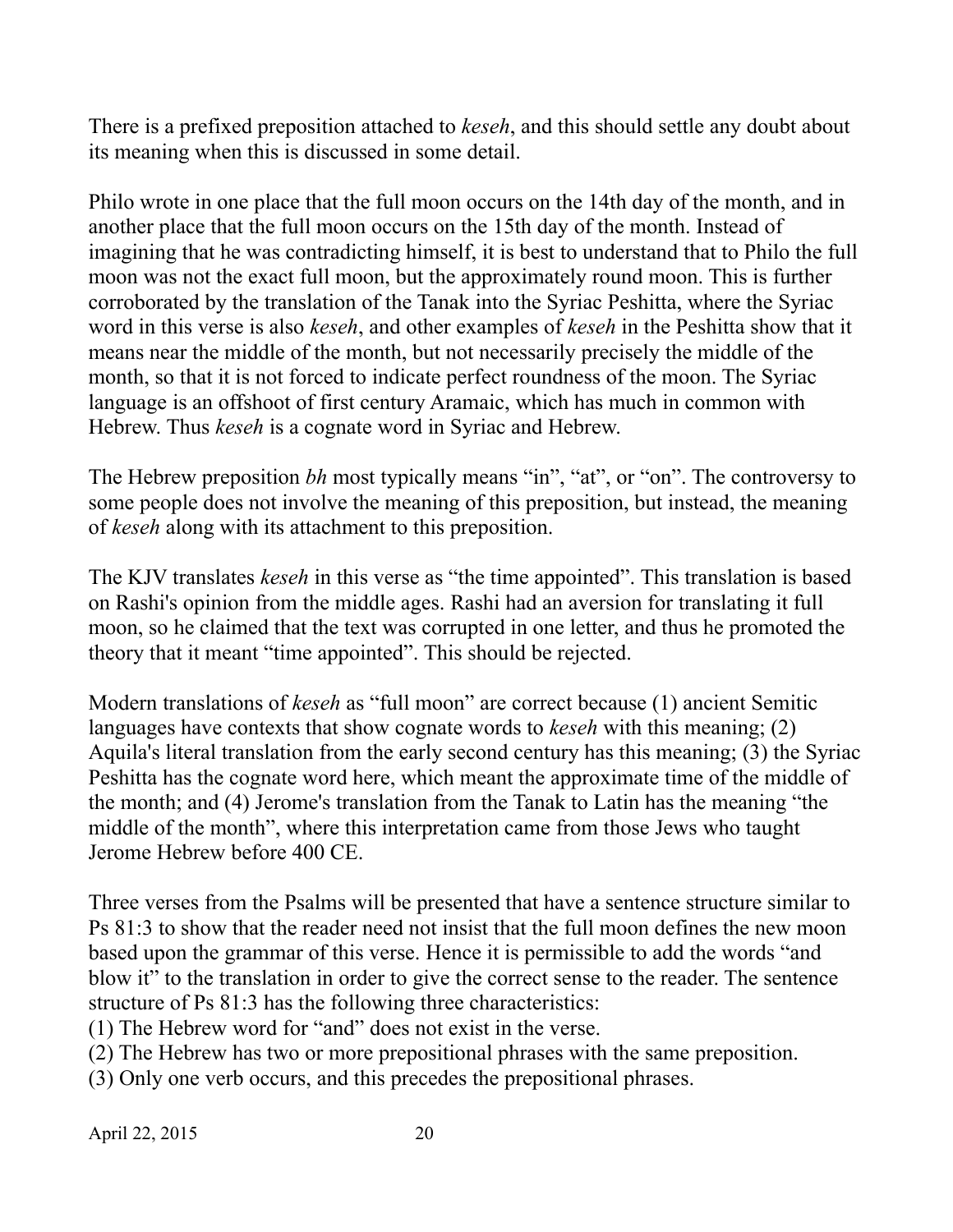There is a prefixed preposition attached to *keseh*, and this should settle any doubt about its meaning when this is discussed in some detail.

Philo wrote in one place that the full moon occurs on the 14th day of the month, and in another place that the full moon occurs on the 15th day of the month. Instead of imagining that he was contradicting himself, it is best to understand that to Philo the full moon was not the exact full moon, but the approximately round moon. This is further corroborated by the translation of the Tanak into the Syriac Peshitta, where the Syriac word in this verse is also *keseh*, and other examples of *keseh* in the Peshitta show that it means near the middle of the month, but not necessarily precisely the middle of the month, so that it is not forced to indicate perfect roundness of the moon. The Syriac language is an offshoot of first century Aramaic, which has much in common with Hebrew. Thus *keseh* is a cognate word in Syriac and Hebrew.

The Hebrew preposition *bh* most typically means "in", "at", or "on". The controversy to some people does not involve the meaning of this preposition, but instead, the meaning of *keseh* along with its attachment to this preposition.

The KJV translates *keseh* in this verse as "the time appointed". This translation is based on Rashi's opinion from the middle ages. Rashi had an aversion for translating it full moon, so he claimed that the text was corrupted in one letter, and thus he promoted the theory that it meant "time appointed". This should be rejected.

Modern translations of *keseh* as "full moon" are correct because (1) ancient Semitic languages have contexts that show cognate words to *keseh* with this meaning; (2) Aquila's literal translation from the early second century has this meaning; (3) the Syriac Peshitta has the cognate word here, which meant the approximate time of the middle of the month; and (4) Jerome's translation from the Tanak to Latin has the meaning "the middle of the month", where this interpretation came from those Jews who taught Jerome Hebrew before 400 CE.

Three verses from the Psalms will be presented that have a sentence structure similar to Ps 81:3 to show that the reader need not insist that the full moon defines the new moon based upon the grammar of this verse. Hence it is permissible to add the words "and blow it" to the translation in order to give the correct sense to the reader. The sentence structure of Ps 81:3 has the following three characteristics:

(1) The Hebrew word for "and" does not exist in the verse.

(2) The Hebrew has two or more prepositional phrases with the same preposition.

(3) Only one verb occurs, and this precedes the prepositional phrases.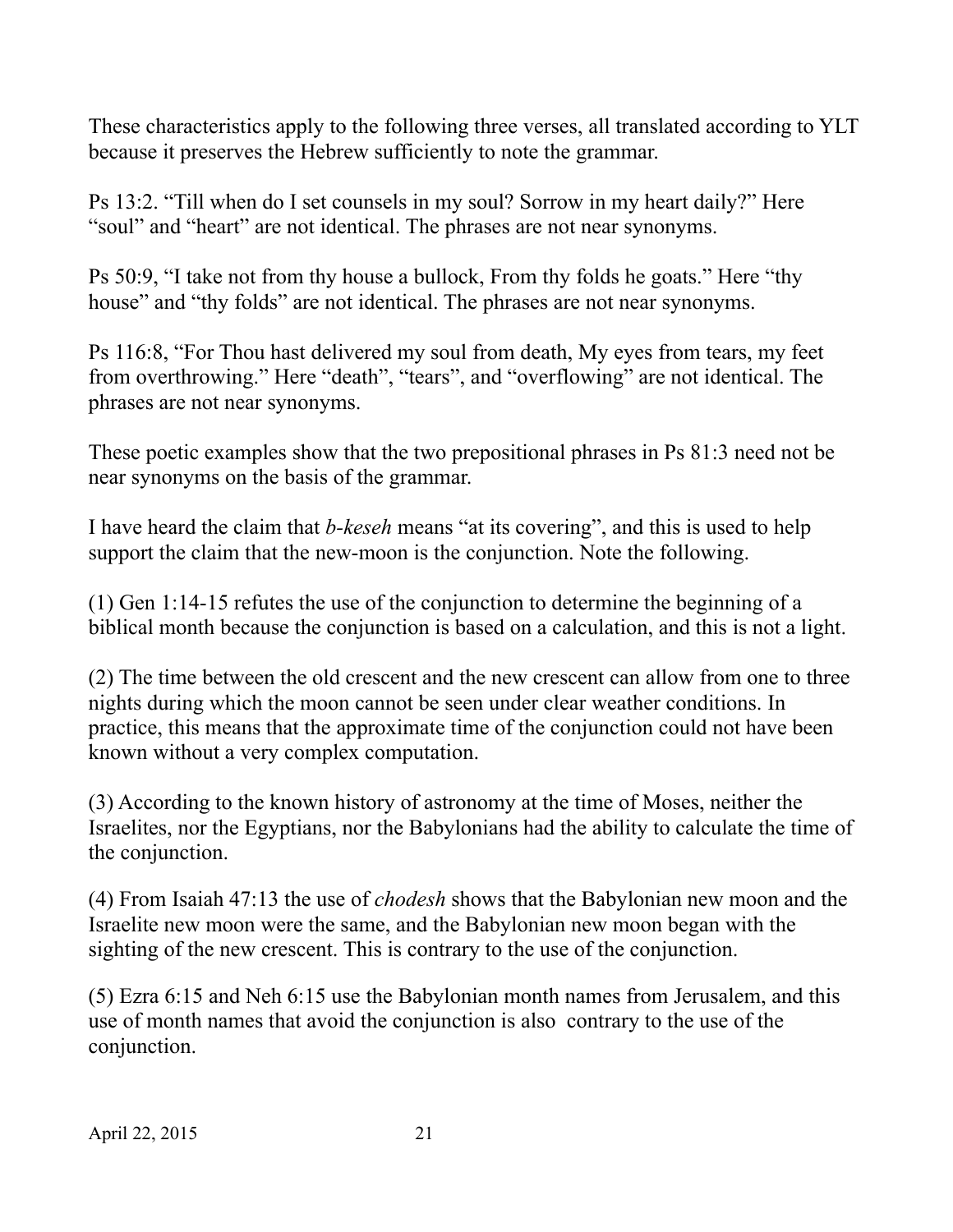These characteristics apply to the following three verses, all translated according to YLT because it preserves the Hebrew sufficiently to note the grammar.

Ps 13:2. "Till when do I set counsels in my soul? Sorrow in my heart daily?" Here "soul" and "heart" are not identical. The phrases are not near synonyms.

Ps 50:9, "I take not from thy house a bullock, From thy folds he goats." Here "thy house" and "thy folds" are not identical. The phrases are not near synonyms.

Ps 116:8, "For Thou hast delivered my soul from death, My eyes from tears, my feet from overthrowing." Here "death", "tears", and "overflowing" are not identical. The phrases are not near synonyms.

These poetic examples show that the two prepositional phrases in Ps 81:3 need not be near synonyms on the basis of the grammar.

I have heard the claim that *b-keseh* means "at its covering", and this is used to help support the claim that the new-moon is the conjunction. Note the following.

(1) Gen 1:14-15 refutes the use of the conjunction to determine the beginning of a biblical month because the conjunction is based on a calculation, and this is not a light.

(2) The time between the old crescent and the new crescent can allow from one to three nights during which the moon cannot be seen under clear weather conditions. In practice, this means that the approximate time of the conjunction could not have been known without a very complex computation.

(3) According to the known history of astronomy at the time of Moses, neither the Israelites, nor the Egyptians, nor the Babylonians had the ability to calculate the time of the conjunction.

(4) From Isaiah 47:13 the use of *chodesh* shows that the Babylonian new moon and the Israelite new moon were the same, and the Babylonian new moon began with the sighting of the new crescent. This is contrary to the use of the conjunction.

(5) Ezra 6:15 and Neh 6:15 use the Babylonian month names from Jerusalem, and this use of month names that avoid the conjunction is also contrary to the use of the conjunction.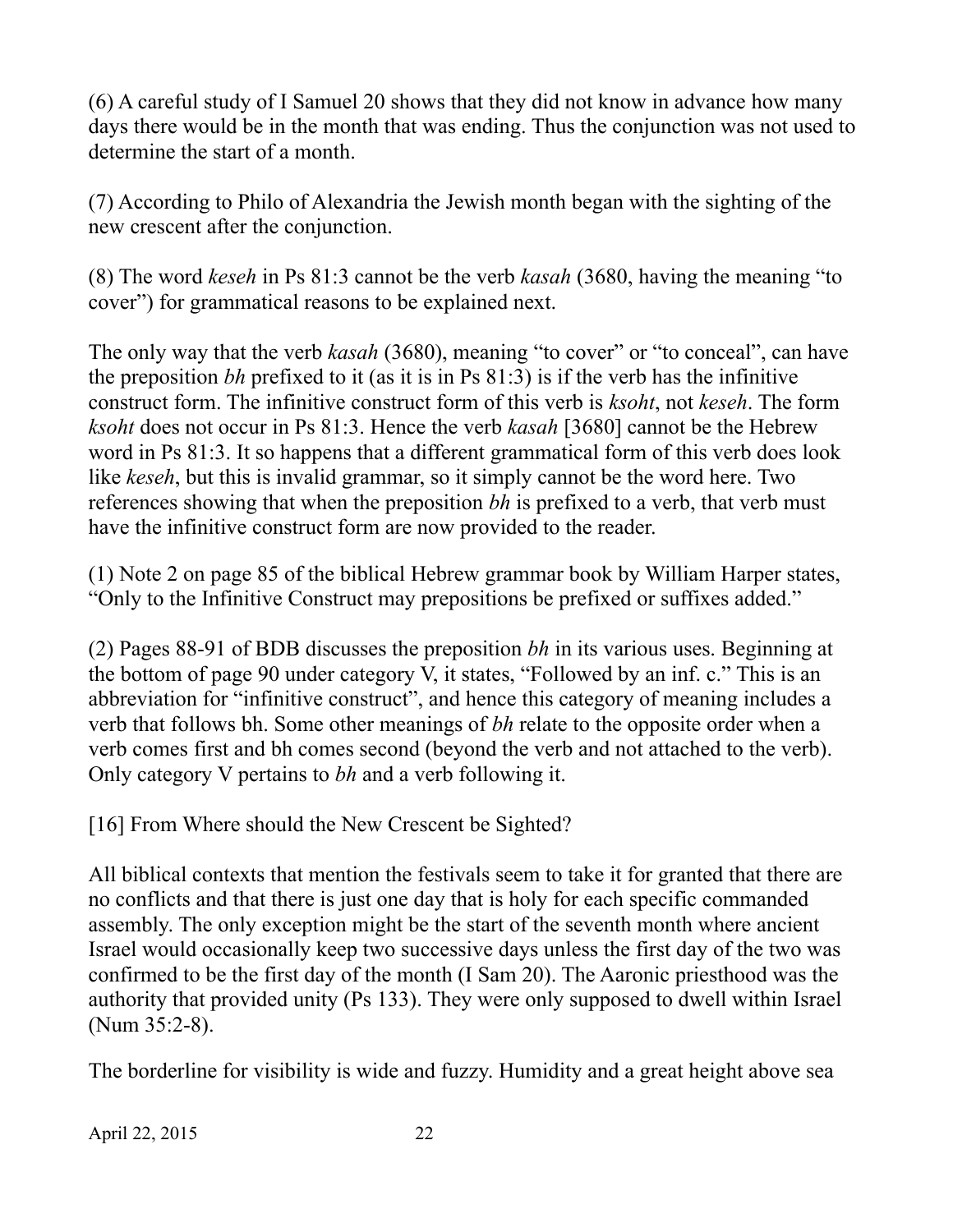(6) A careful study of I Samuel 20 shows that they did not know in advance how many days there would be in the month that was ending. Thus the conjunction was not used to determine the start of a month.

(7) According to Philo of Alexandria the Jewish month began with the sighting of the new crescent after the conjunction.

(8) The word *keseh* in Ps 81:3 cannot be the verb *kasah* (3680, having the meaning "to cover") for grammatical reasons to be explained next.

The only way that the verb *kasah* (3680), meaning "to cover" or "to conceal", can have the preposition *bh* prefixed to it (as it is in Ps 81:3) is if the verb has the infinitive construct form. The infinitive construct form of this verb is *ksoht*, not *keseh*. The form *ksoht* does not occur in Ps 81:3. Hence the verb *kasah* [3680] cannot be the Hebrew word in Ps 81:3. It so happens that a different grammatical form of this verb does look like *keseh*, but this is invalid grammar, so it simply cannot be the word here. Two references showing that when the preposition *bh* is prefixed to a verb, that verb must have the infinitive construct form are now provided to the reader.

(1) Note 2 on page 85 of the biblical Hebrew grammar book by William Harper states, "Only to the Infinitive Construct may prepositions be prefixed or suffixes added."

(2) Pages 88-91 of BDB discusses the preposition *bh* in its various uses. Beginning at the bottom of page 90 under category V, it states, "Followed by an inf. c." This is an abbreviation for "infinitive construct", and hence this category of meaning includes a verb that follows bh. Some other meanings of *bh* relate to the opposite order when a verb comes first and bh comes second (beyond the verb and not attached to the verb). Only category V pertains to *bh* and a verb following it.

[16] From Where should the New Crescent be Sighted?

All biblical contexts that mention the festivals seem to take it for granted that there are no conflicts and that there is just one day that is holy for each specific commanded assembly. The only exception might be the start of the seventh month where ancient Israel would occasionally keep two successive days unless the first day of the two was confirmed to be the first day of the month (I Sam 20). The Aaronic priesthood was the authority that provided unity (Ps 133). They were only supposed to dwell within Israel (Num 35:2-8).

The borderline for visibility is wide and fuzzy. Humidity and a great height above sea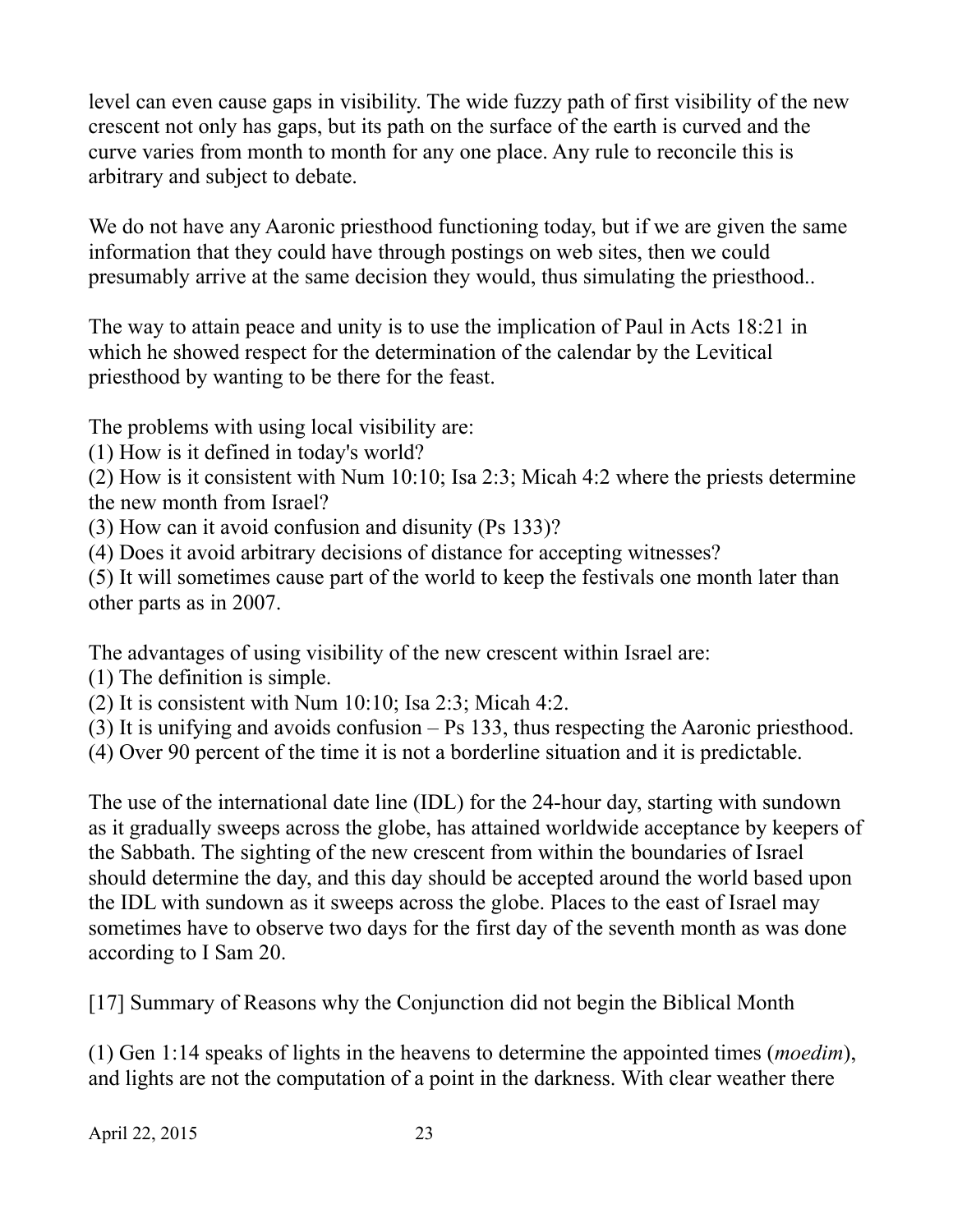level can even cause gaps in visibility. The wide fuzzy path of first visibility of the new crescent not only has gaps, but its path on the surface of the earth is curved and the curve varies from month to month for any one place. Any rule to reconcile this is arbitrary and subject to debate.

We do not have any Aaronic priesthood functioning today, but if we are given the same information that they could have through postings on web sites, then we could presumably arrive at the same decision they would, thus simulating the priesthood..

The way to attain peace and unity is to use the implication of Paul in Acts 18:21 in which he showed respect for the determination of the calendar by the Levitical priesthood by wanting to be there for the feast.

The problems with using local visibility are:

(1) How is it defined in today's world?

(2) How is it consistent with Num 10:10; Isa 2:3; Micah 4:2 where the priests determine the new month from Israel?

(3) How can it avoid confusion and disunity (Ps 133)?

(4) Does it avoid arbitrary decisions of distance for accepting witnesses?

(5) It will sometimes cause part of the world to keep the festivals one month later than other parts as in 2007.

The advantages of using visibility of the new crescent within Israel are:

(1) The definition is simple.

(2) It is consistent with Num 10:10; Isa 2:3; Micah 4:2.

(3) It is unifying and avoids confusion – Ps 133, thus respecting the Aaronic priesthood.

(4) Over 90 percent of the time it is not a borderline situation and it is predictable.

The use of the international date line (IDL) for the 24-hour day, starting with sundown as it gradually sweeps across the globe, has attained worldwide acceptance by keepers of the Sabbath. The sighting of the new crescent from within the boundaries of Israel should determine the day, and this day should be accepted around the world based upon the IDL with sundown as it sweeps across the globe. Places to the east of Israel may sometimes have to observe two days for the first day of the seventh month as was done according to I Sam 20.

[17] Summary of Reasons why the Conjunction did not begin the Biblical Month

(1) Gen 1:14 speaks of lights in the heavens to determine the appointed times (*moedim*), and lights are not the computation of a point in the darkness. With clear weather there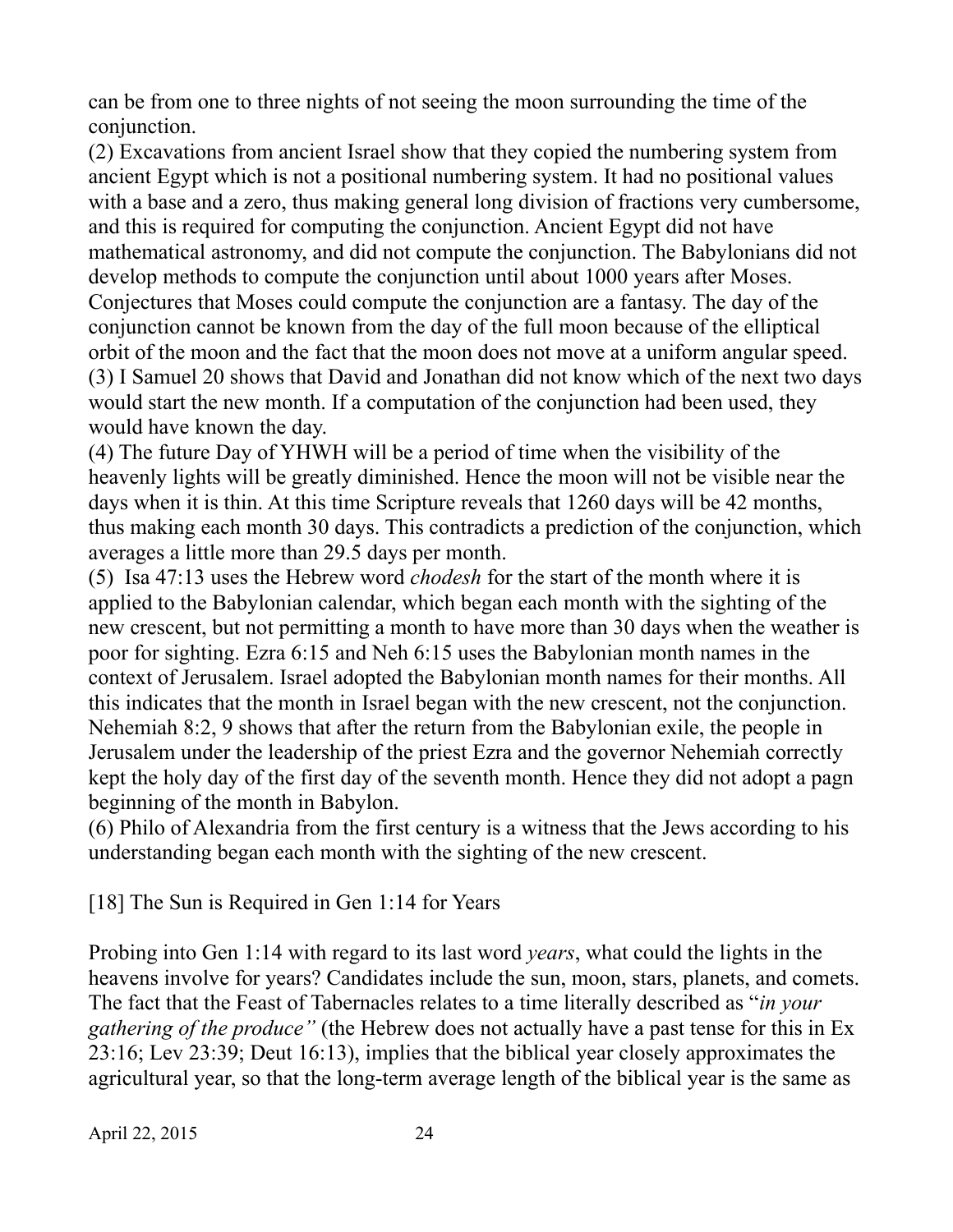can be from one to three nights of not seeing the moon surrounding the time of the conjunction.

(2) Excavations from ancient Israel show that they copied the numbering system from ancient Egypt which is not a positional numbering system. It had no positional values with a base and a zero, thus making general long division of fractions very cumbersome, and this is required for computing the conjunction. Ancient Egypt did not have mathematical astronomy, and did not compute the conjunction. The Babylonians did not develop methods to compute the conjunction until about 1000 years after Moses. Conjectures that Moses could compute the conjunction are a fantasy. The day of the conjunction cannot be known from the day of the full moon because of the elliptical orbit of the moon and the fact that the moon does not move at a uniform angular speed. (3) I Samuel 20 shows that David and Jonathan did not know which of the next two days would start the new month. If a computation of the conjunction had been used, they would have known the day.

(4) The future Day of YHWH will be a period of time when the visibility of the heavenly lights will be greatly diminished. Hence the moon will not be visible near the days when it is thin. At this time Scripture reveals that 1260 days will be 42 months, thus making each month 30 days. This contradicts a prediction of the conjunction, which averages a little more than 29.5 days per month.

(5) Isa 47:13 uses the Hebrew word *chodesh* for the start of the month where it is applied to the Babylonian calendar, which began each month with the sighting of the new crescent, but not permitting a month to have more than 30 days when the weather is poor for sighting. Ezra 6:15 and Neh 6:15 uses the Babylonian month names in the context of Jerusalem. Israel adopted the Babylonian month names for their months. All this indicates that the month in Israel began with the new crescent, not the conjunction. Nehemiah 8:2, 9 shows that after the return from the Babylonian exile, the people in Jerusalem under the leadership of the priest Ezra and the governor Nehemiah correctly kept the holy day of the first day of the seventh month. Hence they did not adopt a pagn beginning of the month in Babylon.

(6) Philo of Alexandria from the first century is a witness that the Jews according to his understanding began each month with the sighting of the new crescent.

[18] The Sun is Required in Gen 1:14 for Years

Probing into Gen 1:14 with regard to its last word *years*, what could the lights in the heavens involve for years? Candidates include the sun, moon, stars, planets, and comets. The fact that the Feast of Tabernacles relates to a time literally described as "*in your gathering of the produce"* (the Hebrew does not actually have a past tense for this in Ex 23:16; Lev 23:39; Deut 16:13), implies that the biblical year closely approximates the agricultural year, so that the long-term average length of the biblical year is the same as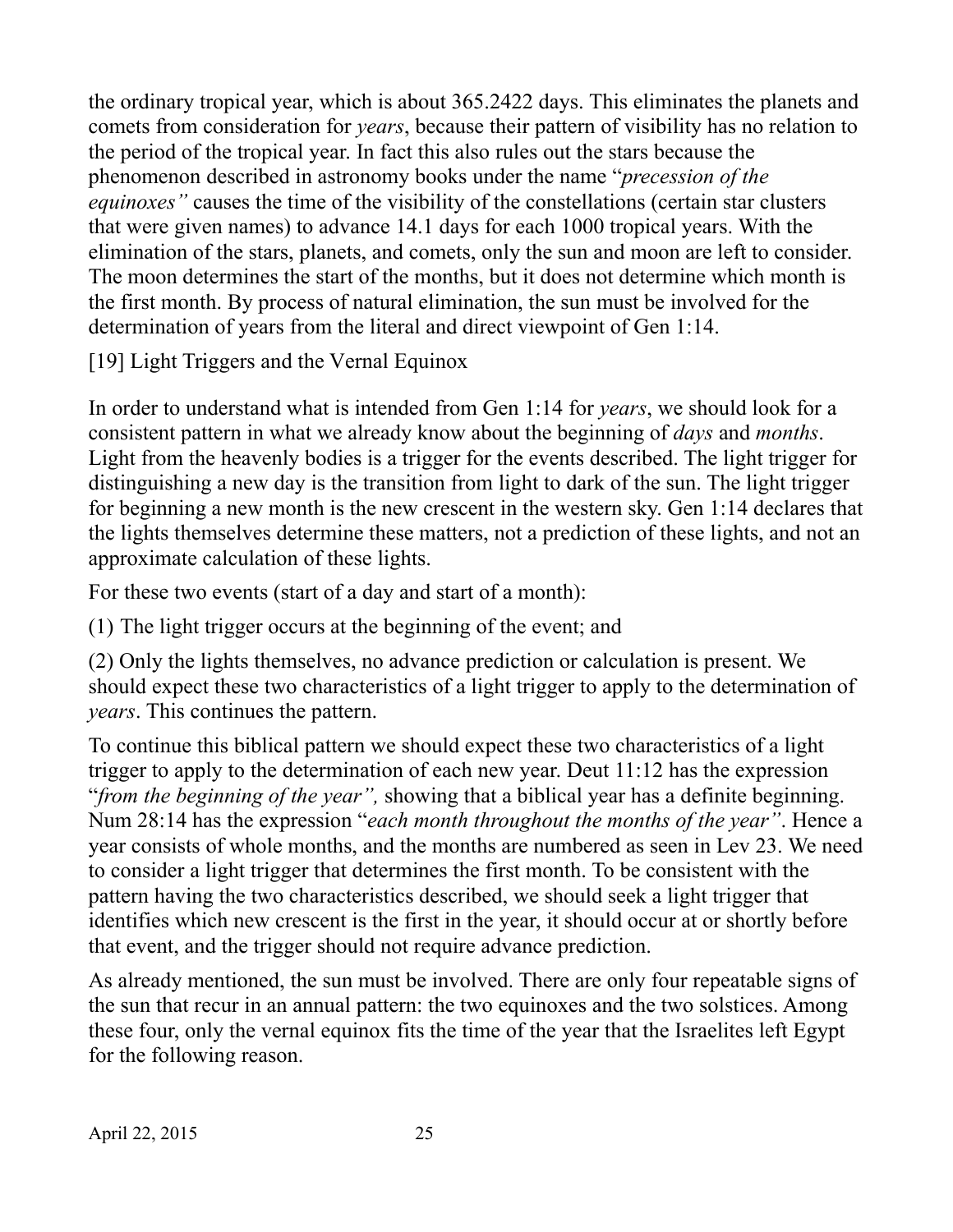the ordinary tropical year, which is about 365.2422 days. This eliminates the planets and comets from consideration for *years*, because their pattern of visibility has no relation to the period of the tropical year. In fact this also rules out the stars because the phenomenon described in astronomy books under the name "*precession of the equinoxes"* causes the time of the visibility of the constellations (certain star clusters that were given names) to advance 14.1 days for each 1000 tropical years. With the elimination of the stars, planets, and comets, only the sun and moon are left to consider. The moon determines the start of the months, but it does not determine which month is the first month. By process of natural elimination, the sun must be involved for the determination of years from the literal and direct viewpoint of Gen 1:14.

[19] Light Triggers and the Vernal Equinox

In order to understand what is intended from Gen 1:14 for *years*, we should look for a consistent pattern in what we already know about the beginning of *days* and *months*. Light from the heavenly bodies is a trigger for the events described. The light trigger for distinguishing a new day is the transition from light to dark of the sun. The light trigger for beginning a new month is the new crescent in the western sky. Gen 1:14 declares that the lights themselves determine these matters, not a prediction of these lights, and not an approximate calculation of these lights.

For these two events (start of a day and start of a month):

(1) The light trigger occurs at the beginning of the event; and

(2) Only the lights themselves, no advance prediction or calculation is present. We should expect these two characteristics of a light trigger to apply to the determination of *years*. This continues the pattern.

To continue this biblical pattern we should expect these two characteristics of a light trigger to apply to the determination of each new year. Deut 11:12 has the expression "*from the beginning of the year",* showing that a biblical year has a definite beginning. Num 28:14 has the expression "*each month throughout the months of the year"*. Hence a year consists of whole months, and the months are numbered as seen in Lev 23. We need to consider a light trigger that determines the first month. To be consistent with the pattern having the two characteristics described, we should seek a light trigger that identifies which new crescent is the first in the year, it should occur at or shortly before that event, and the trigger should not require advance prediction.

As already mentioned, the sun must be involved. There are only four repeatable signs of the sun that recur in an annual pattern: the two equinoxes and the two solstices. Among these four, only the vernal equinox fits the time of the year that the Israelites left Egypt for the following reason.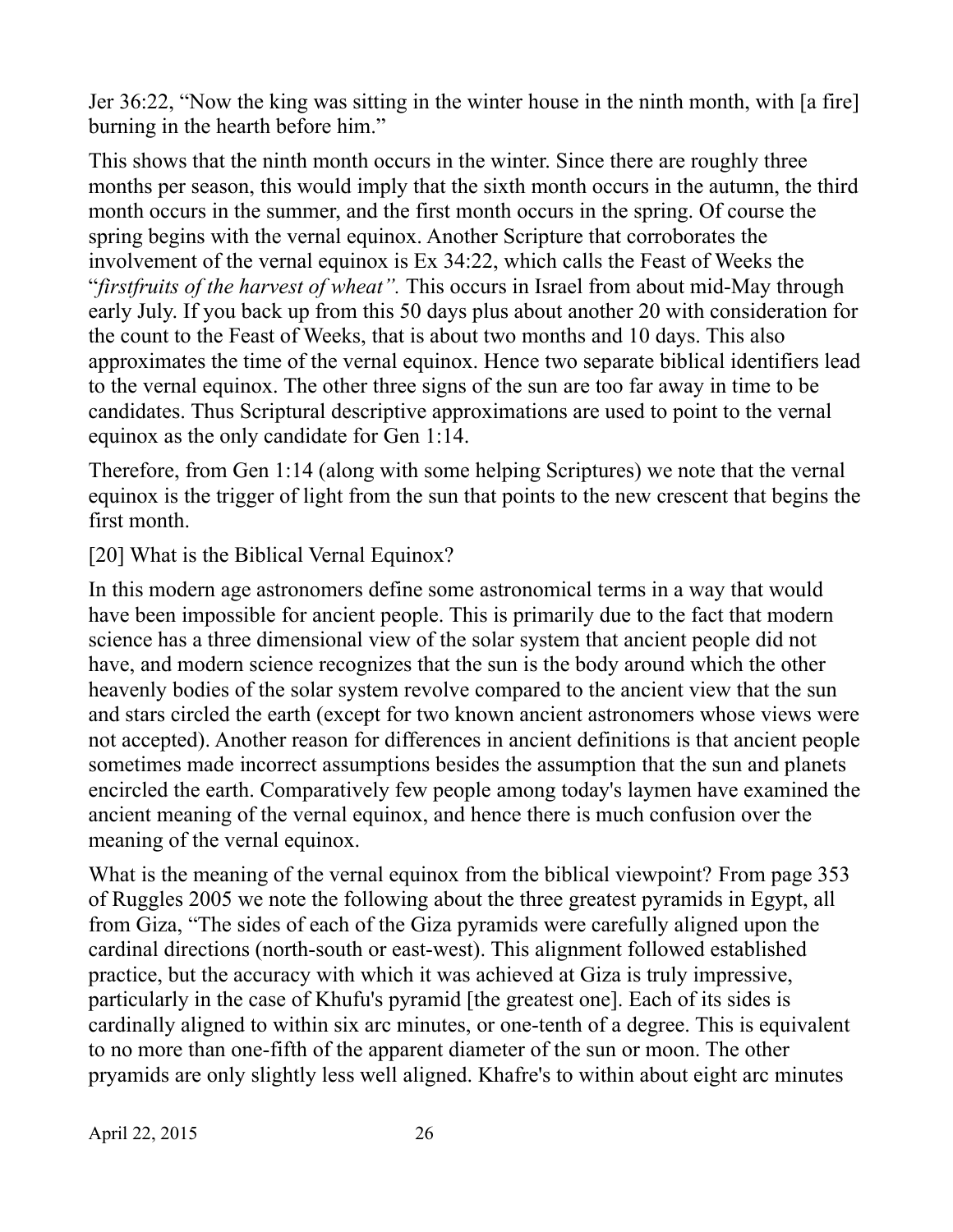Jer 36:22, "Now the king was sitting in the winter house in the ninth month, with [a fire] burning in the hearth before him."

This shows that the ninth month occurs in the winter. Since there are roughly three months per season, this would imply that the sixth month occurs in the autumn, the third month occurs in the summer, and the first month occurs in the spring. Of course the spring begins with the vernal equinox. Another Scripture that corroborates the involvement of the vernal equinox is Ex 34:22, which calls the Feast of Weeks the "*firstfruits of the harvest of wheat".* This occurs in Israel from about mid-May through early July. If you back up from this 50 days plus about another 20 with consideration for the count to the Feast of Weeks, that is about two months and 10 days. This also approximates the time of the vernal equinox. Hence two separate biblical identifiers lead to the vernal equinox. The other three signs of the sun are too far away in time to be candidates. Thus Scriptural descriptive approximations are used to point to the vernal equinox as the only candidate for Gen 1:14.

Therefore, from Gen 1:14 (along with some helping Scriptures) we note that the vernal equinox is the trigger of light from the sun that points to the new crescent that begins the first month.

[20] What is the Biblical Vernal Equinox?

In this modern age astronomers define some astronomical terms in a way that would have been impossible for ancient people. This is primarily due to the fact that modern science has a three dimensional view of the solar system that ancient people did not have, and modern science recognizes that the sun is the body around which the other heavenly bodies of the solar system revolve compared to the ancient view that the sun and stars circled the earth (except for two known ancient astronomers whose views were not accepted). Another reason for differences in ancient definitions is that ancient people sometimes made incorrect assumptions besides the assumption that the sun and planets encircled the earth. Comparatively few people among today's laymen have examined the ancient meaning of the vernal equinox, and hence there is much confusion over the meaning of the vernal equinox.

What is the meaning of the vernal equinox from the biblical viewpoint? From page 353 of Ruggles 2005 we note the following about the three greatest pyramids in Egypt, all from Giza, "The sides of each of the Giza pyramids were carefully aligned upon the cardinal directions (north-south or east-west). This alignment followed established practice, but the accuracy with which it was achieved at Giza is truly impressive, particularly in the case of Khufu's pyramid [the greatest one]. Each of its sides is cardinally aligned to within six arc minutes, or one-tenth of a degree. This is equivalent to no more than one-fifth of the apparent diameter of the sun or moon. The other pryamids are only slightly less well aligned. Khafre's to within about eight arc minutes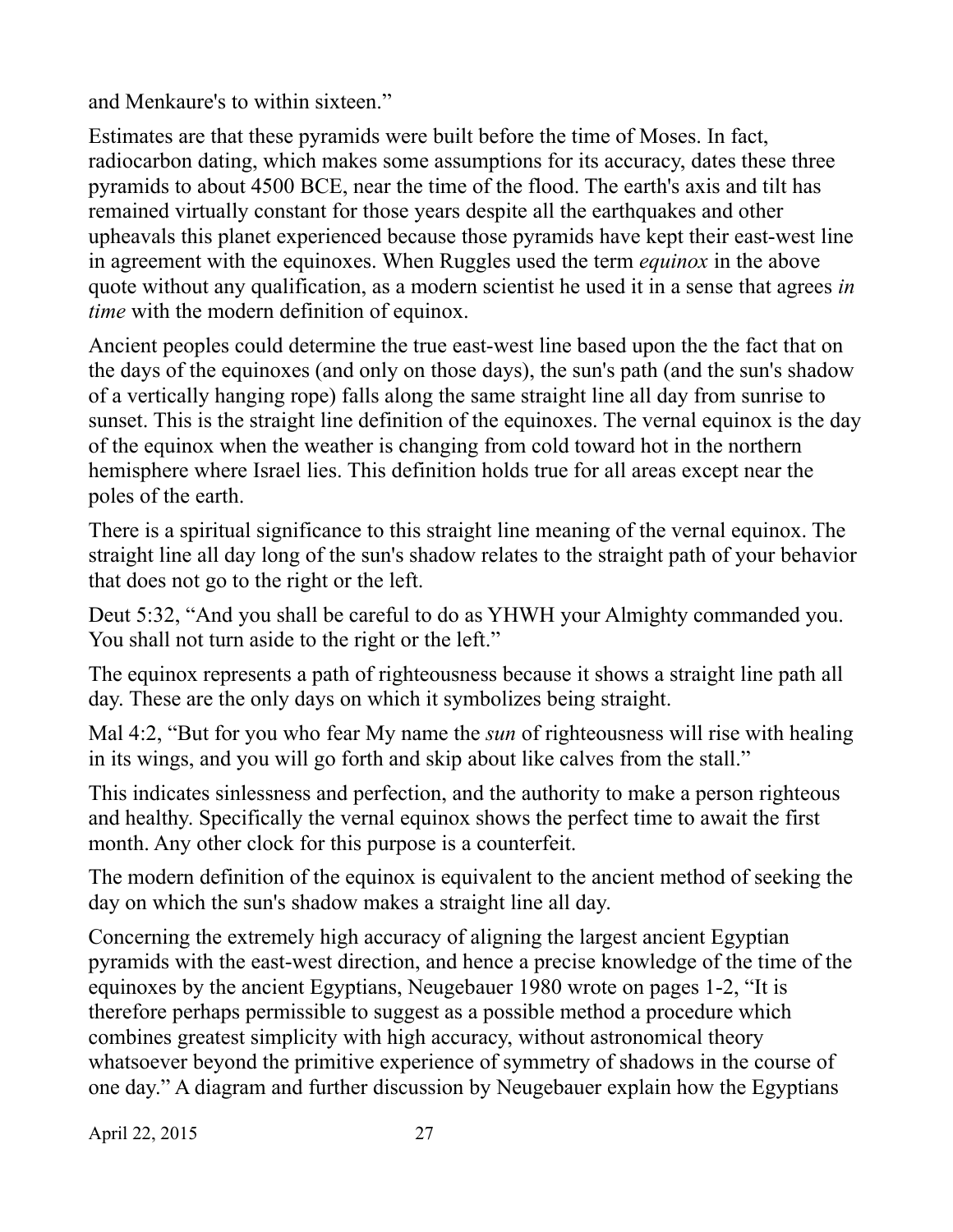and Menkaure's to within sixteen."

Estimates are that these pyramids were built before the time of Moses. In fact, radiocarbon dating, which makes some assumptions for its accuracy, dates these three pyramids to about 4500 BCE, near the time of the flood. The earth's axis and tilt has remained virtually constant for those years despite all the earthquakes and other upheavals this planet experienced because those pyramids have kept their east-west line in agreement with the equinoxes. When Ruggles used the term *equinox* in the above quote without any qualification, as a modern scientist he used it in a sense that agrees *in time* with the modern definition of equinox.

Ancient peoples could determine the true east-west line based upon the the fact that on the days of the equinoxes (and only on those days), the sun's path (and the sun's shadow of a vertically hanging rope) falls along the same straight line all day from sunrise to sunset. This is the straight line definition of the equinoxes. The vernal equinox is the day of the equinox when the weather is changing from cold toward hot in the northern hemisphere where Israel lies. This definition holds true for all areas except near the poles of the earth.

There is a spiritual significance to this straight line meaning of the vernal equinox. The straight line all day long of the sun's shadow relates to the straight path of your behavior that does not go to the right or the left.

Deut 5:32, "And you shall be careful to do as YHWH your Almighty commanded you. You shall not turn aside to the right or the left."

The equinox represents a path of righteousness because it shows a straight line path all day. These are the only days on which it symbolizes being straight.

Mal 4:2, "But for you who fear My name the *sun* of righteousness will rise with healing in its wings, and you will go forth and skip about like calves from the stall."

This indicates sinlessness and perfection, and the authority to make a person righteous and healthy. Specifically the vernal equinox shows the perfect time to await the first month. Any other clock for this purpose is a counterfeit.

The modern definition of the equinox is equivalent to the ancient method of seeking the day on which the sun's shadow makes a straight line all day.

Concerning the extremely high accuracy of aligning the largest ancient Egyptian pyramids with the east-west direction, and hence a precise knowledge of the time of the equinoxes by the ancient Egyptians, Neugebauer 1980 wrote on pages 1-2, "It is therefore perhaps permissible to suggest as a possible method a procedure which combines greatest simplicity with high accuracy, without astronomical theory whatsoever beyond the primitive experience of symmetry of shadows in the course of one day." A diagram and further discussion by Neugebauer explain how the Egyptians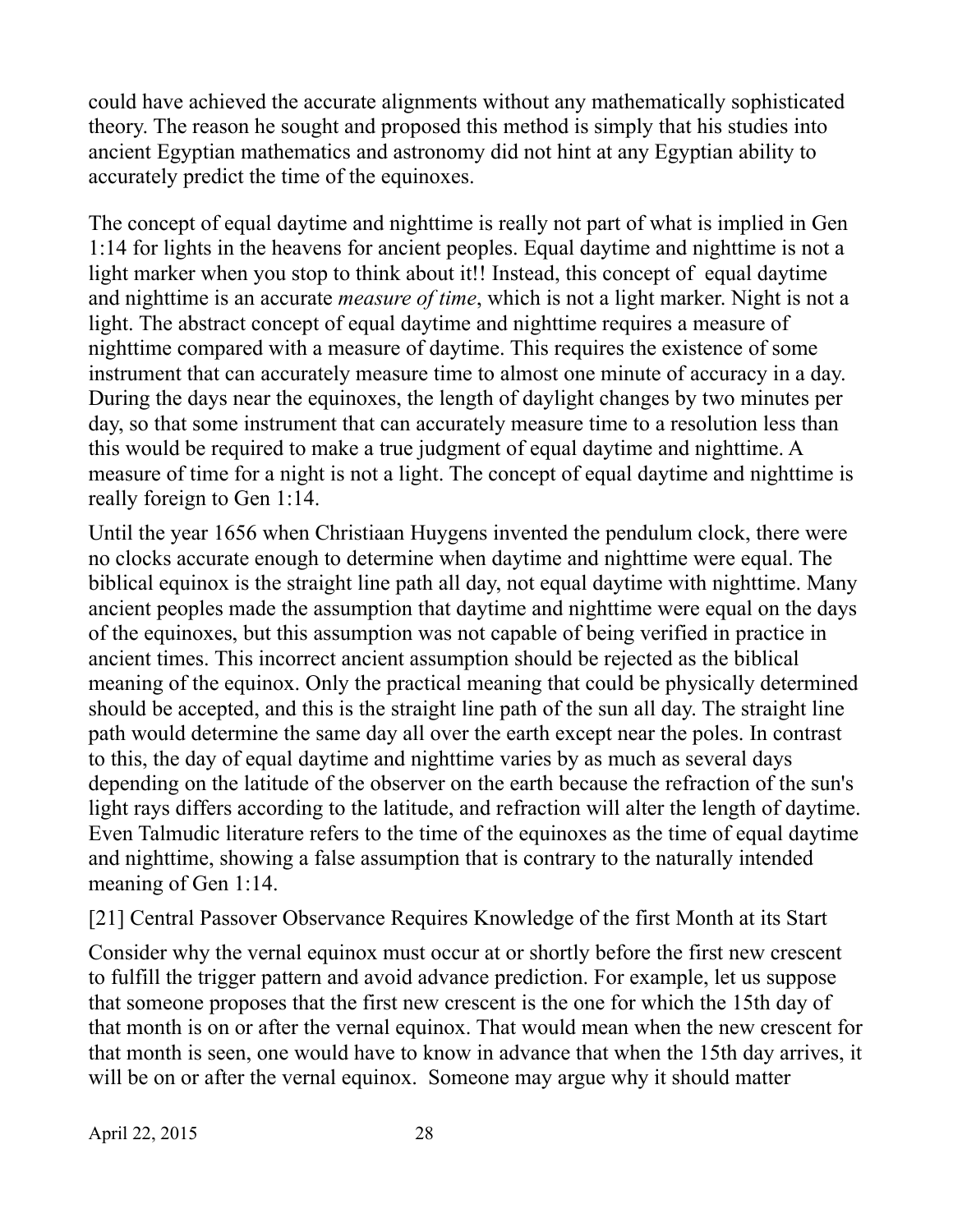could have achieved the accurate alignments without any mathematically sophisticated theory. The reason he sought and proposed this method is simply that his studies into ancient Egyptian mathematics and astronomy did not hint at any Egyptian ability to accurately predict the time of the equinoxes.

The concept of equal daytime and nighttime is really not part of what is implied in Gen 1:14 for lights in the heavens for ancient peoples. Equal daytime and nighttime is not a light marker when you stop to think about it!! Instead, this concept of equal daytime and nighttime is an accurate *measure of time*, which is not a light marker. Night is not a light. The abstract concept of equal daytime and nighttime requires a measure of nighttime compared with a measure of daytime. This requires the existence of some instrument that can accurately measure time to almost one minute of accuracy in a day. During the days near the equinoxes, the length of daylight changes by two minutes per day, so that some instrument that can accurately measure time to a resolution less than this would be required to make a true judgment of equal daytime and nighttime. A measure of time for a night is not a light. The concept of equal daytime and nighttime is really foreign to Gen 1:14.

Until the year 1656 when Christiaan Huygens invented the pendulum clock, there were no clocks accurate enough to determine when daytime and nighttime were equal. The biblical equinox is the straight line path all day, not equal daytime with nighttime. Many ancient peoples made the assumption that daytime and nighttime were equal on the days of the equinoxes, but this assumption was not capable of being verified in practice in ancient times. This incorrect ancient assumption should be rejected as the biblical meaning of the equinox. Only the practical meaning that could be physically determined should be accepted, and this is the straight line path of the sun all day. The straight line path would determine the same day all over the earth except near the poles. In contrast to this, the day of equal daytime and nighttime varies by as much as several days depending on the latitude of the observer on the earth because the refraction of the sun's light rays differs according to the latitude, and refraction will alter the length of daytime. Even Talmudic literature refers to the time of the equinoxes as the time of equal daytime and nighttime, showing a false assumption that is contrary to the naturally intended meaning of Gen 1:14.

[21] Central Passover Observance Requires Knowledge of the first Month at its Start

Consider why the vernal equinox must occur at or shortly before the first new crescent to fulfill the trigger pattern and avoid advance prediction. For example, let us suppose that someone proposes that the first new crescent is the one for which the 15th day of that month is on or after the vernal equinox. That would mean when the new crescent for that month is seen, one would have to know in advance that when the 15th day arrives, it will be on or after the vernal equinox. Someone may argue why it should matter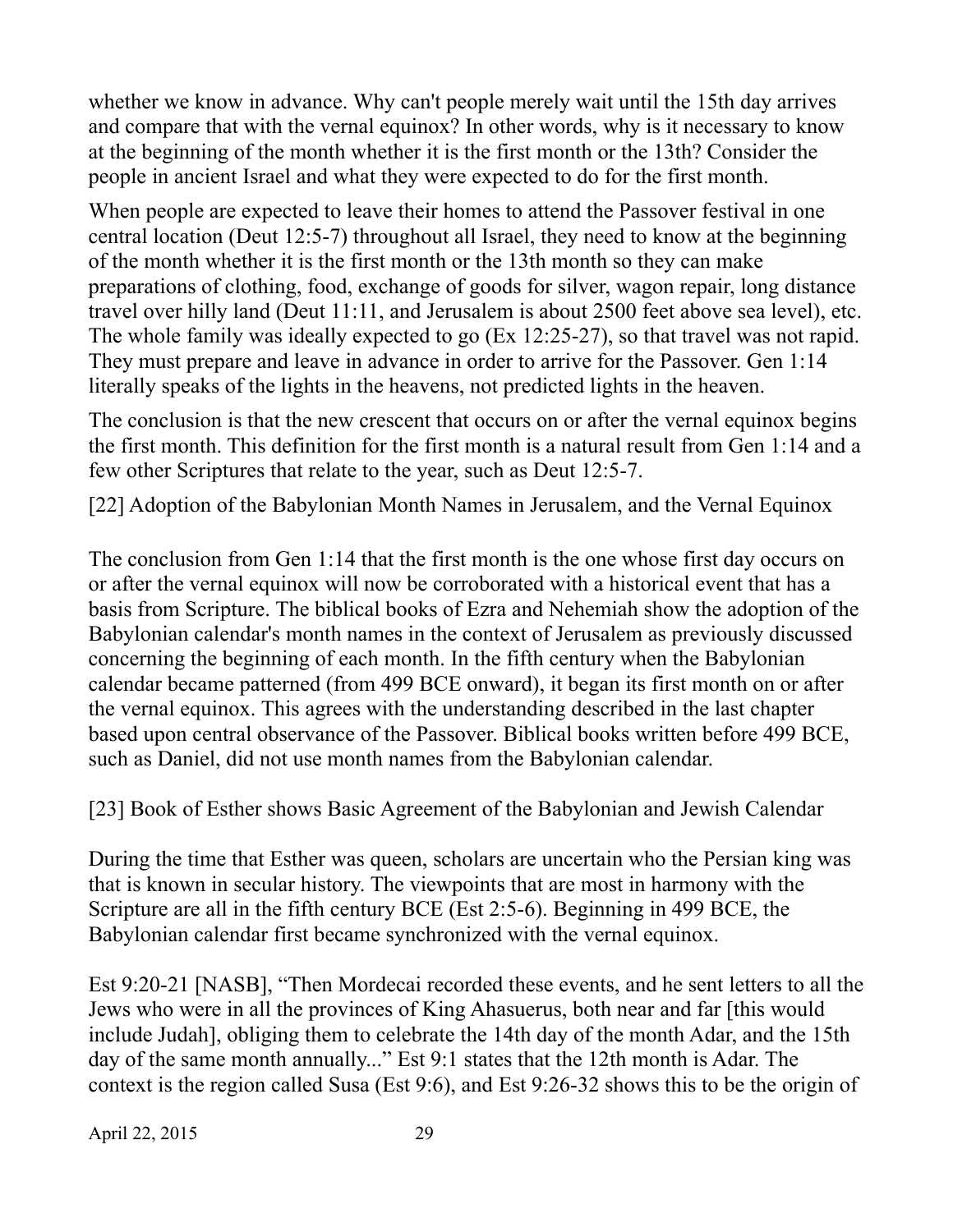whether we know in advance. Why can't people merely wait until the 15th day arrives and compare that with the vernal equinox? In other words, why is it necessary to know at the beginning of the month whether it is the first month or the 13th? Consider the people in ancient Israel and what they were expected to do for the first month.

When people are expected to leave their homes to attend the Passover festival in one central location (Deut 12:5-7) throughout all Israel, they need to know at the beginning of the month whether it is the first month or the 13th month so they can make preparations of clothing, food, exchange of goods for silver, wagon repair, long distance travel over hilly land (Deut 11:11, and Jerusalem is about 2500 feet above sea level), etc. The whole family was ideally expected to go (Ex 12:25-27), so that travel was not rapid. They must prepare and leave in advance in order to arrive for the Passover. Gen 1:14 literally speaks of the lights in the heavens, not predicted lights in the heaven.

The conclusion is that the new crescent that occurs on or after the vernal equinox begins the first month. This definition for the first month is a natural result from Gen 1:14 and a few other Scriptures that relate to the year, such as Deut 12:5-7.

[22] Adoption of the Babylonian Month Names in Jerusalem, and the Vernal Equinox

The conclusion from Gen 1:14 that the first month is the one whose first day occurs on or after the vernal equinox will now be corroborated with a historical event that has a basis from Scripture. The biblical books of Ezra and Nehemiah show the adoption of the Babylonian calendar's month names in the context of Jerusalem as previously discussed concerning the beginning of each month. In the fifth century when the Babylonian calendar became patterned (from 499 BCE onward), it began its first month on or after the vernal equinox. This agrees with the understanding described in the last chapter based upon central observance of the Passover. Biblical books written before 499 BCE, such as Daniel, did not use month names from the Babylonian calendar.

[23] Book of Esther shows Basic Agreement of the Babylonian and Jewish Calendar

During the time that Esther was queen, scholars are uncertain who the Persian king was that is known in secular history. The viewpoints that are most in harmony with the Scripture are all in the fifth century BCE (Est 2:5-6). Beginning in 499 BCE, the Babylonian calendar first became synchronized with the vernal equinox.

Est 9:20-21 [NASB], "Then Mordecai recorded these events, and he sent letters to all the Jews who were in all the provinces of King Ahasuerus, both near and far [this would include Judah], obliging them to celebrate the 14th day of the month Adar, and the 15th day of the same month annually..." Est 9:1 states that the 12th month is Adar. The context is the region called Susa (Est 9:6), and Est 9:26-32 shows this to be the origin of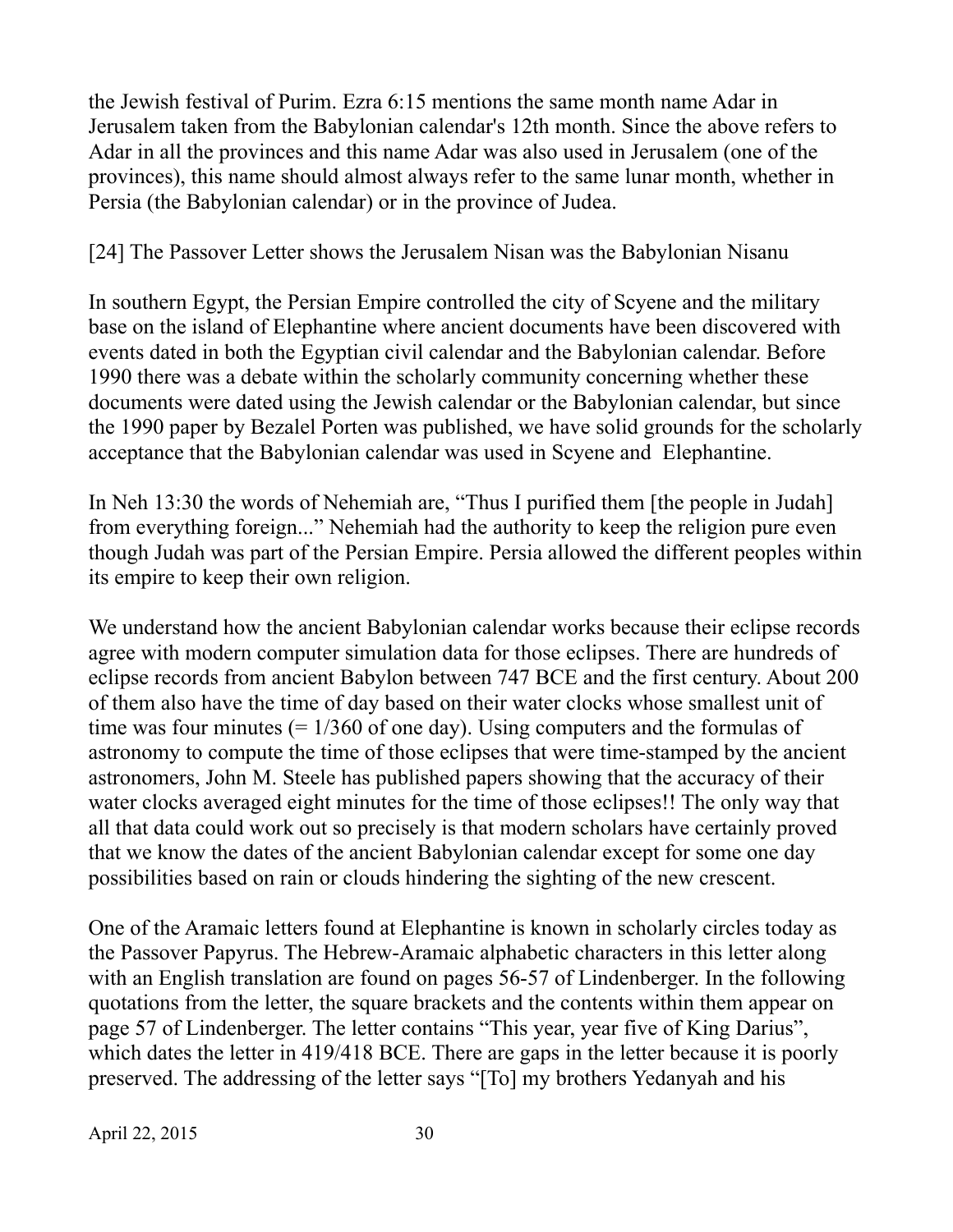the Jewish festival of Purim. Ezra 6:15 mentions the same month name Adar in Jerusalem taken from the Babylonian calendar's 12th month. Since the above refers to Adar in all the provinces and this name Adar was also used in Jerusalem (one of the provinces), this name should almost always refer to the same lunar month, whether in Persia (the Babylonian calendar) or in the province of Judea.

#### [24] The Passover Letter shows the Jerusalem Nisan was the Babylonian Nisanu

In southern Egypt, the Persian Empire controlled the city of Scyene and the military base on the island of Elephantine where ancient documents have been discovered with events dated in both the Egyptian civil calendar and the Babylonian calendar. Before 1990 there was a debate within the scholarly community concerning whether these documents were dated using the Jewish calendar or the Babylonian calendar, but since the 1990 paper by Bezalel Porten was published, we have solid grounds for the scholarly acceptance that the Babylonian calendar was used in Scyene and Elephantine.

In Neh 13:30 the words of Nehemiah are, "Thus I purified them [the people in Judah] from everything foreign..." Nehemiah had the authority to keep the religion pure even though Judah was part of the Persian Empire. Persia allowed the different peoples within its empire to keep their own religion.

We understand how the ancient Babylonian calendar works because their eclipse records agree with modern computer simulation data for those eclipses. There are hundreds of eclipse records from ancient Babylon between 747 BCE and the first century. About 200 of them also have the time of day based on their water clocks whose smallest unit of time was four minutes  $(= 1/360)$  of one day). Using computers and the formulas of astronomy to compute the time of those eclipses that were time-stamped by the ancient astronomers, John M. Steele has published papers showing that the accuracy of their water clocks averaged eight minutes for the time of those eclipses!! The only way that all that data could work out so precisely is that modern scholars have certainly proved that we know the dates of the ancient Babylonian calendar except for some one day possibilities based on rain or clouds hindering the sighting of the new crescent.

One of the Aramaic letters found at Elephantine is known in scholarly circles today as the Passover Papyrus. The Hebrew-Aramaic alphabetic characters in this letter along with an English translation are found on pages 56-57 of Lindenberger. In the following quotations from the letter, the square brackets and the contents within them appear on page 57 of Lindenberger. The letter contains "This year, year five of King Darius", which dates the letter in 419/418 BCE. There are gaps in the letter because it is poorly preserved. The addressing of the letter says "[To] my brothers Yedanyah and his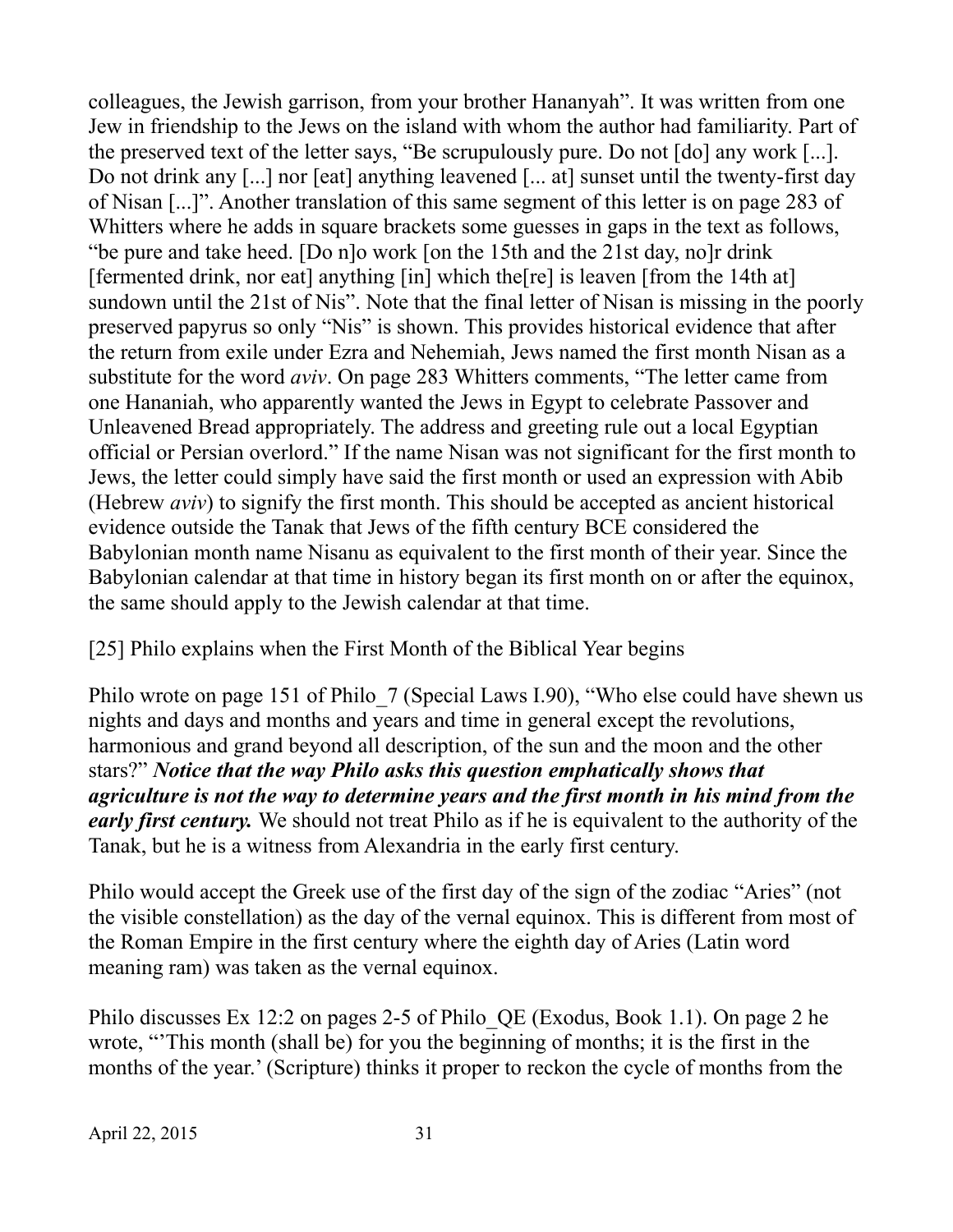colleagues, the Jewish garrison, from your brother Hananyah". It was written from one Jew in friendship to the Jews on the island with whom the author had familiarity. Part of the preserved text of the letter says, "Be scrupulously pure. Do not [do] any work [...]. Do not drink any [...] nor [eat] anything leavened [... at] sunset until the twenty-first day of Nisan [...]". Another translation of this same segment of this letter is on page 283 of Whitters where he adds in square brackets some guesses in gaps in the text as follows, "be pure and take heed. [Do n]o work [on the 15th and the 21st day, no]r drink [fermented drink, nor eat] anything [in] which the[re] is leaven [from the 14th at] sundown until the 21st of Nis". Note that the final letter of Nisan is missing in the poorly preserved papyrus so only "Nis" is shown. This provides historical evidence that after the return from exile under Ezra and Nehemiah, Jews named the first month Nisan as a substitute for the word *aviv*. On page 283 Whitters comments, "The letter came from one Hananiah, who apparently wanted the Jews in Egypt to celebrate Passover and Unleavened Bread appropriately. The address and greeting rule out a local Egyptian official or Persian overlord." If the name Nisan was not significant for the first month to Jews, the letter could simply have said the first month or used an expression with Abib (Hebrew *aviv*) to signify the first month. This should be accepted as ancient historical evidence outside the Tanak that Jews of the fifth century BCE considered the Babylonian month name Nisanu as equivalent to the first month of their year. Since the Babylonian calendar at that time in history began its first month on or after the equinox, the same should apply to the Jewish calendar at that time.

# [25] Philo explains when the First Month of the Biblical Year begins

Philo wrote on page 151 of Philo 7 (Special Laws I.90), "Who else could have shewn us nights and days and months and years and time in general except the revolutions, harmonious and grand beyond all description, of the sun and the moon and the other stars?" *Notice that the way Philo asks this question emphatically shows that agriculture is not the way to determine years and the first month in his mind from the early first century.* We should not treat Philo as if he is equivalent to the authority of the Tanak, but he is a witness from Alexandria in the early first century.

Philo would accept the Greek use of the first day of the sign of the zodiac "Aries" (not the visible constellation) as the day of the vernal equinox. This is different from most of the Roman Empire in the first century where the eighth day of Aries (Latin word meaning ram) was taken as the vernal equinox.

Philo discusses Ex 12:2 on pages 2-5 of Philo\_QE (Exodus, Book 1.1). On page 2 he wrote, "'This month (shall be) for you the beginning of months; it is the first in the months of the year.' (Scripture) thinks it proper to reckon the cycle of months from the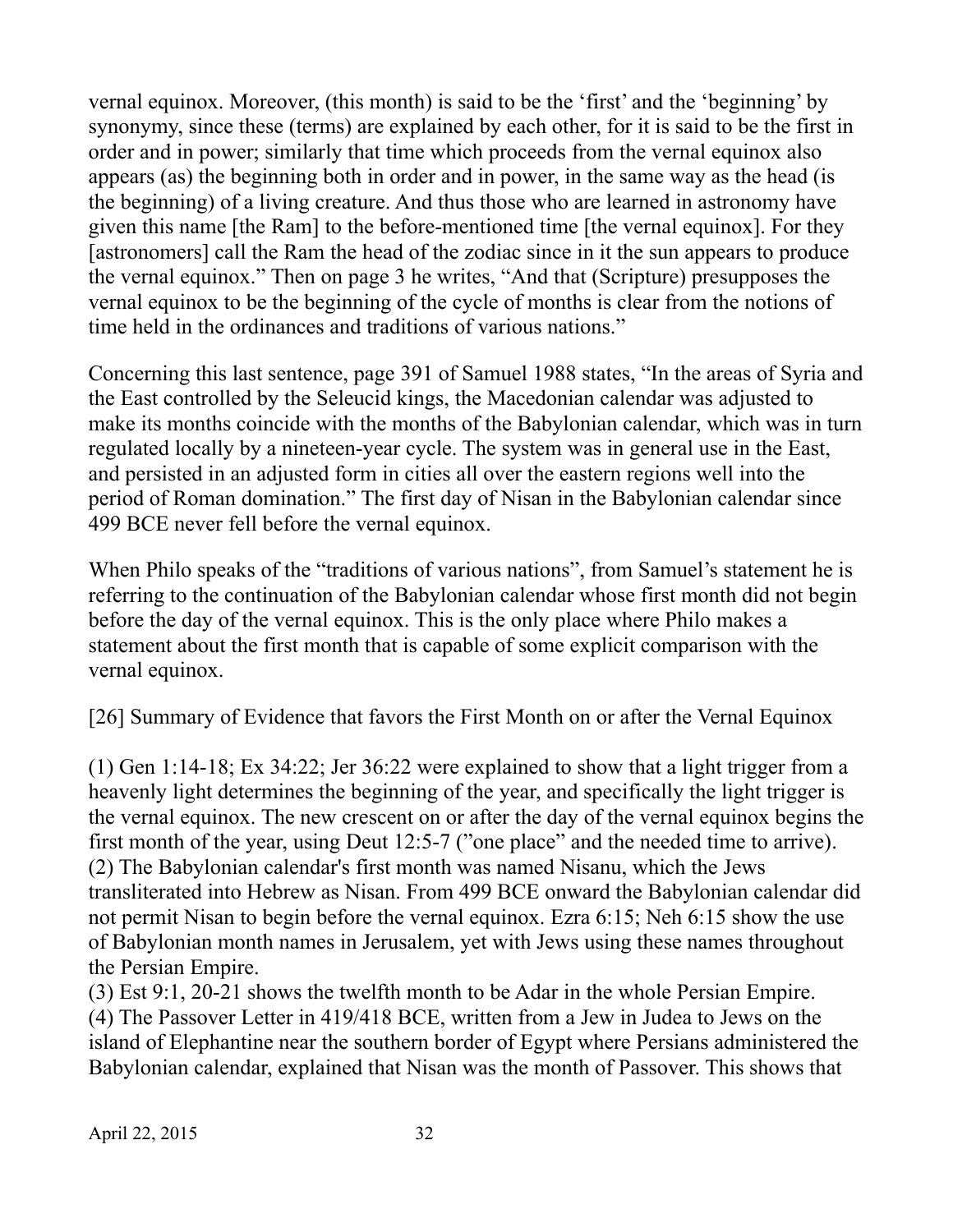vernal equinox. Moreover, (this month) is said to be the 'first' and the 'beginning' by synonymy, since these (terms) are explained by each other, for it is said to be the first in order and in power; similarly that time which proceeds from the vernal equinox also appears (as) the beginning both in order and in power, in the same way as the head (is the beginning) of a living creature. And thus those who are learned in astronomy have given this name [the Ram] to the before-mentioned time [the vernal equinox]. For they [astronomers] call the Ram the head of the zodiac since in it the sun appears to produce the vernal equinox." Then on page 3 he writes, "And that (Scripture) presupposes the vernal equinox to be the beginning of the cycle of months is clear from the notions of time held in the ordinances and traditions of various nations."

Concerning this last sentence, page 391 of Samuel 1988 states, "In the areas of Syria and the East controlled by the Seleucid kings, the Macedonian calendar was adjusted to make its months coincide with the months of the Babylonian calendar, which was in turn regulated locally by a nineteen-year cycle. The system was in general use in the East, and persisted in an adjusted form in cities all over the eastern regions well into the period of Roman domination." The first day of Nisan in the Babylonian calendar since 499 BCE never fell before the vernal equinox.

When Philo speaks of the "traditions of various nations", from Samuel's statement he is referring to the continuation of the Babylonian calendar whose first month did not begin before the day of the vernal equinox. This is the only place where Philo makes a statement about the first month that is capable of some explicit comparison with the vernal equinox.

[26] Summary of Evidence that favors the First Month on or after the Vernal Equinox

(1) Gen 1:14-18; Ex 34:22; Jer 36:22 were explained to show that a light trigger from a heavenly light determines the beginning of the year, and specifically the light trigger is the vernal equinox. The new crescent on or after the day of the vernal equinox begins the first month of the year, using Deut 12:5-7 ("one place" and the needed time to arrive). (2) The Babylonian calendar's first month was named Nisanu, which the Jews transliterated into Hebrew as Nisan. From 499 BCE onward the Babylonian calendar did not permit Nisan to begin before the vernal equinox. Ezra 6:15; Neh 6:15 show the use of Babylonian month names in Jerusalem, yet with Jews using these names throughout the Persian Empire.

(3) Est 9:1, 20-21 shows the twelfth month to be Adar in the whole Persian Empire. (4) The Passover Letter in 419/418 BCE, written from a Jew in Judea to Jews on the island of Elephantine near the southern border of Egypt where Persians administered the Babylonian calendar, explained that Nisan was the month of Passover. This shows that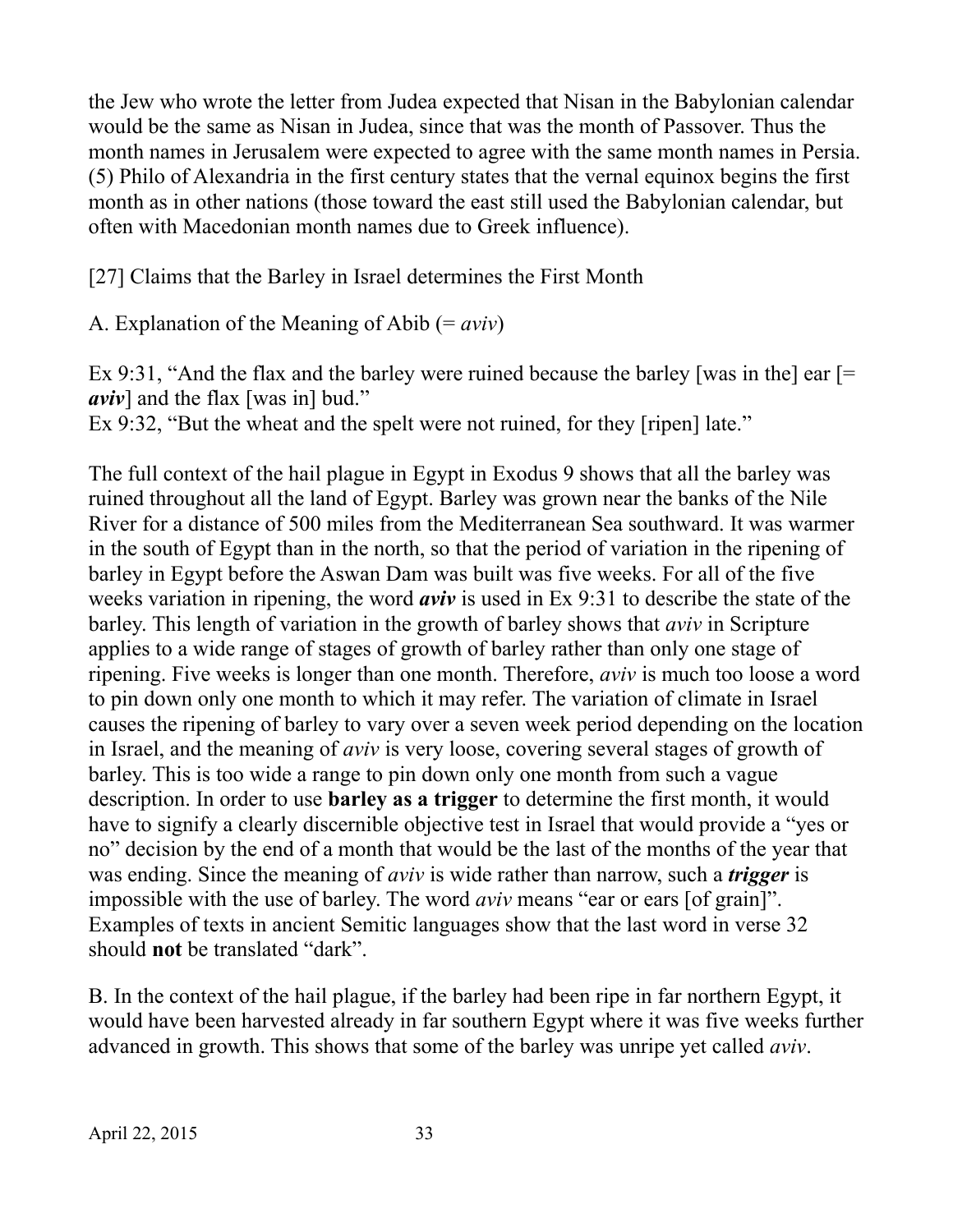the Jew who wrote the letter from Judea expected that Nisan in the Babylonian calendar would be the same as Nisan in Judea, since that was the month of Passover. Thus the month names in Jerusalem were expected to agree with the same month names in Persia. (5) Philo of Alexandria in the first century states that the vernal equinox begins the first month as in other nations (those toward the east still used the Babylonian calendar, but often with Macedonian month names due to Greek influence).

[27] Claims that the Barley in Israel determines the First Month

A. Explanation of the Meaning of Abib (= *aviv*)

Ex 9:31, "And the flax and the barley were ruined because the barley [was in the] ear  $[=$ *aviv*] and the flax [was in] bud."

Ex 9:32, "But the wheat and the spelt were not ruined, for they [ripen] late."

The full context of the hail plague in Egypt in Exodus 9 shows that all the barley was ruined throughout all the land of Egypt. Barley was grown near the banks of the Nile River for a distance of 500 miles from the Mediterranean Sea southward. It was warmer in the south of Egypt than in the north, so that the period of variation in the ripening of barley in Egypt before the Aswan Dam was built was five weeks. For all of the five weeks variation in ripening, the word *aviv* is used in Ex 9:31 to describe the state of the barley. This length of variation in the growth of barley shows that *aviv* in Scripture applies to a wide range of stages of growth of barley rather than only one stage of ripening. Five weeks is longer than one month. Therefore, *aviv* is much too loose a word to pin down only one month to which it may refer. The variation of climate in Israel causes the ripening of barley to vary over a seven week period depending on the location in Israel, and the meaning of *aviv* is very loose, covering several stages of growth of barley. This is too wide a range to pin down only one month from such a vague description. In order to use **barley as a trigger** to determine the first month, it would have to signify a clearly discernible objective test in Israel that would provide a "yes or no" decision by the end of a month that would be the last of the months of the year that was ending. Since the meaning of *aviv* is wide rather than narrow, such a *trigger* is impossible with the use of barley. The word *aviv* means "ear or ears [of grain]". Examples of texts in ancient Semitic languages show that the last word in verse 32 should **not** be translated "dark".

B. In the context of the hail plague, if the barley had been ripe in far northern Egypt, it would have been harvested already in far southern Egypt where it was five weeks further advanced in growth. This shows that some of the barley was unripe yet called *aviv*.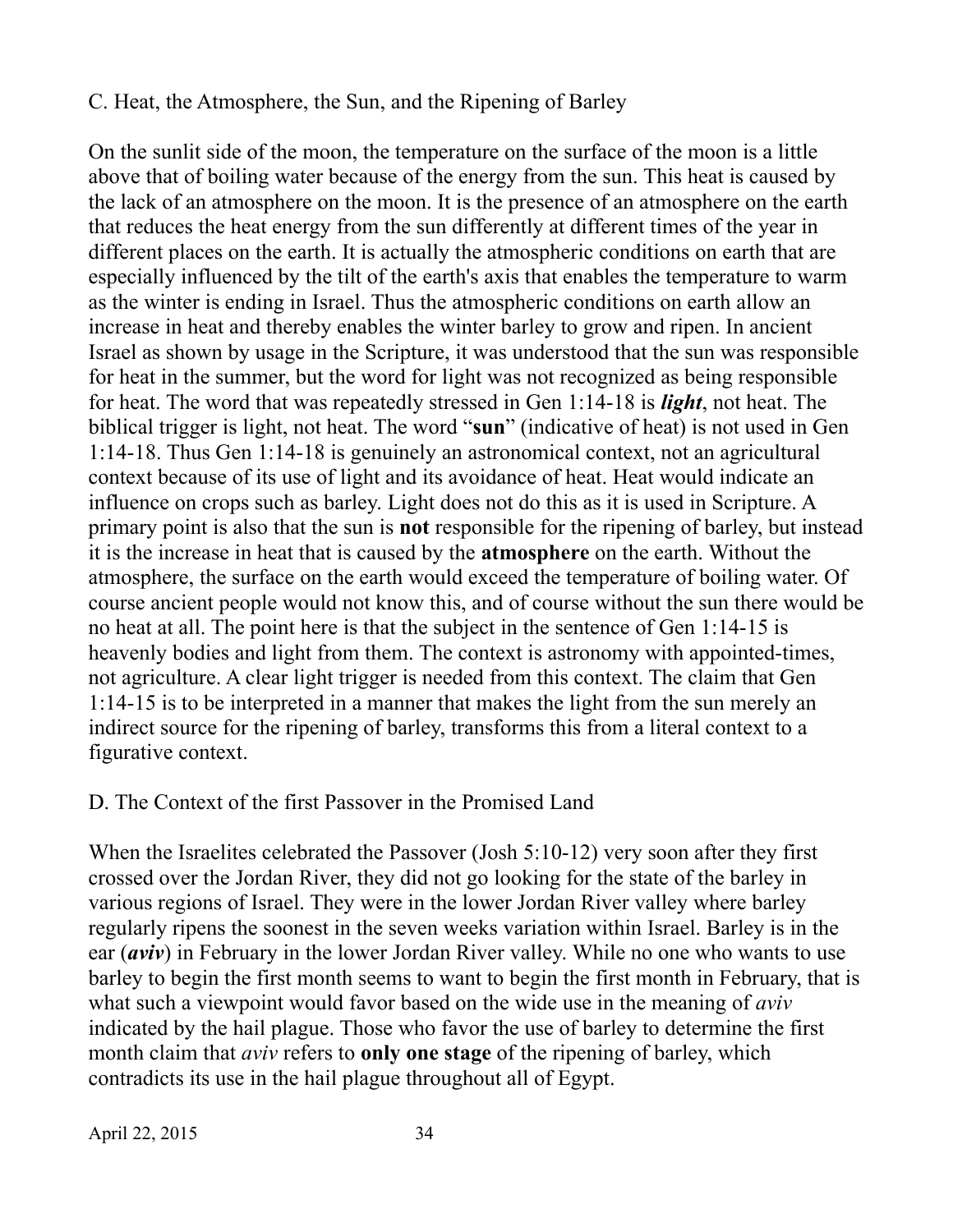#### C. Heat, the Atmosphere, the Sun, and the Ripening of Barley

On the sunlit side of the moon, the temperature on the surface of the moon is a little above that of boiling water because of the energy from the sun. This heat is caused by the lack of an atmosphere on the moon. It is the presence of an atmosphere on the earth that reduces the heat energy from the sun differently at different times of the year in different places on the earth. It is actually the atmospheric conditions on earth that are especially influenced by the tilt of the earth's axis that enables the temperature to warm as the winter is ending in Israel. Thus the atmospheric conditions on earth allow an increase in heat and thereby enables the winter barley to grow and ripen. In ancient Israel as shown by usage in the Scripture, it was understood that the sun was responsible for heat in the summer, but the word for light was not recognized as being responsible for heat. The word that was repeatedly stressed in Gen 1:14-18 is *light*, not heat. The biblical trigger is light, not heat. The word "**sun**" (indicative of heat) is not used in Gen 1:14-18. Thus Gen 1:14-18 is genuinely an astronomical context, not an agricultural context because of its use of light and its avoidance of heat. Heat would indicate an influence on crops such as barley. Light does not do this as it is used in Scripture. A primary point is also that the sun is **not** responsible for the ripening of barley, but instead it is the increase in heat that is caused by the **atmosphere** on the earth. Without the atmosphere, the surface on the earth would exceed the temperature of boiling water. Of course ancient people would not know this, and of course without the sun there would be no heat at all. The point here is that the subject in the sentence of Gen 1:14-15 is heavenly bodies and light from them. The context is astronomy with appointed-times, not agriculture. A clear light trigger is needed from this context. The claim that Gen 1:14-15 is to be interpreted in a manner that makes the light from the sun merely an indirect source for the ripening of barley, transforms this from a literal context to a figurative context.

#### D. The Context of the first Passover in the Promised Land

When the Israelites celebrated the Passover (Josh 5:10-12) very soon after they first crossed over the Jordan River, they did not go looking for the state of the barley in various regions of Israel. They were in the lower Jordan River valley where barley regularly ripens the soonest in the seven weeks variation within Israel. Barley is in the ear (*aviv*) in February in the lower Jordan River valley. While no one who wants to use barley to begin the first month seems to want to begin the first month in February, that is what such a viewpoint would favor based on the wide use in the meaning of *aviv* indicated by the hail plague. Those who favor the use of barley to determine the first month claim that *aviv* refers to **only one stage** of the ripening of barley, which contradicts its use in the hail plague throughout all of Egypt.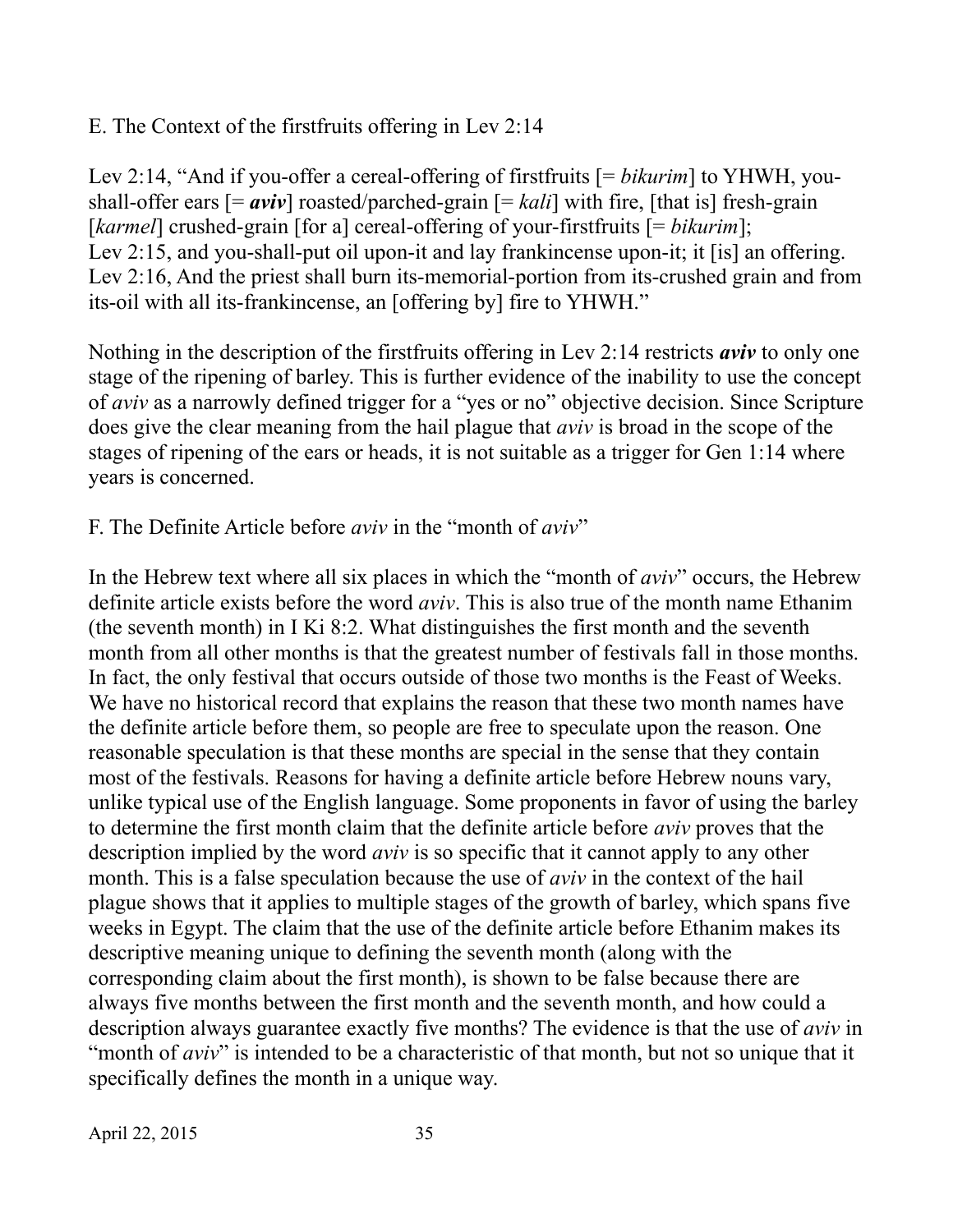### E. The Context of the firstfruits offering in Lev 2:14

Lev 2:14, "And if you-offer a cereal-offering of firstfruits [= *bikurim*] to YHWH, youshall-offer ears  $[=$  *aviv*] roasted/parched-grain  $[=$  *kali*] with fire, [that is] fresh-grain [*karmel*] crushed-grain [for a] cereal-offering of your-firstfruits [= *bikurim*]; Lev 2:15, and you-shall-put oil upon-it and lay frankincense upon-it; it [is] an offering. Lev 2:16, And the priest shall burn its-memorial-portion from its-crushed grain and from its-oil with all its-frankincense, an [offering by] fire to YHWH."

Nothing in the description of the firstfruits offering in Lev 2:14 restricts *aviv* to only one stage of the ripening of barley. This is further evidence of the inability to use the concept of *aviv* as a narrowly defined trigger for a "yes or no" objective decision. Since Scripture does give the clear meaning from the hail plague that *aviv* is broad in the scope of the stages of ripening of the ears or heads, it is not suitable as a trigger for Gen 1:14 where years is concerned.

#### F. The Definite Article before *aviv* in the "month of *aviv*"

In the Hebrew text where all six places in which the "month of *aviv*" occurs, the Hebrew definite article exists before the word *aviv*. This is also true of the month name Ethanim (the seventh month) in I Ki 8:2. What distinguishes the first month and the seventh month from all other months is that the greatest number of festivals fall in those months. In fact, the only festival that occurs outside of those two months is the Feast of Weeks. We have no historical record that explains the reason that these two month names have the definite article before them, so people are free to speculate upon the reason. One reasonable speculation is that these months are special in the sense that they contain most of the festivals. Reasons for having a definite article before Hebrew nouns vary, unlike typical use of the English language. Some proponents in favor of using the barley to determine the first month claim that the definite article before *aviv* proves that the description implied by the word *aviv* is so specific that it cannot apply to any other month. This is a false speculation because the use of *aviv* in the context of the hail plague shows that it applies to multiple stages of the growth of barley, which spans five weeks in Egypt. The claim that the use of the definite article before Ethanim makes its descriptive meaning unique to defining the seventh month (along with the corresponding claim about the first month), is shown to be false because there are always five months between the first month and the seventh month, and how could a description always guarantee exactly five months? The evidence is that the use of *aviv* in "month of *aviv*" is intended to be a characteristic of that month, but not so unique that it specifically defines the month in a unique way.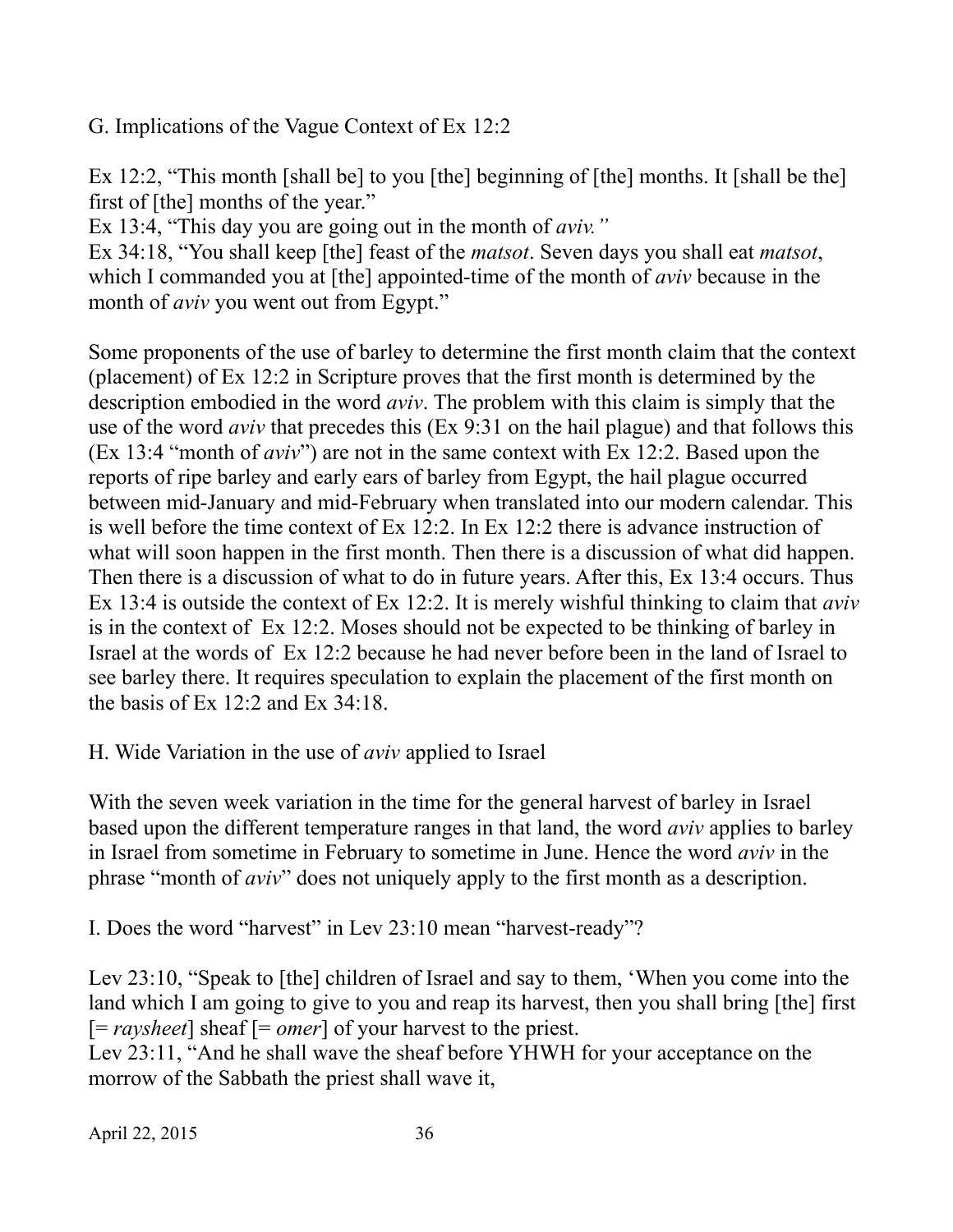G. Implications of the Vague Context of Ex 12:2

Ex 12:2, "This month [shall be] to you [the] beginning of [the] months. It [shall be the] first of [the] months of the year."

Ex 13:4, "This day you are going out in the month of *aviv."*

Ex 34:18, "You shall keep [the] feast of the *matsot*. Seven days you shall eat *matsot*, which I commanded you at [the] appointed-time of the month of *aviv* because in the month of *aviv* you went out from Egypt."

Some proponents of the use of barley to determine the first month claim that the context (placement) of Ex 12:2 in Scripture proves that the first month is determined by the description embodied in the word *aviv*. The problem with this claim is simply that the use of the word *aviv* that precedes this (Ex 9:31 on the hail plague) and that follows this (Ex 13:4 "month of *aviv*") are not in the same context with Ex 12:2. Based upon the reports of ripe barley and early ears of barley from Egypt, the hail plague occurred between mid-January and mid-February when translated into our modern calendar. This is well before the time context of Ex 12:2. In Ex 12:2 there is advance instruction of what will soon happen in the first month. Then there is a discussion of what did happen. Then there is a discussion of what to do in future years. After this, Ex 13:4 occurs. Thus Ex 13:4 is outside the context of Ex 12:2. It is merely wishful thinking to claim that *aviv* is in the context of Ex 12:2. Moses should not be expected to be thinking of barley in Israel at the words of Ex 12:2 because he had never before been in the land of Israel to see barley there. It requires speculation to explain the placement of the first month on the basis of Ex 12:2 and Ex 34:18.

#### H. Wide Variation in the use of *aviv* applied to Israel

With the seven week variation in the time for the general harvest of barley in Israel based upon the different temperature ranges in that land, the word *aviv* applies to barley in Israel from sometime in February to sometime in June. Hence the word *aviv* in the phrase "month of *aviv*" does not uniquely apply to the first month as a description.

I. Does the word "harvest" in Lev 23:10 mean "harvest-ready"?

Lev 23:10, "Speak to [the] children of Israel and say to them, 'When you come into the land which I am going to give to you and reap its harvest, then you shall bring [the] first [= *raysheet*] sheaf [= *omer*] of your harvest to the priest.

Lev 23:11, "And he shall wave the sheaf before YHWH for your acceptance on the morrow of the Sabbath the priest shall wave it,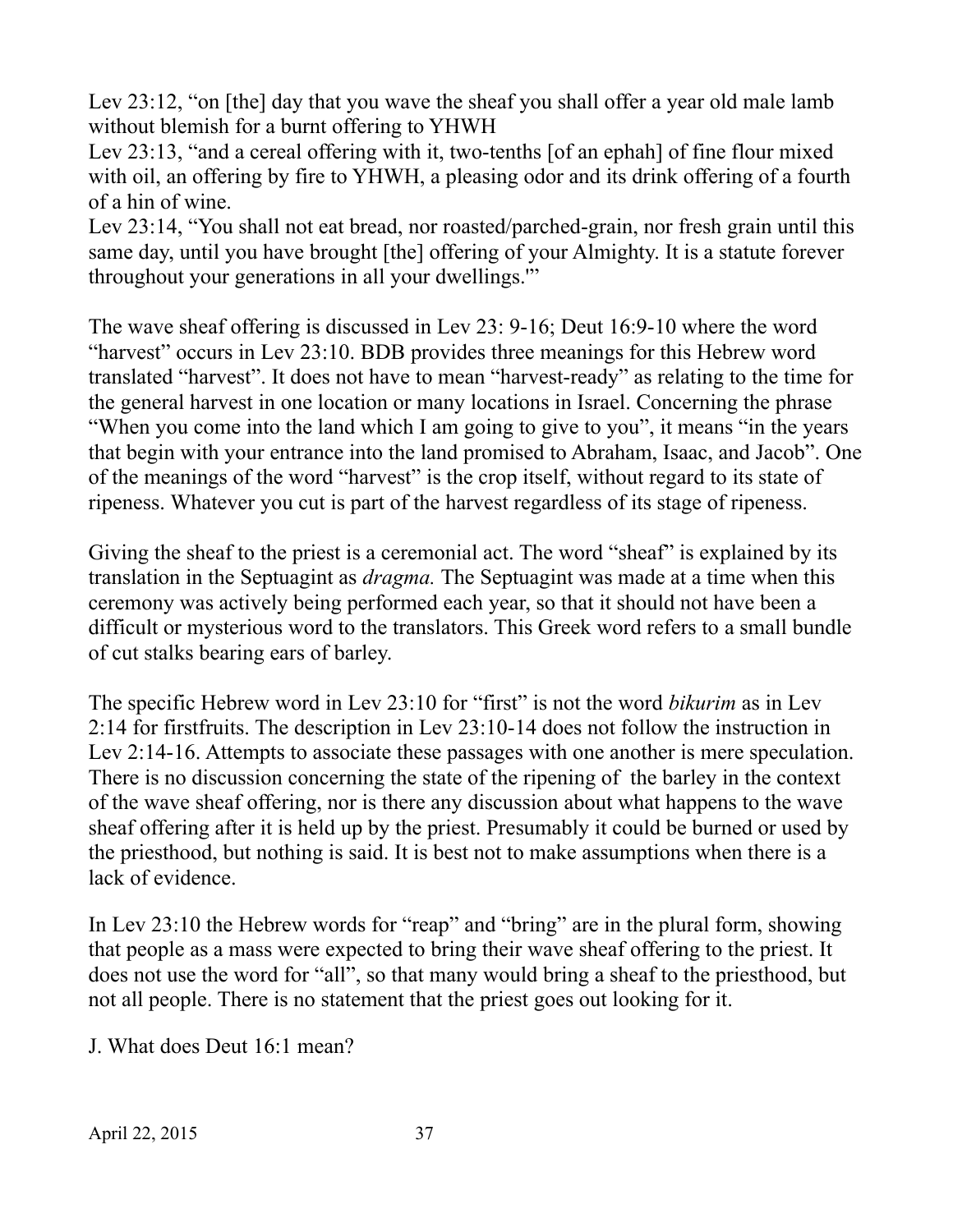Lev 23:12, "on [the] day that you wave the sheaf you shall offer a year old male lamb without blemish for a burnt offering to YHWH

Lev 23:13, "and a cereal offering with it, two-tenths [of an ephah] of fine flour mixed with oil, an offering by fire to YHWH, a pleasing odor and its drink offering of a fourth of a hin of wine.

Lev 23:14, "You shall not eat bread, nor roasted/parched-grain, nor fresh grain until this same day, until you have brought [the] offering of your Almighty. It is a statute forever throughout your generations in all your dwellings.'"

The wave sheaf offering is discussed in Lev 23: 9-16; Deut 16:9-10 where the word "harvest" occurs in Lev 23:10. BDB provides three meanings for this Hebrew word translated "harvest". It does not have to mean "harvest-ready" as relating to the time for the general harvest in one location or many locations in Israel. Concerning the phrase "When you come into the land which I am going to give to you", it means "in the years that begin with your entrance into the land promised to Abraham, Isaac, and Jacob". One of the meanings of the word "harvest" is the crop itself, without regard to its state of ripeness. Whatever you cut is part of the harvest regardless of its stage of ripeness.

Giving the sheaf to the priest is a ceremonial act. The word "sheaf" is explained by its translation in the Septuagint as *dragma.* The Septuagint was made at a time when this ceremony was actively being performed each year, so that it should not have been a difficult or mysterious word to the translators. This Greek word refers to a small bundle of cut stalks bearing ears of barley.

The specific Hebrew word in Lev 23:10 for "first" is not the word *bikurim* as in Lev 2:14 for firstfruits. The description in Lev 23:10-14 does not follow the instruction in Lev 2:14-16. Attempts to associate these passages with one another is mere speculation. There is no discussion concerning the state of the ripening of the barley in the context of the wave sheaf offering, nor is there any discussion about what happens to the wave sheaf offering after it is held up by the priest. Presumably it could be burned or used by the priesthood, but nothing is said. It is best not to make assumptions when there is a lack of evidence.

In Lev 23:10 the Hebrew words for "reap" and "bring" are in the plural form, showing that people as a mass were expected to bring their wave sheaf offering to the priest. It does not use the word for "all", so that many would bring a sheaf to the priesthood, but not all people. There is no statement that the priest goes out looking for it.

J. What does Deut 16:1 mean?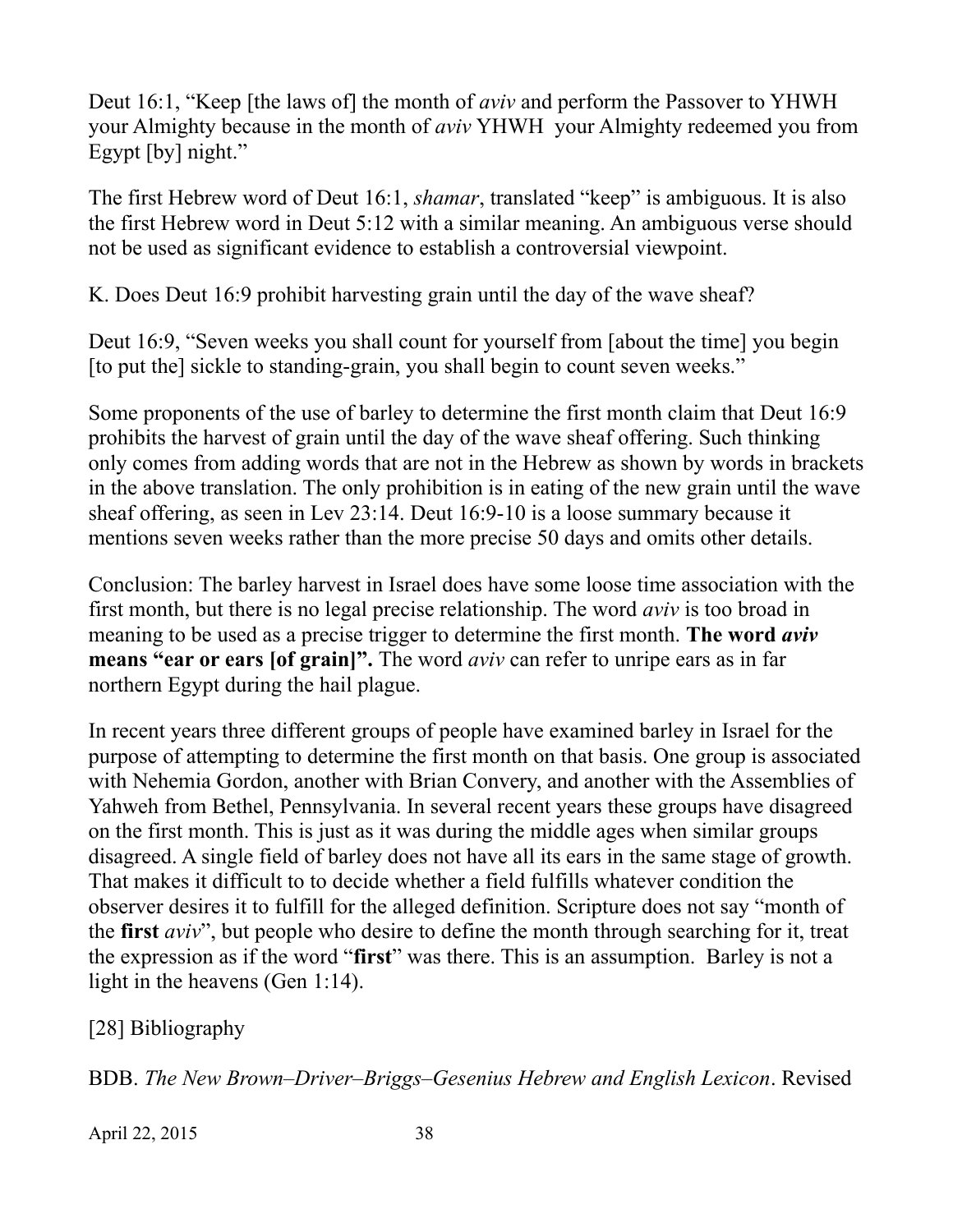Deut 16:1, "Keep [the laws of] the month of *aviv* and perform the Passover to YHWH your Almighty because in the month of *aviv* YHWH your Almighty redeemed you from Egypt [by] night."

The first Hebrew word of Deut 16:1, *shamar*, translated "keep" is ambiguous. It is also the first Hebrew word in Deut 5:12 with a similar meaning. An ambiguous verse should not be used as significant evidence to establish a controversial viewpoint.

K. Does Deut 16:9 prohibit harvesting grain until the day of the wave sheaf?

Deut 16:9, "Seven weeks you shall count for yourself from [about the time] you begin [to put the] sickle to standing-grain, you shall begin to count seven weeks."

Some proponents of the use of barley to determine the first month claim that Deut 16:9 prohibits the harvest of grain until the day of the wave sheaf offering. Such thinking only comes from adding words that are not in the Hebrew as shown by words in brackets in the above translation. The only prohibition is in eating of the new grain until the wave sheaf offering, as seen in Lev 23:14. Deut 16:9-10 is a loose summary because it mentions seven weeks rather than the more precise 50 days and omits other details.

Conclusion: The barley harvest in Israel does have some loose time association with the first month, but there is no legal precise relationship. The word *aviv* is too broad in meaning to be used as a precise trigger to determine the first month. **The word** *aviv* **means "ear or ears [of grain]".** The word *aviv* can refer to unripe ears as in far northern Egypt during the hail plague.

In recent years three different groups of people have examined barley in Israel for the purpose of attempting to determine the first month on that basis. One group is associated with Nehemia Gordon, another with Brian Convery, and another with the Assemblies of Yahweh from Bethel, Pennsylvania. In several recent years these groups have disagreed on the first month. This is just as it was during the middle ages when similar groups disagreed. A single field of barley does not have all its ears in the same stage of growth. That makes it difficult to to decide whether a field fulfills whatever condition the observer desires it to fulfill for the alleged definition. Scripture does not say "month of the **first** *aviv*", but people who desire to define the month through searching for it, treat the expression as if the word "**first**" was there. This is an assumption. Barley is not a light in the heavens (Gen 1:14).

[28] Bibliography

BDB. *The New Brown–Driver–Briggs–Gesenius Hebrew and English Lexicon*. Revised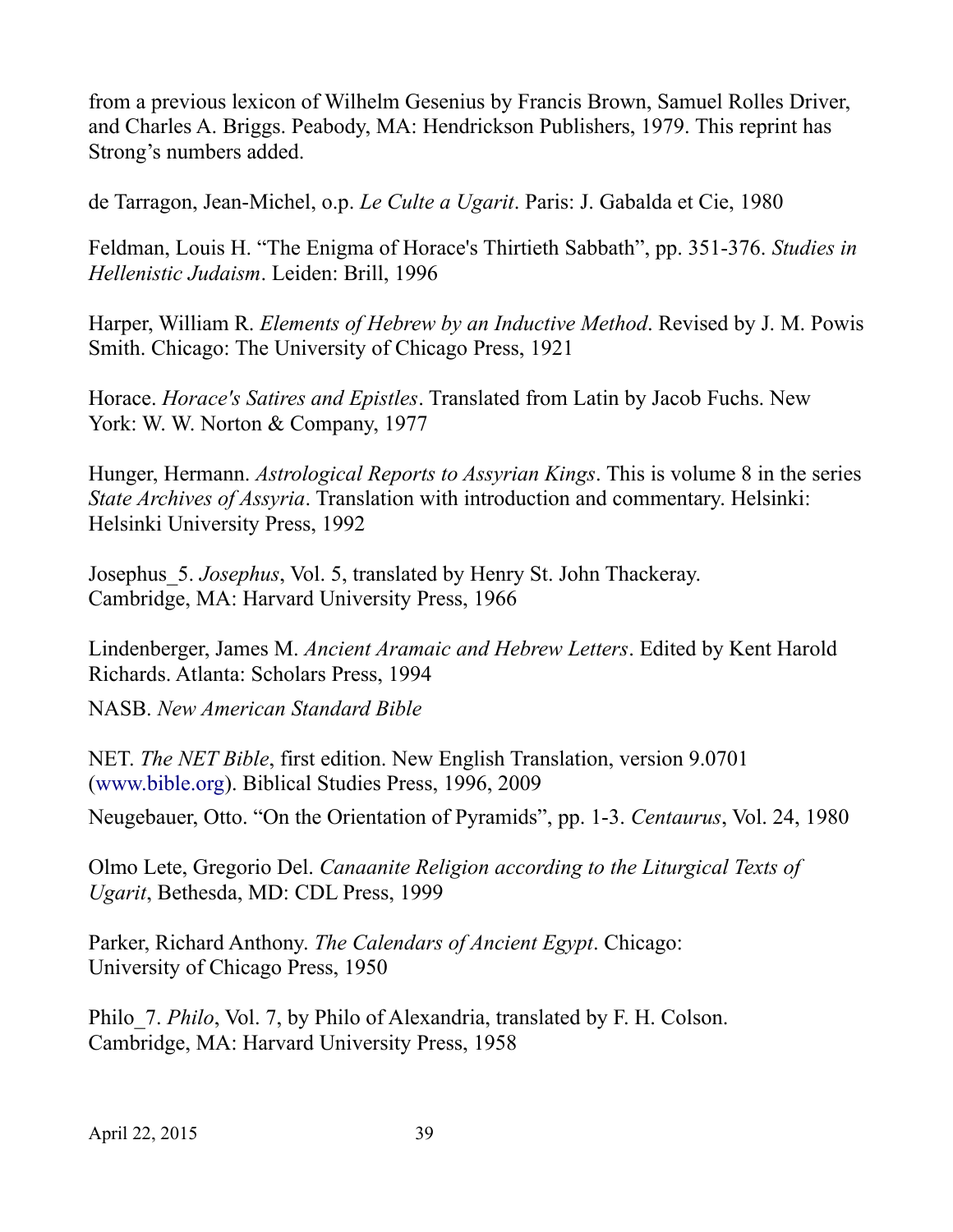from a previous lexicon of Wilhelm Gesenius by Francis Brown, Samuel Rolles Driver, and Charles A. Briggs. Peabody, MA: Hendrickson Publishers, 1979. This reprint has Strong's numbers added.

de Tarragon, Jean-Michel, o.p. *Le Culte a Ugarit*. Paris: J. Gabalda et Cie, 1980

Feldman, Louis H. "The Enigma of Horace's Thirtieth Sabbath", pp. 351-376. *Studies in Hellenistic Judaism*. Leiden: Brill, 1996

Harper, William R. *Elements of Hebrew by an Inductive Method*. Revised by J. M. Powis Smith. Chicago: The University of Chicago Press, 1921

Horace. *Horace's Satires and Epistles*. Translated from Latin by Jacob Fuchs. New York: W. W. Norton & Company, 1977

Hunger, Hermann. *Astrological Reports to Assyrian Kings*. This is volume 8 in the series *State Archives of Assyria*. Translation with introduction and commentary. Helsinki: Helsinki University Press, 1992

Josephus\_5. *Josephus*, Vol. 5, translated by Henry St. John Thackeray. Cambridge, MA: Harvard University Press, 1966

Lindenberger, James M. *Ancient Aramaic and Hebrew Letters*. Edited by Kent Harold Richards. Atlanta: Scholars Press, 1994

NASB. *New American Standard Bible*

NET. *The NET Bible*, first edition. New English Translation, version 9.0701 [\(www.bible.org](http://www.bible.org/)). Biblical Studies Press, 1996, 2009

Neugebauer, Otto. "On the Orientation of Pyramids", pp. 1-3. *Centaurus*, Vol. 24, 1980

Olmo Lete, Gregorio Del. *Canaanite Religion according to the Liturgical Texts of Ugarit*, Bethesda, MD: CDL Press, 1999

Parker, Richard Anthony. *The Calendars of Ancient Egypt*. Chicago: University of Chicago Press, 1950

Philo\_7. *Philo*, Vol. 7, by Philo of Alexandria, translated by F. H. Colson. Cambridge, MA: Harvard University Press, 1958